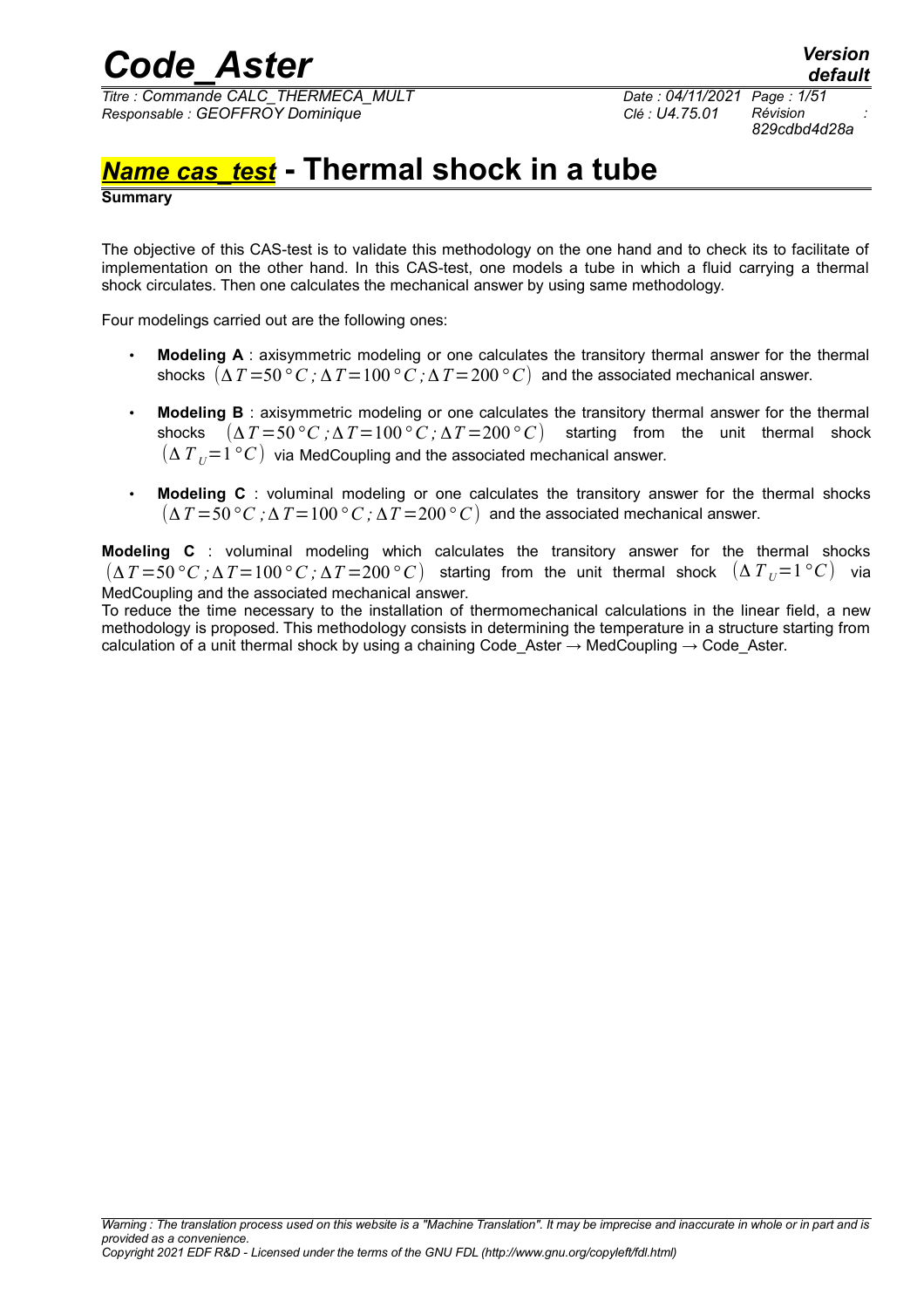*Titre : Commande CALC\_THERMECA\_MULT Date : 04/11/2021 Page : 1/51 Responsable : GEOFFROY Dominique Clé : U4.75.01 Révision :*

*default 829cdbd4d28a*

### *Name cas\_test* **- Thermal shock in a tube**

**Summary**

The objective of this CAS-test is to validate this methodology on the one hand and to check its to facilitate of implementation on the other hand. In this CAS-test, one models a tube in which a fluid carrying a thermal shock circulates. Then one calculates the mechanical answer by using same methodology.

Four modelings carried out are the following ones:

- **Modeling A** : axisymmetric modeling or one calculates the transitory thermal answer for the thermal shocks  $(\Delta T = 50 °C; \Delta T = 100 °C; \Delta T = 200 °C)$  and the associated mechanical answer.
- **Modeling B** : axisymmetric modeling or one calculates the transitory thermal answer for the thermal shocks  $(\Delta T = 50 °C ; \Delta T = 100 °C ; \Delta T = 200 °C)$  starting from the unit thermal shock  $(\Delta T_{\nu}=1\degree C)$  via MedCoupling and the associated mechanical answer.
- **Modeling C** : voluminal modeling or one calculates the transitory answer for the thermal shocks  $(\Delta T = 50\degree C$ ;  $\Delta T = 100\degree C$ ;  $\Delta T = 200\degree C$  and the associated mechanical answer.

**Modeling C** : voluminal modeling which calculates the transitory answer for the thermal shocks  $(\Delta T = 50^{\circ}C : \Delta T = 100^{\circ}C : \Delta T = 200^{\circ}C)$  starting from the unit thermal shock  $(\Delta T_U = 1^{\circ}C)$  via MedCoupling and the associated mechanical answer.

To reduce the time necessary to the installation of thermomechanical calculations in the linear field, a new methodology is proposed. This methodology consists in determining the temperature in a structure starting from calculation of a unit thermal shock by using a chaining Code Aster  $\rightarrow$  MedCoupling  $\rightarrow$  Code Aster.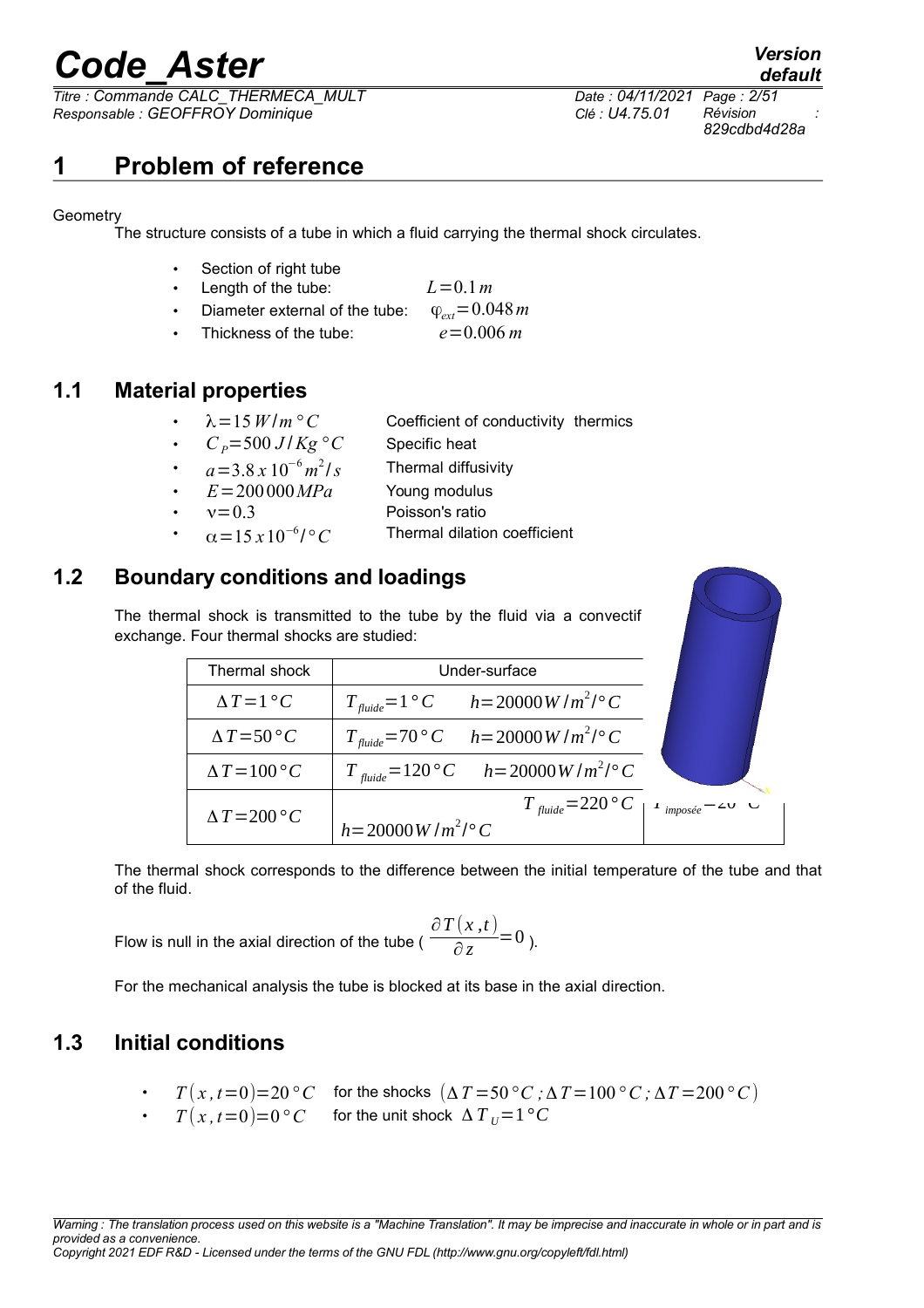*Titre : Commande CALC\_THERMECA\_MULT Date : 04/11/2021 Page : 2/51 Responsable : GEOFFROY Dominique Clé : U4.75.01 Révision :*

*829cdbd4d28a*

*default*

#### <span id="page-1-3"></span>**1 Problem of reference**

#### **Geometry**

The structure consists of a tube in which a fluid carrying the thermal shock circulates.

|           | • Section of right tube        |                              |
|-----------|--------------------------------|------------------------------|
|           | • Length of the tube:          | $L=0.1 m$                    |
| $\bullet$ | Diameter external of the tube: | $\varphi_{ext} = 0.048 \, m$ |

• Thickness of the tube: *e*=0.006 *m*

#### <span id="page-1-2"></span>**1.1 Material properties**

| $\lambda = 15 W/m^{\circ}C$                | Coefficient of conductivity thermics |  |
|--------------------------------------------|--------------------------------------|--|
| • $C_p = 500 J/Kg °C$                      | Specific heat                        |  |
| • $a=3.8 \times 10^{-6} m^2/s$             | Thermal diffusivity                  |  |
| • $E = 200000 MPa$                         | Young modulus                        |  |
| $\cdot \quad \text{v} = 0.3$               | Poisson's ratio                      |  |
| • $\alpha = 15 \times 10^{-6} / \degree C$ | Thermal dilation coefficient         |  |
|                                            |                                      |  |

#### **1.2 Boundary conditions and loadings**

<span id="page-1-1"></span>The thermal shock is transmitted to the tube by the fluid via a convectif exchange. Four thermal shocks are studied:

| Thermal shock             | Under-surface                                                                |  |
|---------------------------|------------------------------------------------------------------------------|--|
| $\Delta T = 1 \degree C$  | $T_{\text{fluid}} = 1 \degree C$ $h = 20000 \, W/m^2/\degree C$              |  |
| $\Delta T = 50^{\circ}C$  | $T_{\text{fluid}} = 70 \degree C$ $h = 20000 \, W/m^2/\degree C$             |  |
| $\Delta T = 100^{\circ}C$ | $T_{\text{fluide}} = 120 \, \text{°C}$ $h = 20000 \, \text{W/m}^2/\text{°C}$ |  |
| $\Delta T = 200 °C$       | $T_{\text{fluid}} = 220 \degree C + 1$ imposée $-\sim 0$                     |  |
|                           | $h = 20000 W/m^2$ <sup>o</sup> C                                             |  |

The thermal shock corresponds to the difference between the initial temperature of the tube and that of the fluid.

Flow is null in the axial direction of the tube ( ∂*T* (*x ,t*)  $rac{(\lambda, t)}{\partial z} = 0$ ).

<span id="page-1-0"></span>For the mechanical analysis the tube is blocked at its base in the axial direction.

#### **1.3 Initial conditions**

- $\bm{\cdot}$   $T(x,t=0)=20\,^{\circ}C$  for the shocks  $(\Delta\,T=50\,^{\circ}C$  ;  $\Delta\,T=100\,^{\circ}C$  ;  $\Delta\,T=200\,^{\circ}C)$
- $T(x,t=0)=0 °C$  for the unit shock  $\Delta T_U=1 °C$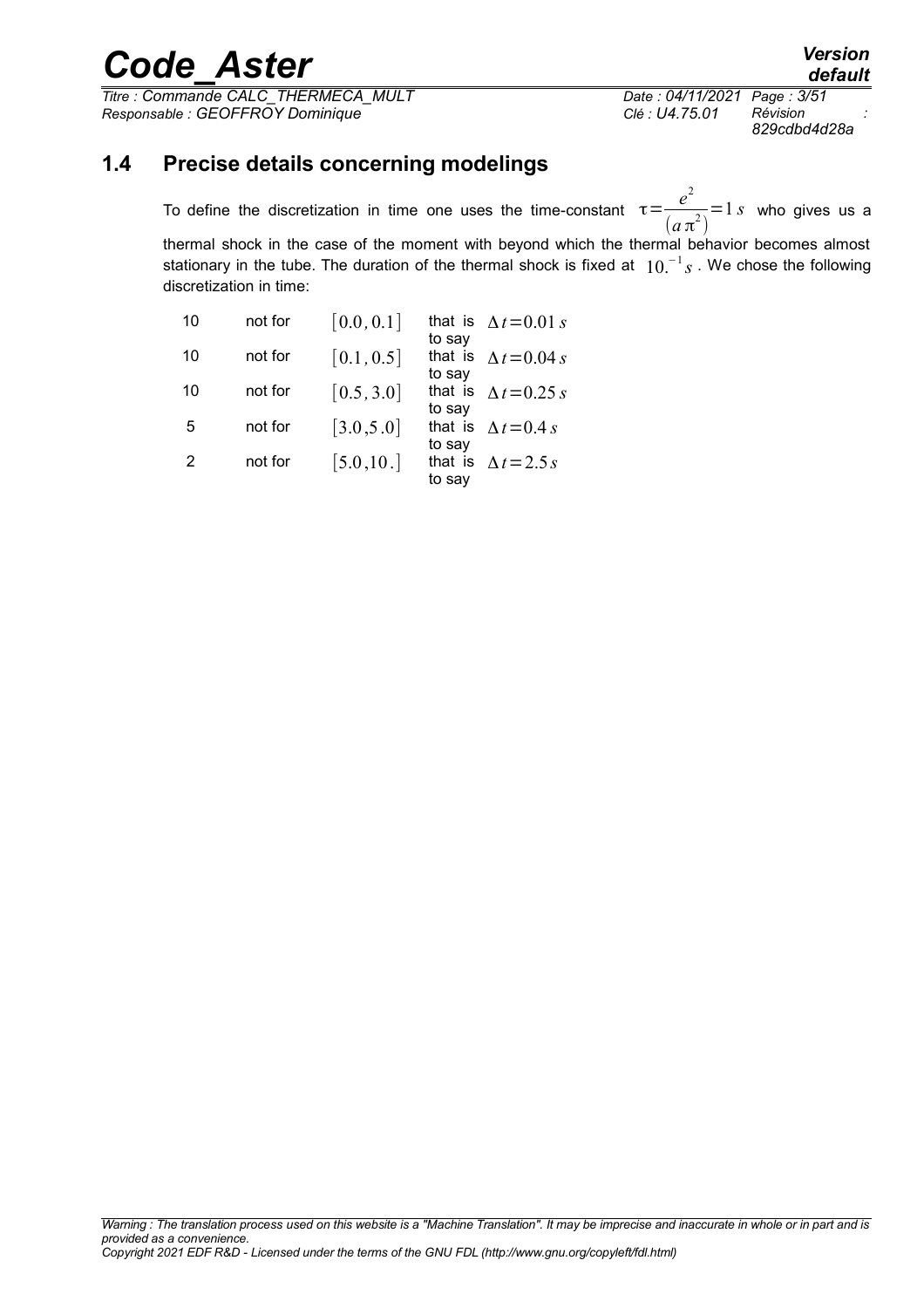*Titre : Commande CALC\_THERMECA\_MULT Date : 04/11/2021 Page : 3/51 Responsable : GEOFFROY Dominique Clé : U4.75.01 Révision :*

*829cdbd4d28a*

#### **1.4 Precise details concerning modelings**

<span id="page-2-0"></span>To define the discretization in time one uses the time-constant  $\tau = \frac{e^2}{\sqrt{2}}$  $(a \pi^2)$  $=1 s$  who gives us a

thermal shock in the case of the moment with beyond which the thermal behavior becomes almost stationary in the tube. The duration of the thermal shock is fixed at 10.<sup>−</sup><sup>1</sup> *s* . We chose the following discretization in time:

| not for | [0.0, 0.1]         |                                        | that is $\Delta t = 0.01 s$            |
|---------|--------------------|----------------------------------------|----------------------------------------|
|         |                    | to say                                 |                                        |
|         |                    |                                        | $\Delta t = 0.04 s$                    |
|         |                    |                                        |                                        |
|         |                    |                                        | $\Delta t = 0.25 s$                    |
|         |                    |                                        |                                        |
| not for |                    | that is                                | $\Delta t = 0.4 s$                     |
|         |                    | to say                                 |                                        |
| not for | [5.0, 10.]         | that is                                | $\Delta t = 2.5 s$                     |
|         |                    | to say                                 |                                        |
|         | not for<br>not for | [0.1, 0.5]<br>[0.5, 3.0]<br>[3.0, 5.0] | that is<br>to say<br>that is<br>to say |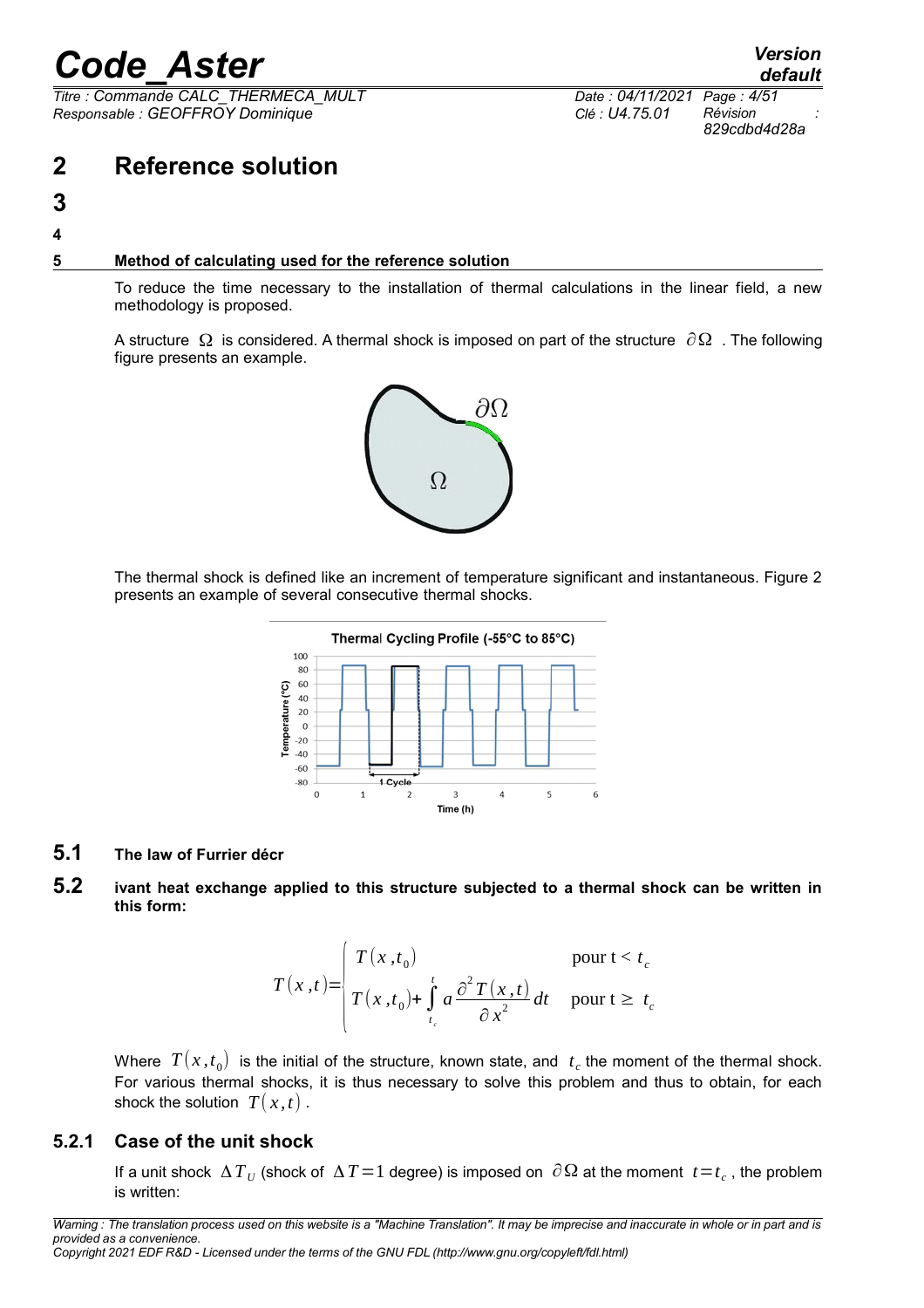*Titre : Commande CALC\_THERMECA\_MULT Date : 04/11/2021 Page : 4/51 Responsable : GEOFFROY Dominique Clé : U4.75.01 Révision :*

*829cdbd4d28a*

#### <span id="page-3-4"></span>**2 Reference solution**

**3**

**4**

#### **5 Method of calculating used for the reference solution**

<span id="page-3-3"></span>To reduce the time necessary to the installation of thermal calculations in the linear field, a new methodology is proposed.

A structure  $\Omega$  is considered. A thermal shock is imposed on part of the structure  $\partial\Omega$ . The following figure presents an example.



The thermal shock is defined like an increment of temperature significant and instantaneous. Figure 2 presents an example of several consecutive thermal shocks.



#### <span id="page-3-2"></span>**5.1 The law of Furrier décr**

<span id="page-3-1"></span>**5.2 ivant heat exchange applied to this structure subjected to a thermal shock can be written in this form:**

$$
T(x,t) = \begin{cases} T(x,t_0) & \text{pour } t < t_c \\ T(x,t_0) + \int_{t_c}^t a \frac{\partial^2 T(x,t)}{\partial x^2} dt & \text{pour } t \ge t_c \end{cases}
$$

Where  $T(x,t_0)$  is the initial of the structure, known state, and  $t_c$  the moment of the thermal shock. For various thermal shocks, it is thus necessary to solve this problem and thus to obtain, for each shock the solution  $T(x,t)$ .

#### **5.2.1 Case of the unit shock**

<span id="page-3-0"></span>If a unit shock  $\Delta T_{U}$  (shock of  $\Delta T$ =1 degree) is imposed on  $\partial\Omega$  at the moment  $\,t\!=\!t_{c}$  , the problem is written:

*Warning : The translation process used on this website is a "Machine Translation". It may be imprecise and inaccurate in whole or in part and is provided as a convenience. Copyright 2021 EDF R&D - Licensed under the terms of the GNU FDL (http://www.gnu.org/copyleft/fdl.html)*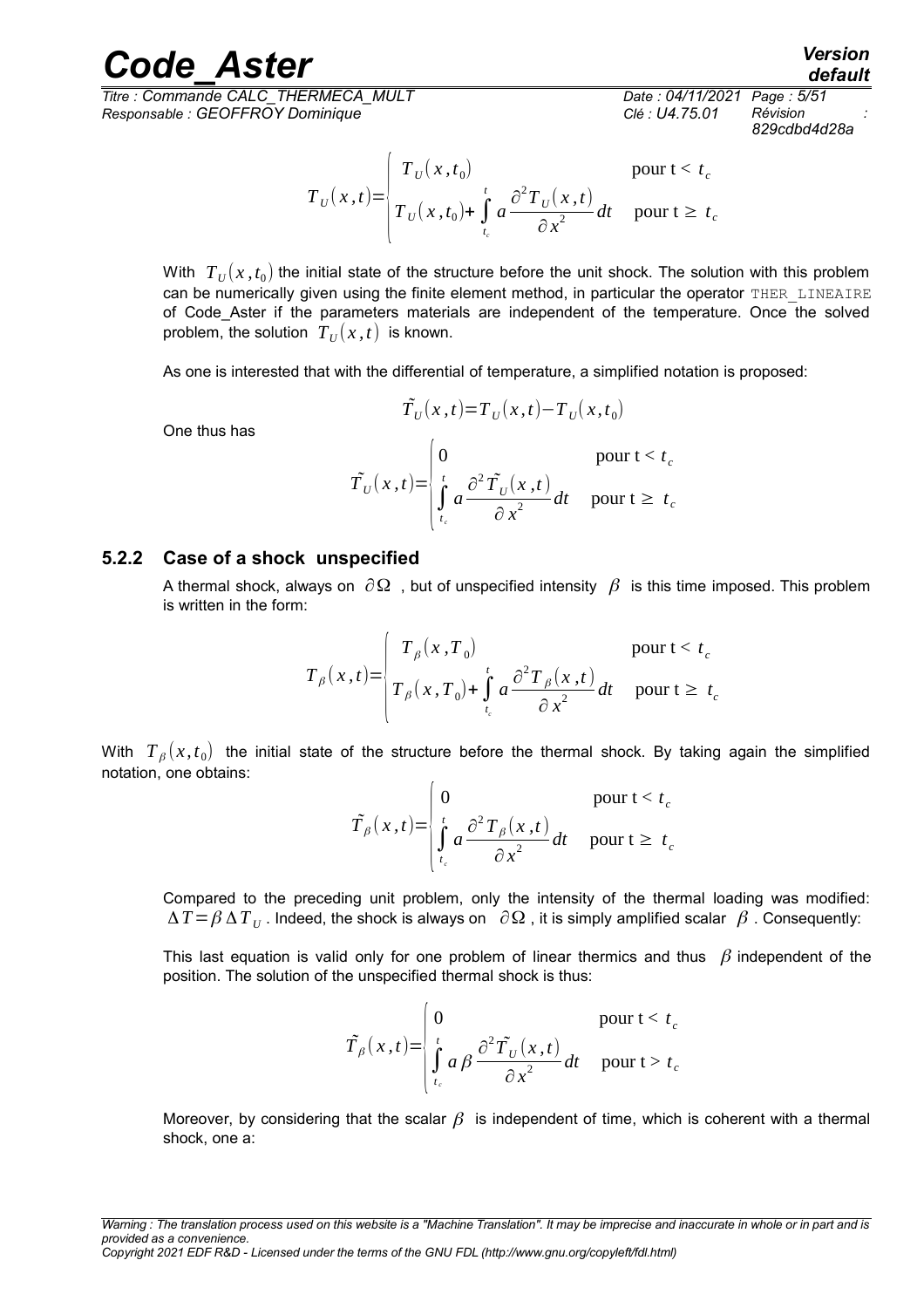*Responsable : GEOFFROY Dominique Clé : U4.75.01 Révision :*

*default Titre : Commande CALC\_THERMECA\_MULT Date : 04/11/2021 Page : 5/51 829cdbd4d28a*

$$
T_U(x,t) = \begin{cases} T_U(x,t_0) & \text{pour } t < t_c \\ T_U(x,t_0) + \int_{t_c}^t a \frac{\partial^2 T_U(x,t)}{\partial x^2} dt & \text{ pour } t \ge t_c \end{cases}
$$

With  $\;T_{\scriptscriptstyle U}(x,t_0)$  the initial state of the structure before the unit shock. The solution with this problem can be numerically given using the finite element method, in particular the operator THER LINEAIRE of Code\_Aster if the parameters materials are independent of the temperature. Once the solved problem, the solution  $T_{U}(x,t)$  is known.

As one is interested that with the differential of temperature, a simplified notation is proposed:

 $\sim$   $\sim$ 

$$
\overline{T}_U(x,t) = T_U(x,t) - T_U(x,t_0)
$$
  
pour  $t < t_c$   

$$
\overline{T}_U(x,t) = \begin{cases} 0 & \text{pour } t < t_c \\ \int_{t_c}^t a \frac{\partial^2 \overline{T}_U(x,t)}{\partial x^2} dt & \text{pour } t \geq t_c \end{cases}
$$

#### **5.2.2 Case of a shock unspecified**

One thus has

<span id="page-4-0"></span>A thermal shock, always on  $\partial\Omega$ , but of unspecified intensity  $\beta$  is this time imposed. This problem is written in the form:

$$
T_{\beta}(x,t) = \begin{cases} T_{\beta}(x,T_0) & \text{pour } t < t_c \\ T_{\beta}(x,T_0) + \int_{t_c}^t a \frac{\partial^2 T_{\beta}(x,t)}{\partial x^2} dt & \text{ pour } t \geq t_c \end{cases}
$$

With  $\,T_{\,\beta}(\,x\,,t_{0})\,$  the initial state of the structure before the thermal shock. By taking again the simplified notation, one obtains:

$$
\widetilde{T}_{\beta}(x,t) = \begin{vmatrix}\n0 & \text{pour } t < t_c \\
\int_{t_c}^t a \frac{\partial^2 T_{\beta}(x,t)}{\partial x^2} dt & \text{pour } t \geq t_c\n\end{vmatrix}
$$

Compared to the preceding unit problem, only the intensity of the thermal loading was modified:  $\Delta\,T\!=\!\beta\,\Delta\,T\,$   $_U$  . Indeed, the shock is always on  $\;\;\partial\,\Omega$  , it is simply amplified scalar  $\;\beta$  . Consequently:

This last equation is valid only for one problem of linear thermics and thus  $\beta$  independent of the position. The solution of the unspecified thermal shock is thus:

$$
\widetilde{T}_{\beta}(x,t) = \begin{cases}\n0 & \text{pour } t < t_c \\
\int_{t_c}^t a \beta \frac{\partial^2 \widetilde{T}_U(x,t)}{\partial x^2} dt & \text{pour } t > t_c\n\end{cases}
$$

Moreover, by considering that the scalar  $\beta$  is independent of time, which is coherent with a thermal shock, one a: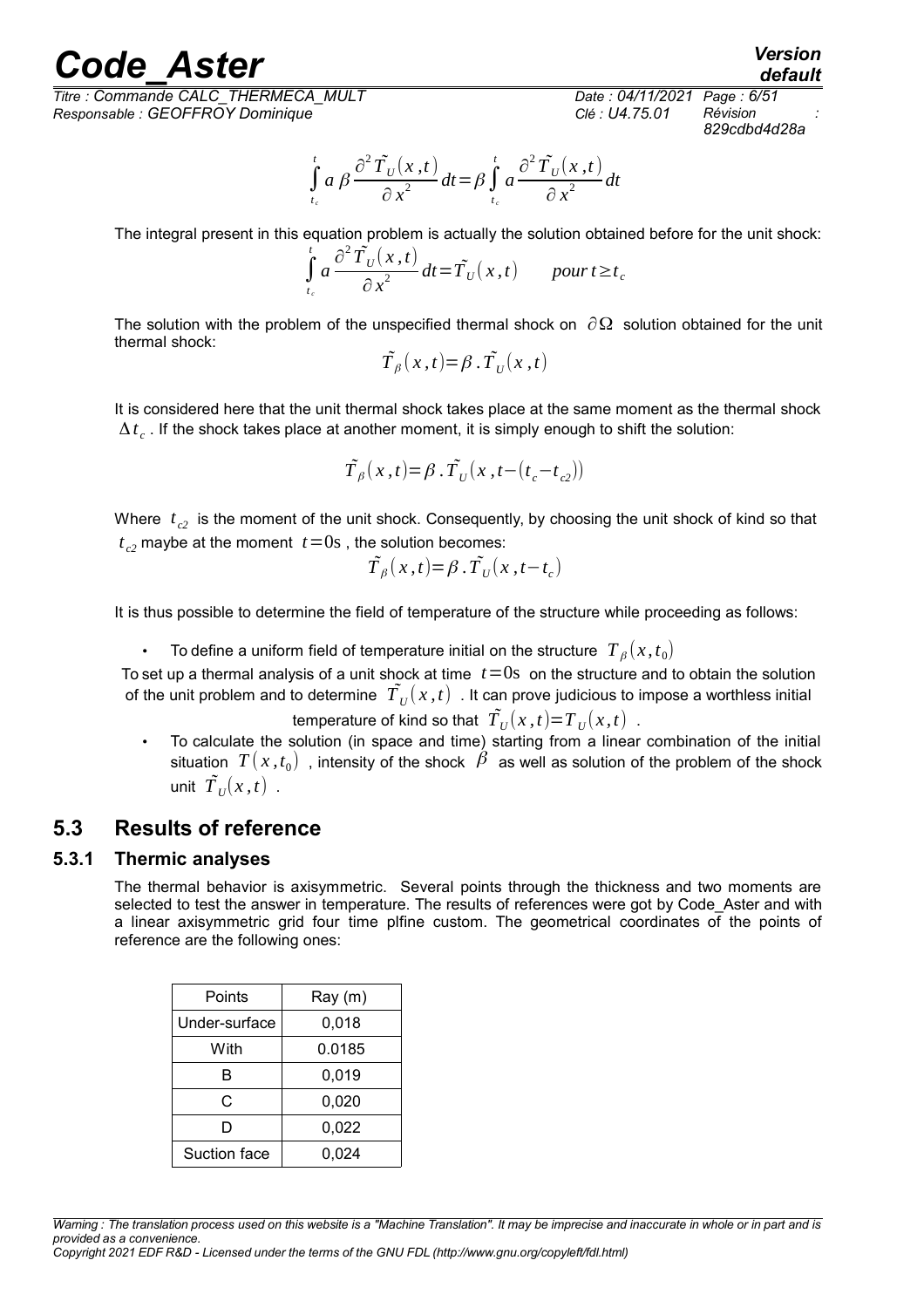*Titre : Commande CALC\_THERMECA\_MULT Date : 04/11/2021 Page : 6/51 Responsable : GEOFFROY Dominique Clé : U4.75.01 Révision :*

*default*

*829cdbd4d28a*

$$
\int_{t_c}^t a \beta \frac{\partial^2 \tilde{T}_U(x,t)}{\partial x^2} dt = \beta \int_{t_c}^t a \frac{\partial^2 \tilde{T}_U(x,t)}{\partial x^2} dt
$$

The integral present in this equation problem is actually the solution obtained before for the unit shock:

$$
\int_{t_c}^t a \frac{\partial^2 \tilde{T}_U(x,t)}{\partial x^2} dt = \tilde{T}_U(x,t) \qquad \text{pour } t \ge t_c
$$

The solution with the problem of the unspecified thermal shock on  $\partial\Omega$  solution obtained for the unit thermal shock:

$$
\tilde{T}_{\beta}(x,t) = \beta \cdot \tilde{T}_{U}(x,t)
$$

It is considered here that the unit thermal shock takes place at the same moment as the thermal shock  $\Delta\,t_{_C}$  . If the shock takes place at another moment, it is simply enough to shift the solution:

$$
\tilde{T}_{\beta}(x,t) = \beta \cdot \tilde{T}_{U}(x,t-(t_c-t_{c2}))
$$

Where  $t_{c2}$  is the moment of the unit shock. Consequently, by choosing the unit shock of kind so that  $t_{c2}$  maybe at the moment  $t = 0$ s, the solution becomes:

$$
\tilde{T}_{\beta}(x,t) = \beta \cdot \tilde{T}_{U}(x,t-t_{c})
$$

It is thus possible to determine the field of temperature of the structure while proceeding as follows:

• To define a uniform field of temperature initial on the structure  $\; T_{\beta}(\mathit{x}\,,t_0)\;$ 

To set up a thermal analysis of a unit shock at time  $t=0$ s on the structure and to obtain the solution of the unit problem and to determine  $\;\tilde{T}_{\scriptscriptstyle U}(\textit{x} \, ,t)\;$  . It can prove judicious to impose a worthless initial

temperature of kind so that  $\tilde{T}_U(x\,,t) {=} T_{\overline{U}}(x\,,t)\,$  .

• To calculate the solution (in space and time) starting from a linear combination of the initial situation  $\;T(\,x\,,t^{\phantom{\dagger}}_0)\;$  , intensity of the shock  $\;\beta\;$  as well as solution of the problem of the shock unit  $\tilde{T}_{U}^{}(x\,,t)\,$  .

#### <span id="page-5-1"></span>**5.3 Results of reference**

#### **5.3.1 Thermic analyses**

<span id="page-5-0"></span>The thermal behavior is axisymmetric. Several points through the thickness and two moments are selected to test the answer in temperature. The results of references were got by Code Aster and with a linear axisymmetric grid four time plfine custom. The geometrical coordinates of the points of reference are the following ones:

| Points        | Ray (m) |  |  |
|---------------|---------|--|--|
| Under-surface | 0,018   |  |  |
| With          | 0.0185  |  |  |
| в             | 0,019   |  |  |
| C             | 0,020   |  |  |
| D             | 0,022   |  |  |
| Suction face  | 0,024   |  |  |

*Warning : The translation process used on this website is a "Machine Translation". It may be imprecise and inaccurate in whole or in part and is provided as a convenience. Copyright 2021 EDF R&D - Licensed under the terms of the GNU FDL (http://www.gnu.org/copyleft/fdl.html)*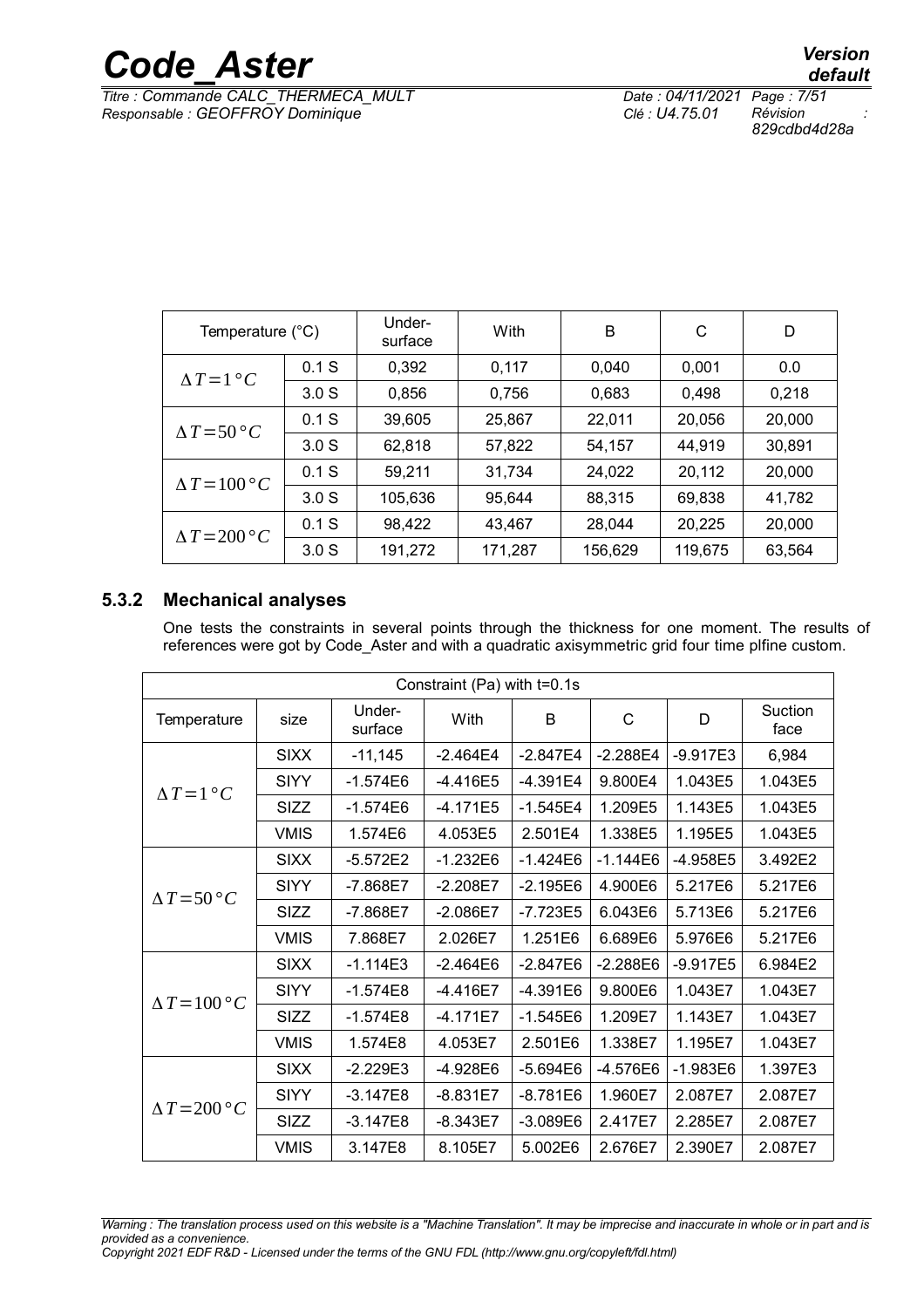*Titre : Commande CALC\_THERMECA\_MULT Date : 04/11/2021 Page : 7/51 Responsable : GEOFFROY Dominique Clé : U4.75.01 Révision :*

| Temperature $(^{\circ}C)$ |                  | Under-<br>surface | With    | B       | С       | D      |
|---------------------------|------------------|-------------------|---------|---------|---------|--------|
| $\Delta T = 1 \degree C$  | 0.1 S            | 0,392             | 0,117   | 0,040   | 0,001   | 0.0    |
|                           | 3.0S             | 0,856             | 0,756   | 0,683   | 0,498   | 0,218  |
|                           | 0.1 S            | 39,605            | 25,867  | 22,011  | 20,056  | 20,000 |
| $\Delta T = 50 °C$        | 3.0 <sub>S</sub> | 62,818            | 57,822  | 54,157  | 44,919  | 30,891 |
| $\Delta T = 100^{\circ}C$ | 0.1 S            | 59,211            | 31,734  | 24,022  | 20,112  | 20,000 |
|                           | 3.0 S            | 105,636           | 95,644  | 88,315  | 69,838  | 41,782 |
|                           | 0.1 S            | 98,422            | 43,467  | 28.044  | 20.225  | 20,000 |
| $\Delta T = 200^{\circ}C$ | 3.0S             | 191,272           | 171,287 | 156,629 | 119,675 | 63,564 |

#### **5.3.2 Mechanical analyses**

<span id="page-6-0"></span>One tests the constraints in several points through the thickness for one moment. The results of references were got by Code\_Aster and with a quadratic axisymmetric grid four time plfine custom.

|                           | Constraint (Pa) with t=0.1s |                   |            |            |            |            |                 |  |  |
|---------------------------|-----------------------------|-------------------|------------|------------|------------|------------|-----------------|--|--|
| Temperature               | size                        | Under-<br>surface | With       | B          | C          | D          | Suction<br>face |  |  |
|                           | <b>SIXX</b>                 | $-11,145$         | $-2.464E4$ | $-2.847E4$ | $-2.288E4$ | $-9.917E3$ | 6,984           |  |  |
| $\Delta T = 1$ °C         | <b>SIYY</b>                 | $-1.574E6$        | $-4.416E5$ | $-4.391E4$ | 9.800E4    | 1.043E5    | 1.043E5         |  |  |
|                           | SIZZ                        | $-1.574E6$        | $-4.171E5$ | $-1.545E4$ | 1.209E5    | 1.143E5    | 1.043E5         |  |  |
|                           | <b>VMIS</b>                 | 1.574E6           | 4.053E5    | 2.501E4    | 1.338E5    | 1.195E5    | 1.043E5         |  |  |
|                           | <b>SIXX</b>                 | $-5.572E2$        | $-1.232E6$ | $-1.424E6$ | $-1.144E6$ | $-4.958E5$ | 3.492E2         |  |  |
| $\Delta T = 50^{\circ}C$  | <b>SIYY</b>                 | $-7.868E7$        | $-2.208E7$ | $-2.195E6$ | 4.900E6    | 5.217E6    | 5.217E6         |  |  |
|                           | SIZZ                        | -7.868E7          | $-2.086E7$ | $-7.723E5$ | 6.043E6    | 5.713E6    | 5.217E6         |  |  |
|                           | <b>VMIS</b>                 | 7.868E7           | 2.026E7    | 1.251E6    | 6.689E6    | 5.976E6    | 5.217E6         |  |  |
|                           | <b>SIXX</b>                 | $-1.114E3$        | $-2.464E6$ | $-2.847E6$ | $-2.288E6$ | $-9.917E5$ | 6.984E2         |  |  |
| $\Delta T = 100^{\circ}C$ | <b>SIYY</b>                 | $-1.574E8$        | -4.416E7   | $-4.391E6$ | 9.800E6    | 1.043E7    | 1.043E7         |  |  |
|                           | SIZZ                        | $-1.574E8$        | $-4.171E7$ | $-1.545E6$ | 1.209E7    | 1.143E7    | 1.043E7         |  |  |
|                           | <b>VMIS</b>                 | 1.574E8           | 4.053E7    | 2.501E6    | 1.338E7    | 1.195E7    | 1.043E7         |  |  |
|                           | <b>SIXX</b>                 | $-2.229E3$        | -4.928E6   | $-5.694E6$ | $-4.576E6$ | $-1.983E6$ | 1.397E3         |  |  |
| $\Delta T = 200 °C$       | <b>SIYY</b>                 | $-3.147E8$        | $-8.831E7$ | $-8.781E6$ | 1.960E7    | 2.087E7    | 2.087E7         |  |  |
|                           | SIZZ                        | $-3.147E8$        | $-8.343E7$ | $-3.089E6$ | 2.417E7    | 2.285E7    | 2.087E7         |  |  |
|                           | <b>VMIS</b>                 | 3.147E8           | 8.105E7    | 5.002E6    | 2.676E7    | 2.390E7    | 2.087E7         |  |  |

*Warning : The translation process used on this website is a "Machine Translation". It may be imprecise and inaccurate in whole or in part and is provided as a convenience.*

*Copyright 2021 EDF R&D - Licensed under the terms of the GNU FDL (http://www.gnu.org/copyleft/fdl.html)*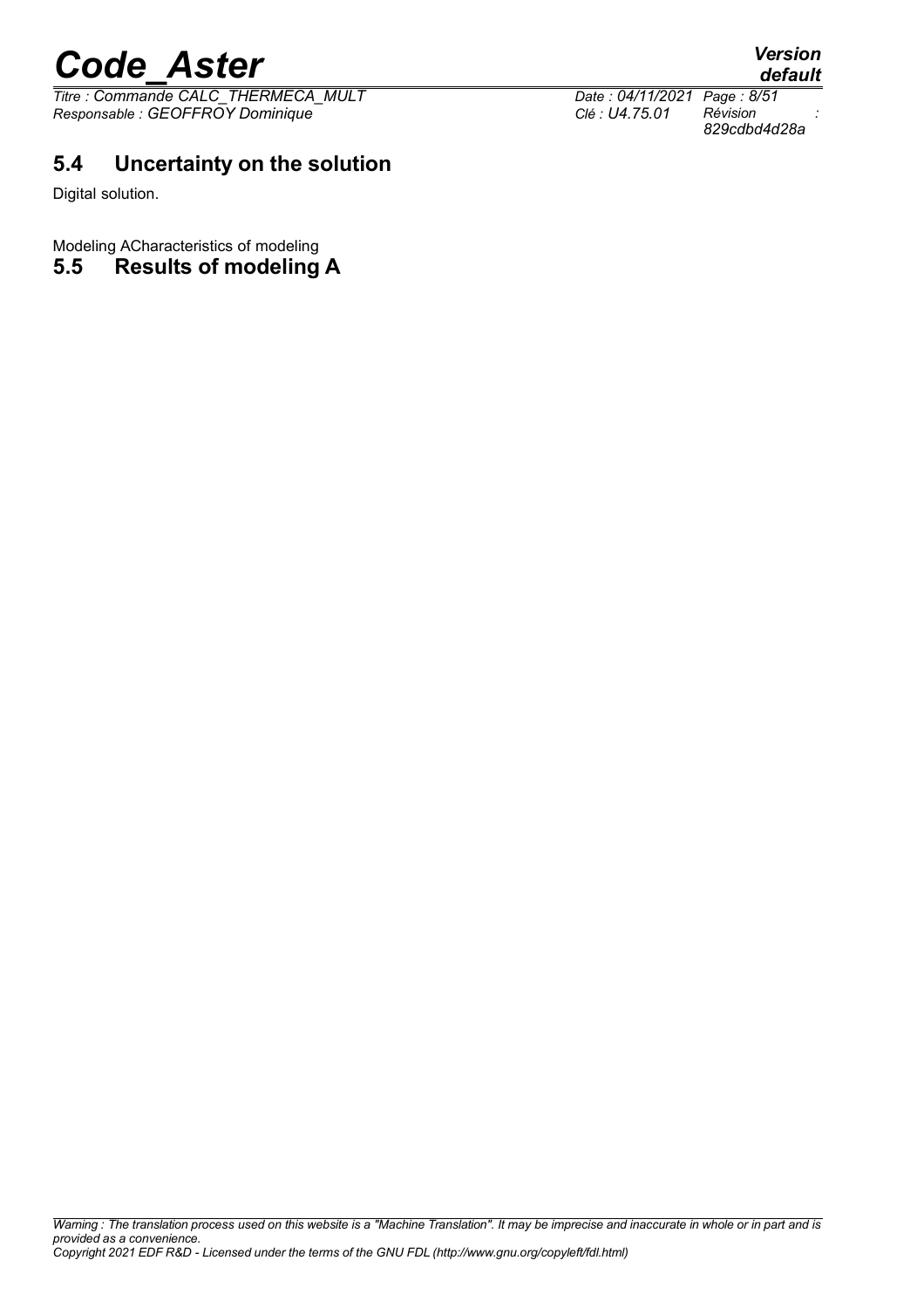*Titre : Commande CALC\_THERMECA\_MULT Date : 04/11/2021 Page : 8/51 Responsable : GEOFFROY Dominique Clé : U4.75.01 Révision :*

### *829cdbd4d28a*

#### <span id="page-7-1"></span>**5.4 Uncertainty on the solution**

Digital solution.

Modeling ACharacteristics of modeling

#### <span id="page-7-0"></span>**5.5 Results of modeling A**

*Warning : The translation process used on this website is a "Machine Translation". It may be imprecise and inaccurate in whole or in part and is provided as a convenience. Copyright 2021 EDF R&D - Licensed under the terms of the GNU FDL (http://www.gnu.org/copyleft/fdl.html)*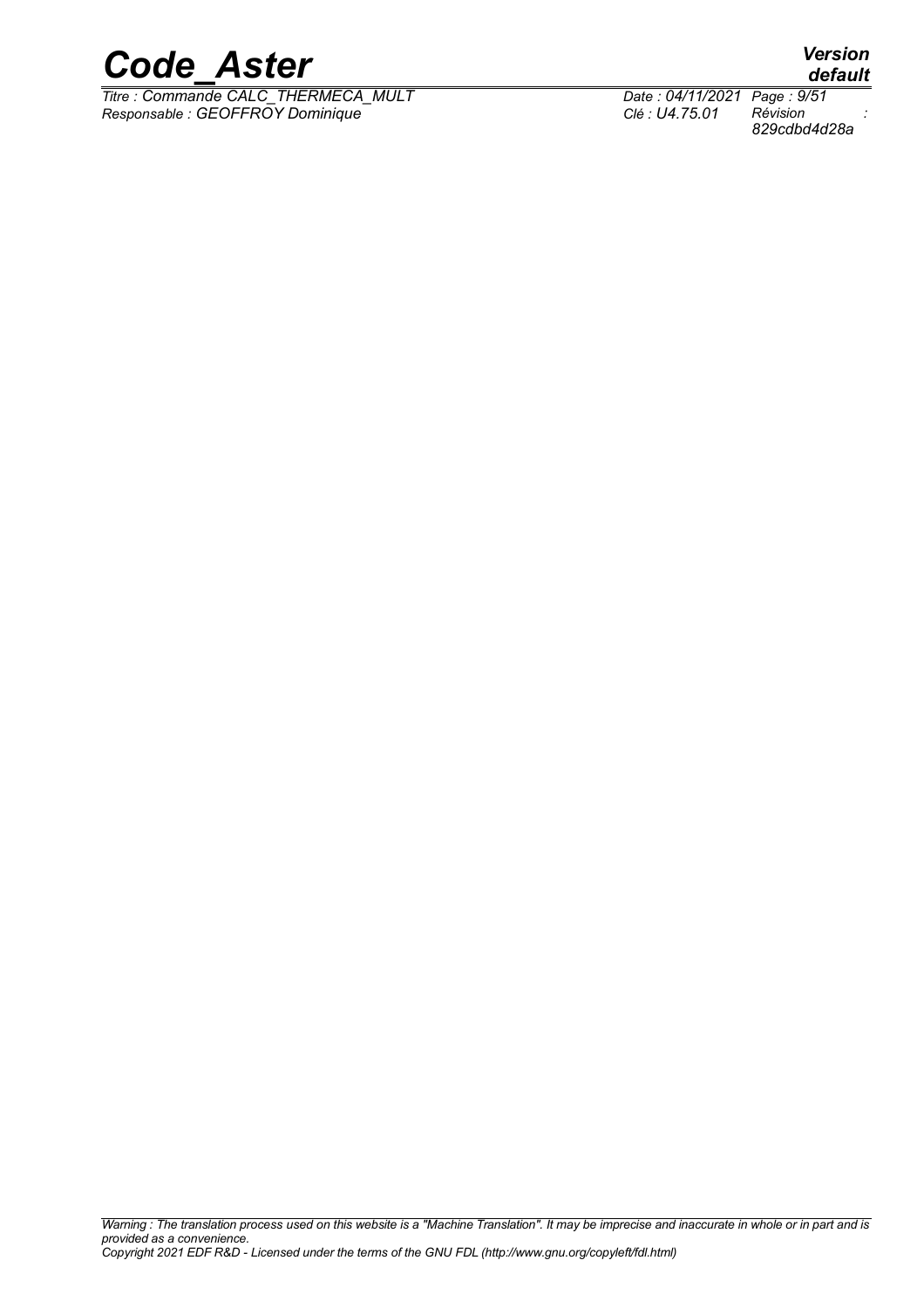

*Titre : Commande CALC\_THERMECA\_MULT Date : 04/11/2021 Page : 9/51 Responsable : GEOFFROY Dominique Clé : U4.75.01 Révision :*

*default*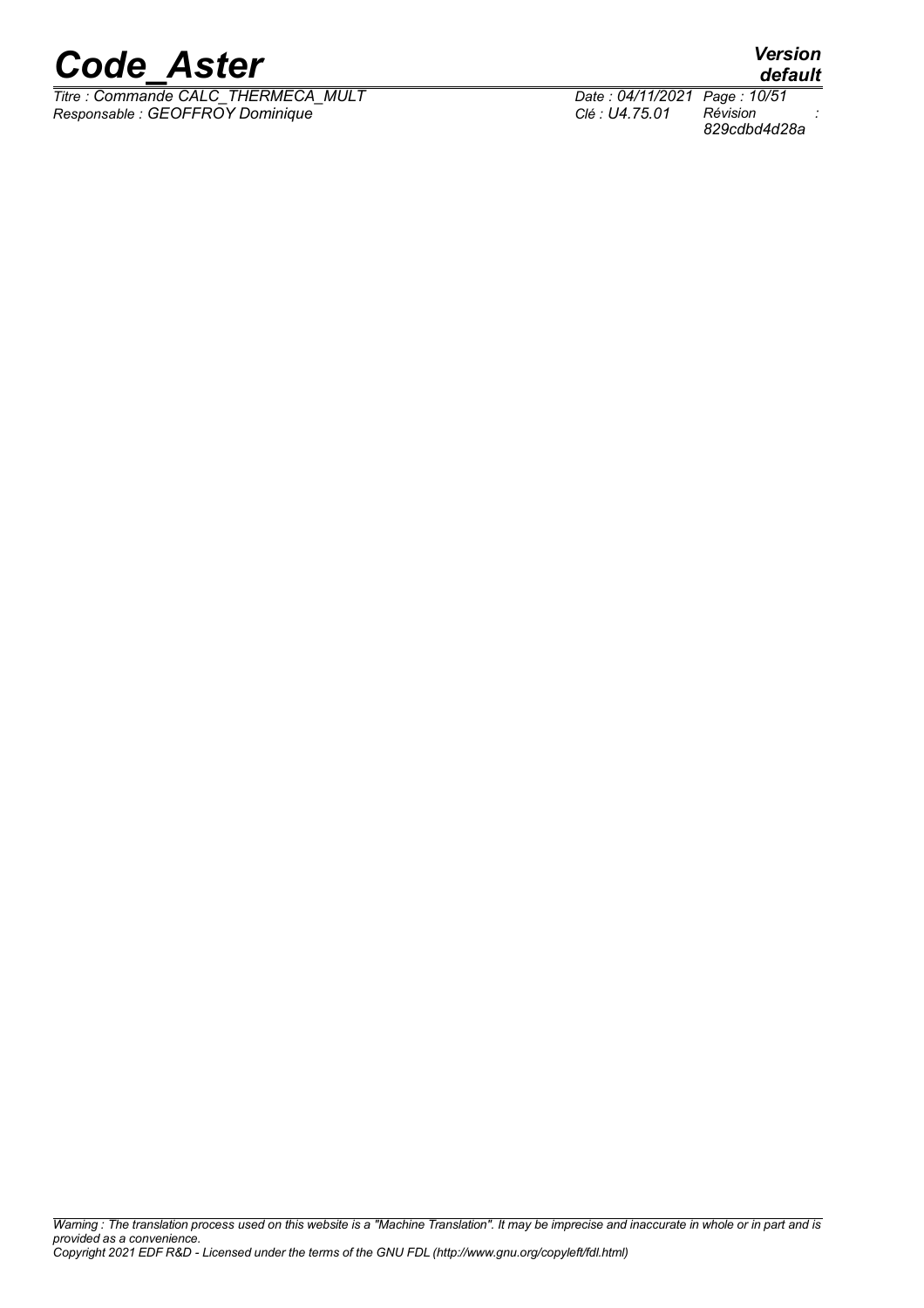*Titre : Commande CALC\_THERMECA\_MULT Date : 04/11/2021 Page : 10/51 Responsable : GEOFFROY Dominique Clé : U4.75.01 Révision :*

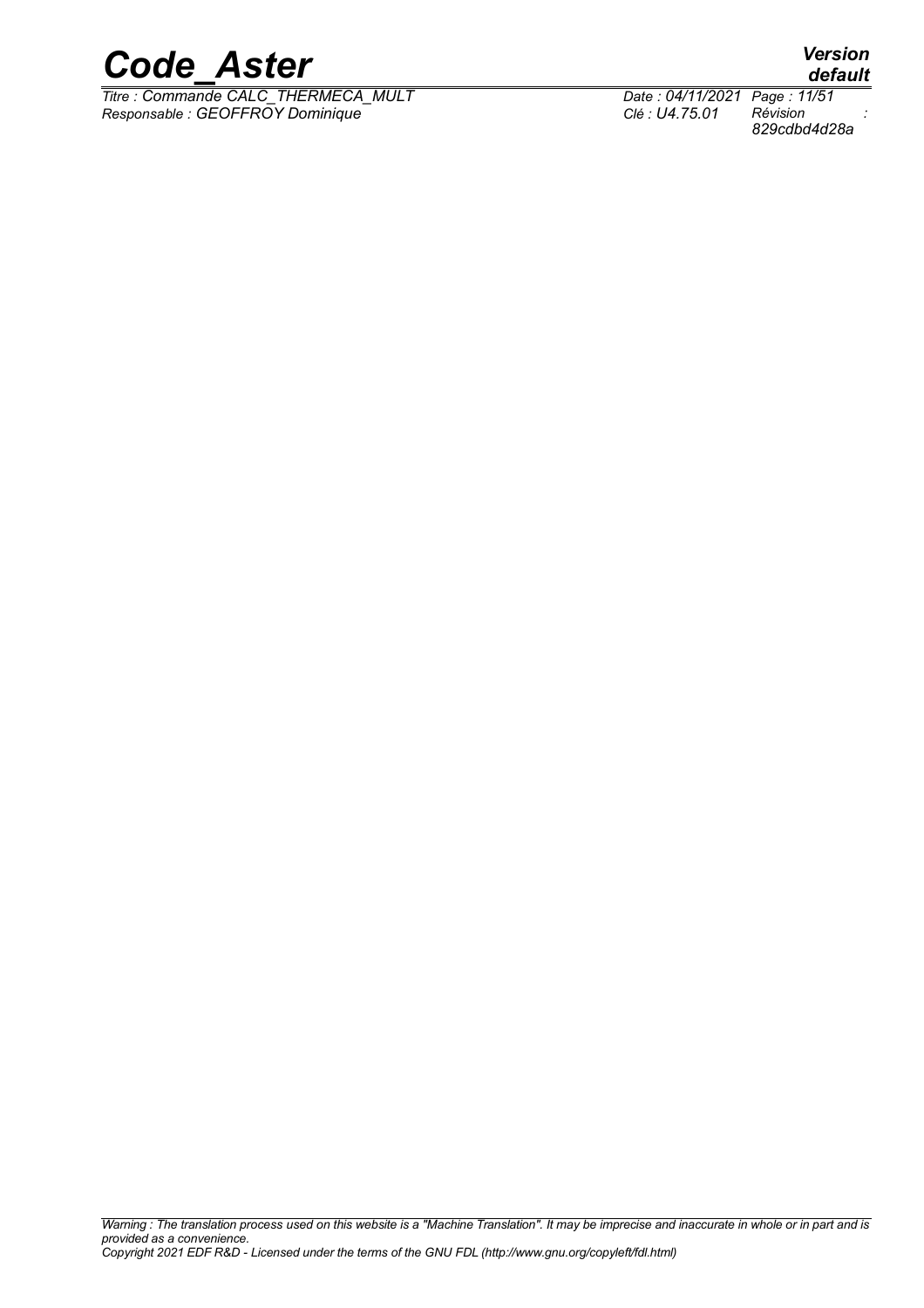

*Titre : Commande CALC\_THERMECA\_MULT Date : 04/11/2021 Page : 11/51 Responsable : GEOFFROY Dominique Clé : U4.75.01 Révision :*

*Warning : The translation process used on this website is a "Machine Translation". It may be imprecise and inaccurate in whole or in part and is*

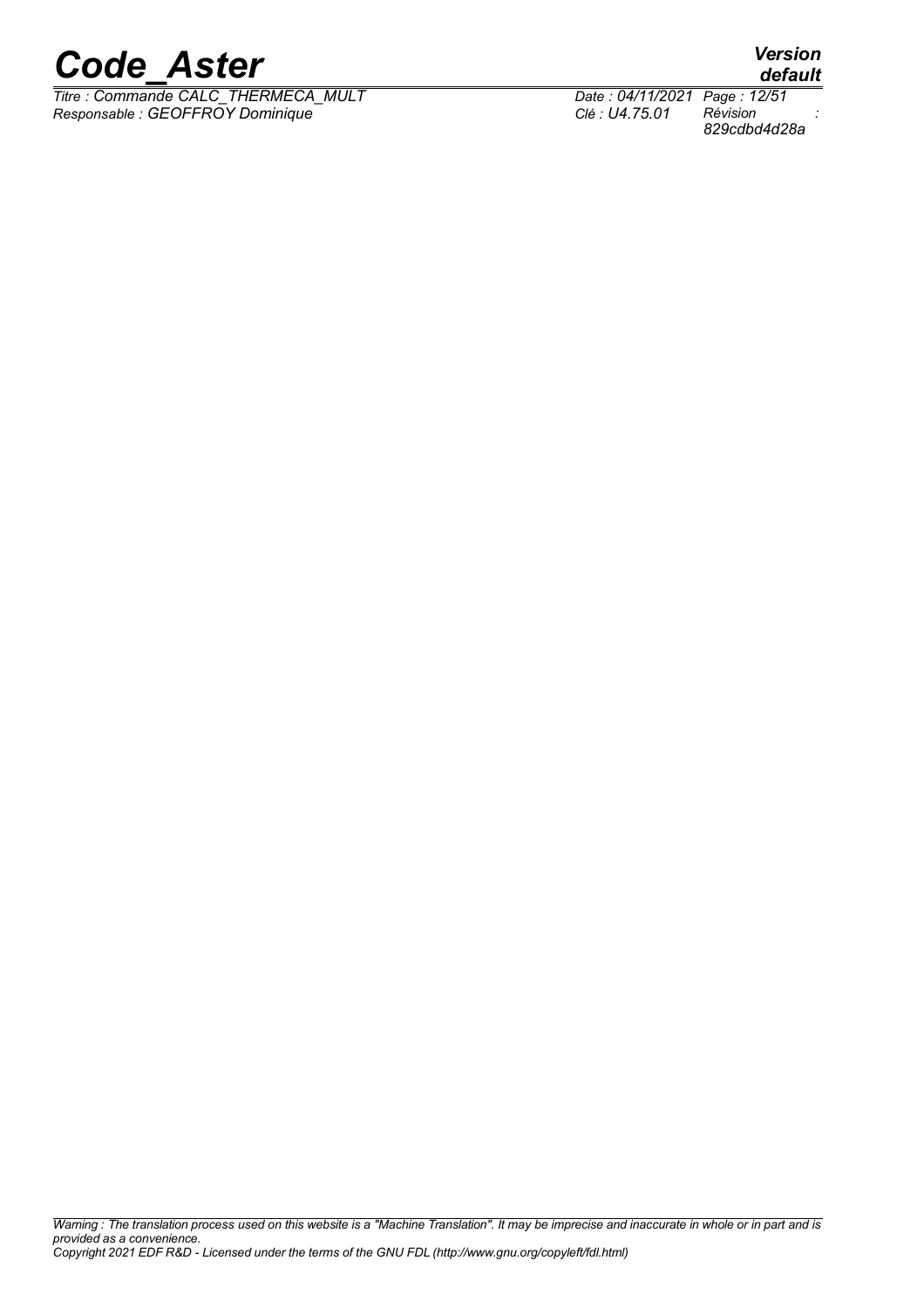*Titre : Commande CALC\_THERMECA\_MULT Date : 04/11/2021 Page : 12/51 Responsable : GEOFFROY Dominique Clé : U4.75.01 Révision :*

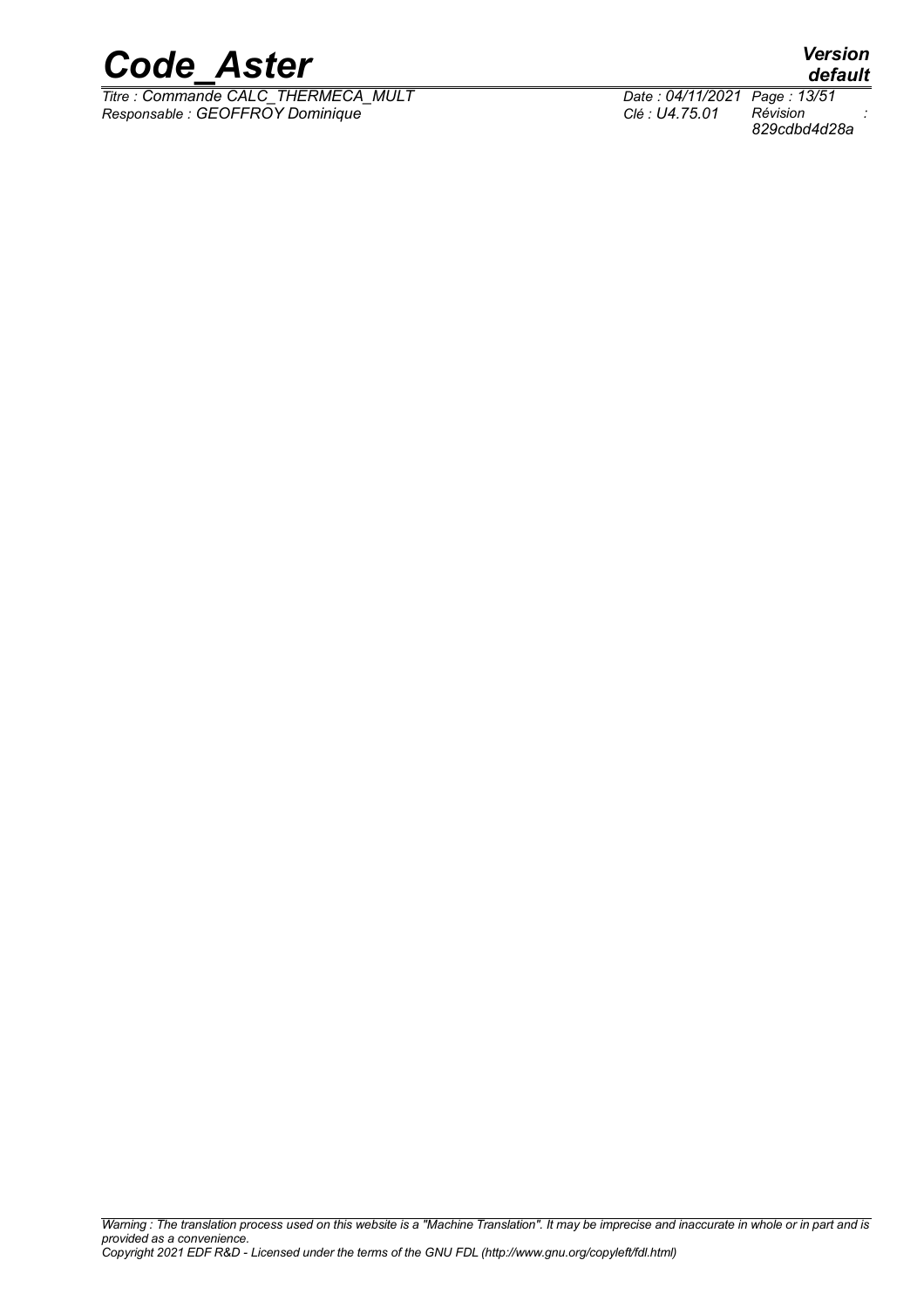

*Titre : Commande CALC\_THERMECA\_MULT Date : 04/11/2021 Page : 13/51 Responsable : GEOFFROY Dominique Clé : U4.75.01 Révision :*

*829cdbd4d28a*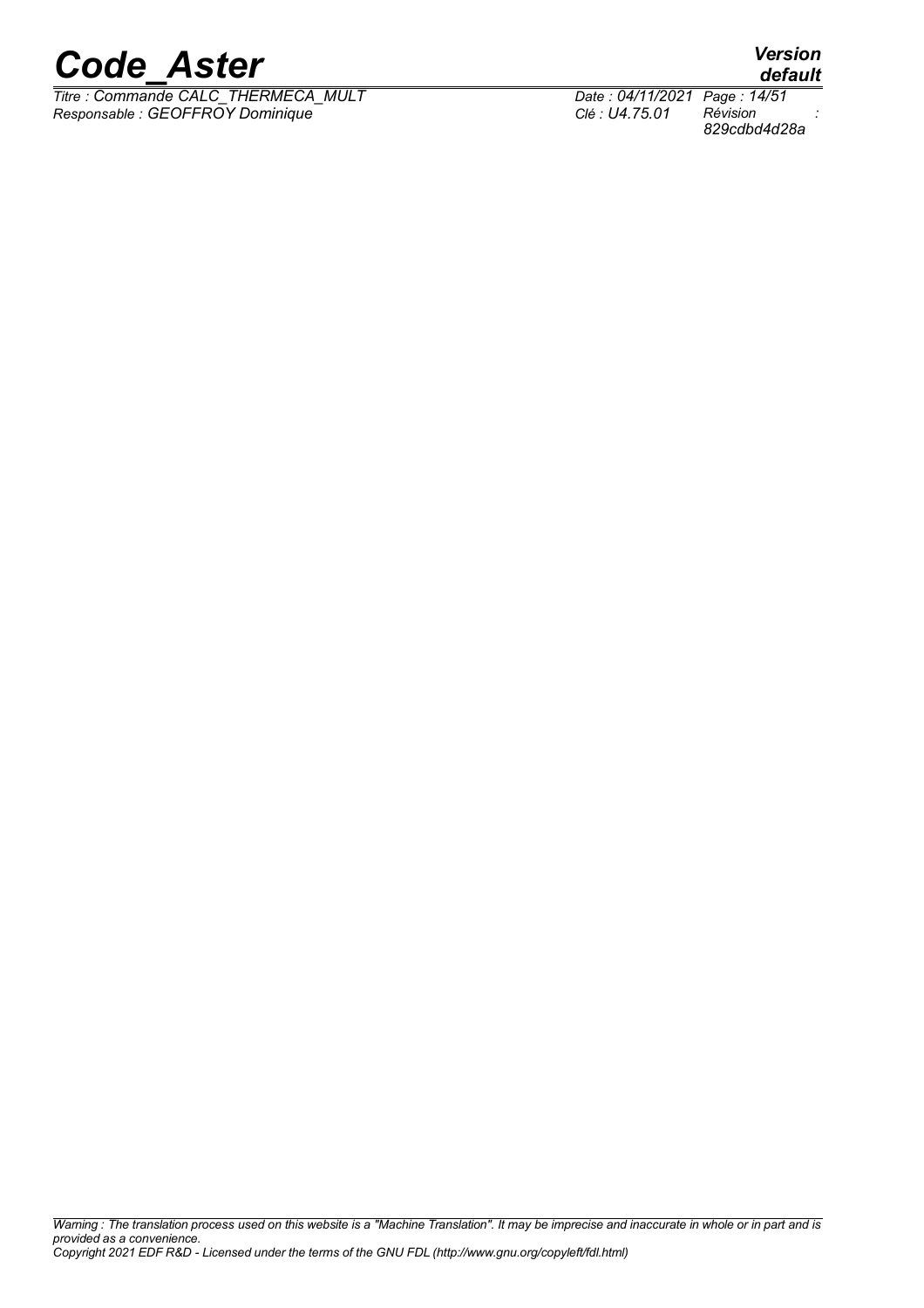*Titre : Commande CALC\_THERMECA\_MULT Date : 04/11/2021 Page : 14/51 Responsable : GEOFFROY Dominique Clé : U4.75.01 Révision :*

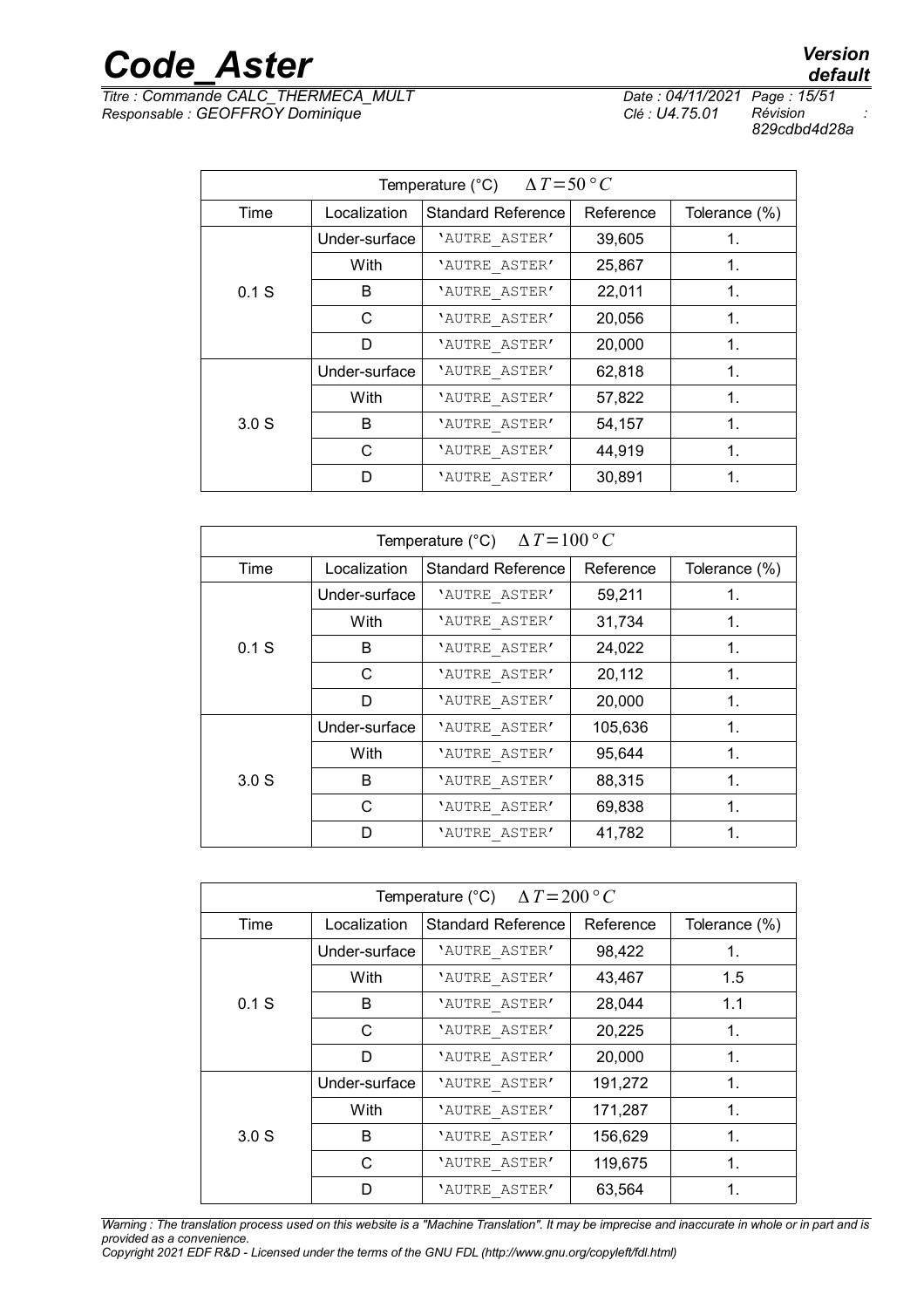*Titre : Commande CALC\_THERMECA\_MULT Date : 04/11/2021 Page : 15/51 Responsable : GEOFFROY Dominique Clé : U4.75.01 Révision :*

*829cdbd4d28a*

| Temperature (°C) $\Delta T = 50$ °C |               |                           |           |               |  |  |
|-------------------------------------|---------------|---------------------------|-----------|---------------|--|--|
| Time                                | Localization  | <b>Standard Reference</b> | Reference | Tolerance (%) |  |  |
|                                     | Under-surface | 'AUTRE ASTER'             | 39,605    | 1.            |  |  |
|                                     | With          | 'AUTRE ASTER'             | 25,867    | 1.            |  |  |
| 0.1S                                | B             | 'AUTRE ASTER'             | 22,011    | 1.            |  |  |
|                                     | C             | 'AUTRE ASTER'             | 20,056    | 1.            |  |  |
|                                     | D             | 'AUTRE ASTER'             | 20,000    | 1.            |  |  |
|                                     | Under-surface | 'AUTRE ASTER'             | 62,818    | 1.            |  |  |
|                                     | With          | 'AUTRE ASTER'             | 57,822    | 1.            |  |  |
| 3.0 <sub>S</sub>                    | B             | 'AUTRE ASTER'             | 54,157    | 1.            |  |  |
|                                     | C             | 'AUTRE ASTER'             | 44,919    | 1.            |  |  |
|                                     | D             | 'AUTRE ASTER'             | 30,891    |               |  |  |

| Temperature (°C) $\Delta T = 100 \degree C$ |               |                           |              |               |  |  |  |
|---------------------------------------------|---------------|---------------------------|--------------|---------------|--|--|--|
| Time                                        | Localization  | <b>Standard Reference</b> | Reference    | Tolerance (%) |  |  |  |
|                                             | Under-surface | 'AUTRE ASTER'             | 59,211       |               |  |  |  |
|                                             | With          | 'AUTRE ASTER'             | 31,734       | 1.            |  |  |  |
| 0.1 S                                       | B             | 'AUTRE ASTER'             | 24,022<br>1. |               |  |  |  |
|                                             | С             | 'AUTRE ASTER'             | 20,112       | 1.            |  |  |  |
|                                             | D             | 'AUTRE ASTER'             | 20,000       |               |  |  |  |
|                                             | Under-surface | 'AUTRE ASTER'             | 105,636      | 1.            |  |  |  |
|                                             | With          | 'AUTRE ASTER'             | 95,644       | 1.            |  |  |  |
| 3.0S                                        | B             | 'AUTRE ASTER'             | 88,315       | 1.            |  |  |  |
|                                             | C             | 'AUTRE ASTER'             | 69,838       | 1.            |  |  |  |
|                                             |               | 'AUTRE ASTER'             | 41,782       |               |  |  |  |

| Temperature (°C) $\Delta T = 200$ °C |               |                           |           |               |  |  |
|--------------------------------------|---------------|---------------------------|-----------|---------------|--|--|
| Time                                 | Localization  | <b>Standard Reference</b> | Reference | Tolerance (%) |  |  |
|                                      | Under-surface | 'AUTRE ASTER'             | 98,422    | 1.            |  |  |
|                                      | With          | 'AUTRE ASTER'             | 43,467    | 1.5           |  |  |
| $0.1$ S                              | B             | 'AUTRE ASTER'             | 28,044    | 1.1           |  |  |
|                                      | C             | 'AUTRE ASTER'             | 20,225    | 1.            |  |  |
|                                      | D             | 'AUTRE ASTER'             | 20,000    | 1.            |  |  |
|                                      | Under-surface | 'AUTRE ASTER'             | 191,272   | 1.            |  |  |
|                                      | With          | 'AUTRE ASTER'             | 171,287   | 1.            |  |  |
| 3.0 <sub>S</sub>                     | B             | 'AUTRE ASTER'             | 156,629   | 1.            |  |  |
|                                      | C             | 'AUTRE ASTER'             | 119,675   | 1.            |  |  |
|                                      |               | 'AUTRE ASTER'             | 63,564    | 1.            |  |  |

*Warning : The translation process used on this website is a "Machine Translation". It may be imprecise and inaccurate in whole or in part and is provided as a convenience.*

*Copyright 2021 EDF R&D - Licensed under the terms of the GNU FDL (http://www.gnu.org/copyleft/fdl.html)*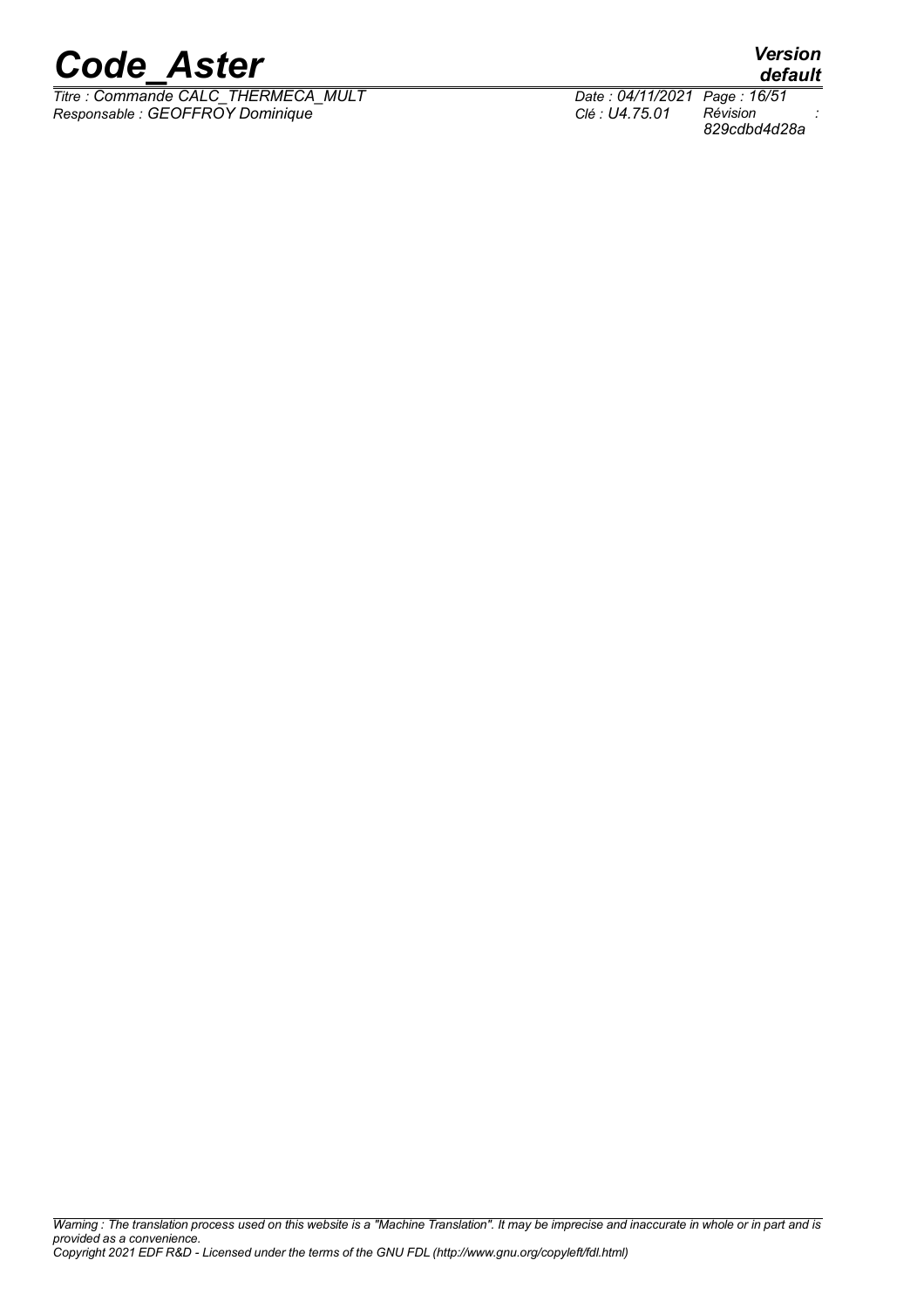*Titre : Commande CALC\_THERMECA\_MULT Date : 04/11/2021 Page : 16/51 Responsable : GEOFFROY Dominique Clé : U4.75.01 Révision :*

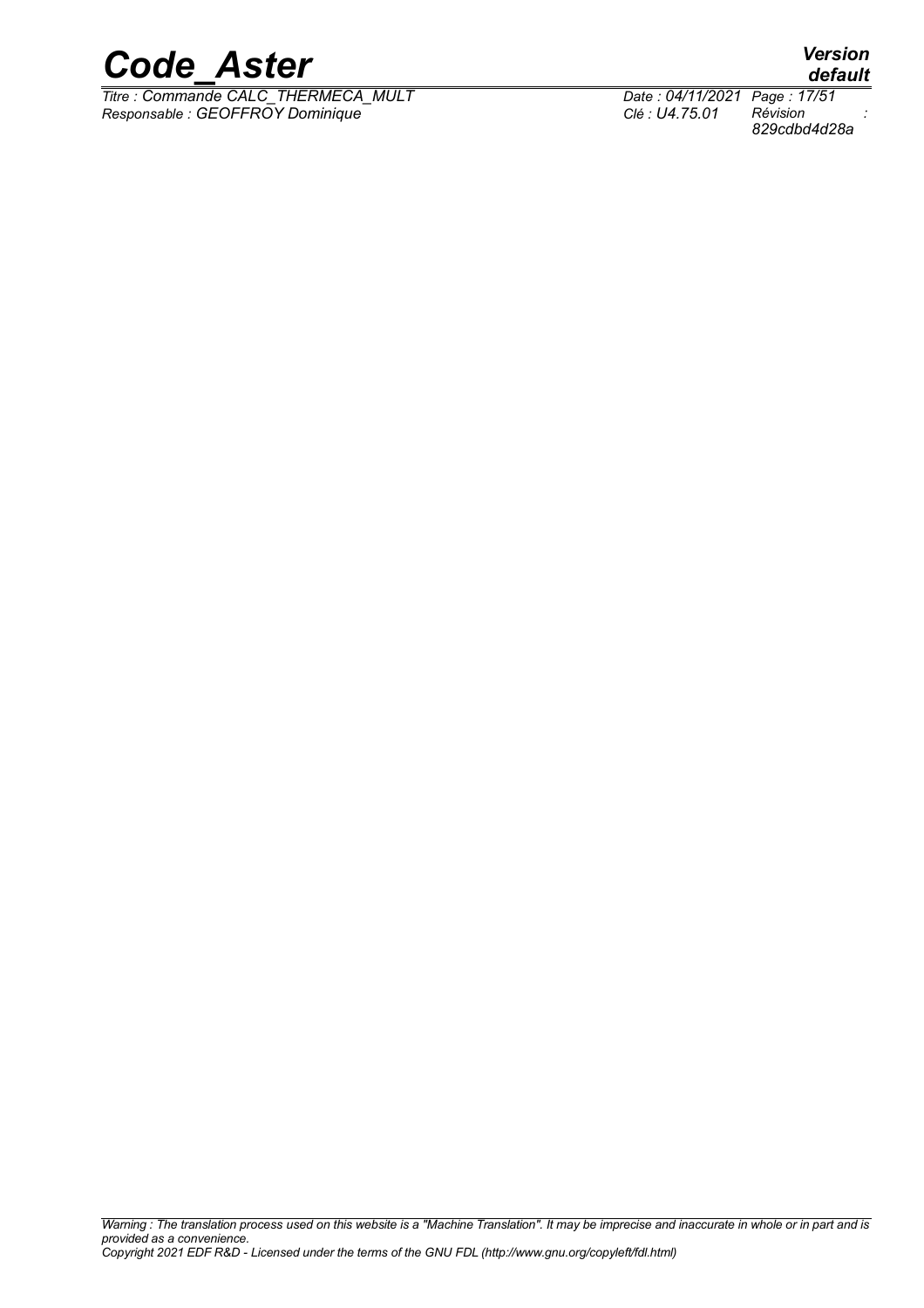

*Titre : Commande CALC\_THERMECA\_MULT Date : 04/11/2021 Page : 17/51 Responsable : GEOFFROY Dominique Clé : U4.75.01 Révision :*

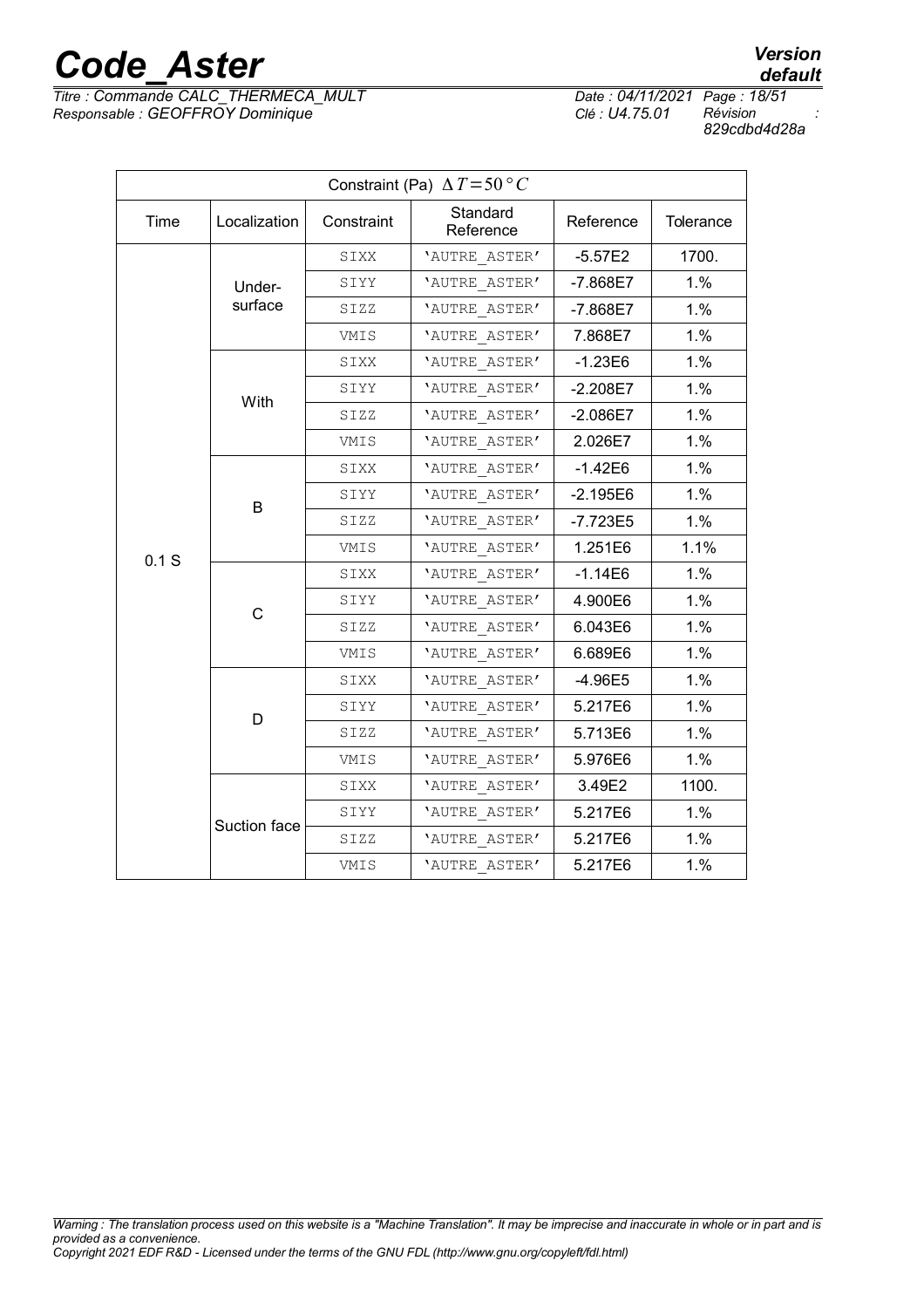*Titre : Commande CALC\_THERMECA\_MULT Date : 04/11/2021 Page : 18/51 Responsable : GEOFFROY Dominique Clé : U4.75.01 Révision :*

*Warning : The translation process used on this website is a "Machine Translation". It may be imprecise and inaccurate in whole or in part and is*

|      |              |            | Constraint (Pa) $\Delta T = 50^{\circ} C$ |            |           |
|------|--------------|------------|-------------------------------------------|------------|-----------|
| Time | Localization | Constraint | Standard<br>Reference                     | Reference  | Tolerance |
|      |              | SIXX       | 'AUTRE ASTER'                             | $-5.57E2$  | 1700.     |
|      | Under-       | SIYY       | 'AUTRE ASTER'                             | -7.868E7   | 1.%       |
|      | surface      | SIZZ       | 'AUTRE ASTER'                             | -7.868E7   | 1.%       |
|      |              | VMIS       | 'AUTRE ASTER'                             | 7.868E7    | 1.%       |
|      |              | SIXX       | 'AUTRE ASTER'                             | $-1.23E6$  | 1.%       |
|      | With         | SIYY       | 'AUTRE ASTER'                             | $-2.208E7$ | 1.%       |
|      |              | SIZZ       | 'AUTRE ASTER'                             | $-2.086E7$ | 1.%       |
|      |              | VMIS       | 'AUTRE ASTER'                             | 2.026E7    | 1.%       |
|      |              | SIXX       | 'AUTRE ASTER'                             | $-1.42E6$  | 1.%       |
|      | B            | SIYY       | 'AUTRE ASTER'                             | $-2.195E6$ | 1.%       |
|      |              | SIZZ       | 'AUTRE ASTER'                             | $-7.723E5$ | 1.%       |
|      |              | VMIS       | 'AUTRE ASTER'                             | 1.251E6    | 1.1%      |
| 0.1S |              | SIXX       | 'AUTRE ASTER'                             | $-1.14E6$  | 1.%       |
|      |              | SIYY       | 'AUTRE ASTER'                             | 4.900E6    | 1.%       |
|      | $\mathsf{C}$ | SIZZ       | 'AUTRE ASTER'                             | 6.043E6    | 1.%       |
|      |              | VMIS       | 'AUTRE ASTER'                             | 6.689E6    | 1.%       |
|      |              | SIXX       | 'AUTRE ASTER'                             | $-4.96E5$  | 1.%       |
|      |              | SIYY       | 'AUTRE ASTER'                             | 5.217E6    | 1.%       |
|      | D            | SIZZ       | 'AUTRE ASTER'                             | 5.713E6    | 1.%       |
|      |              | VMIS       | 'AUTRE ASTER'                             | 5.976E6    | 1.%       |
|      |              | SIXX       | 'AUTRE ASTER'                             | 3.49E2     | 1100.     |
|      |              | SIYY       | 'AUTRE ASTER'                             | 5.217E6    | 1.%       |
|      | Suction face | SIZZ       | 'AUTRE ASTER'                             | 5.217E6    | 1.%       |
|      |              | VMIS       | 'AUTRE ASTER'                             | 5.217E6    | 1.%       |

*829cdbd4d28a*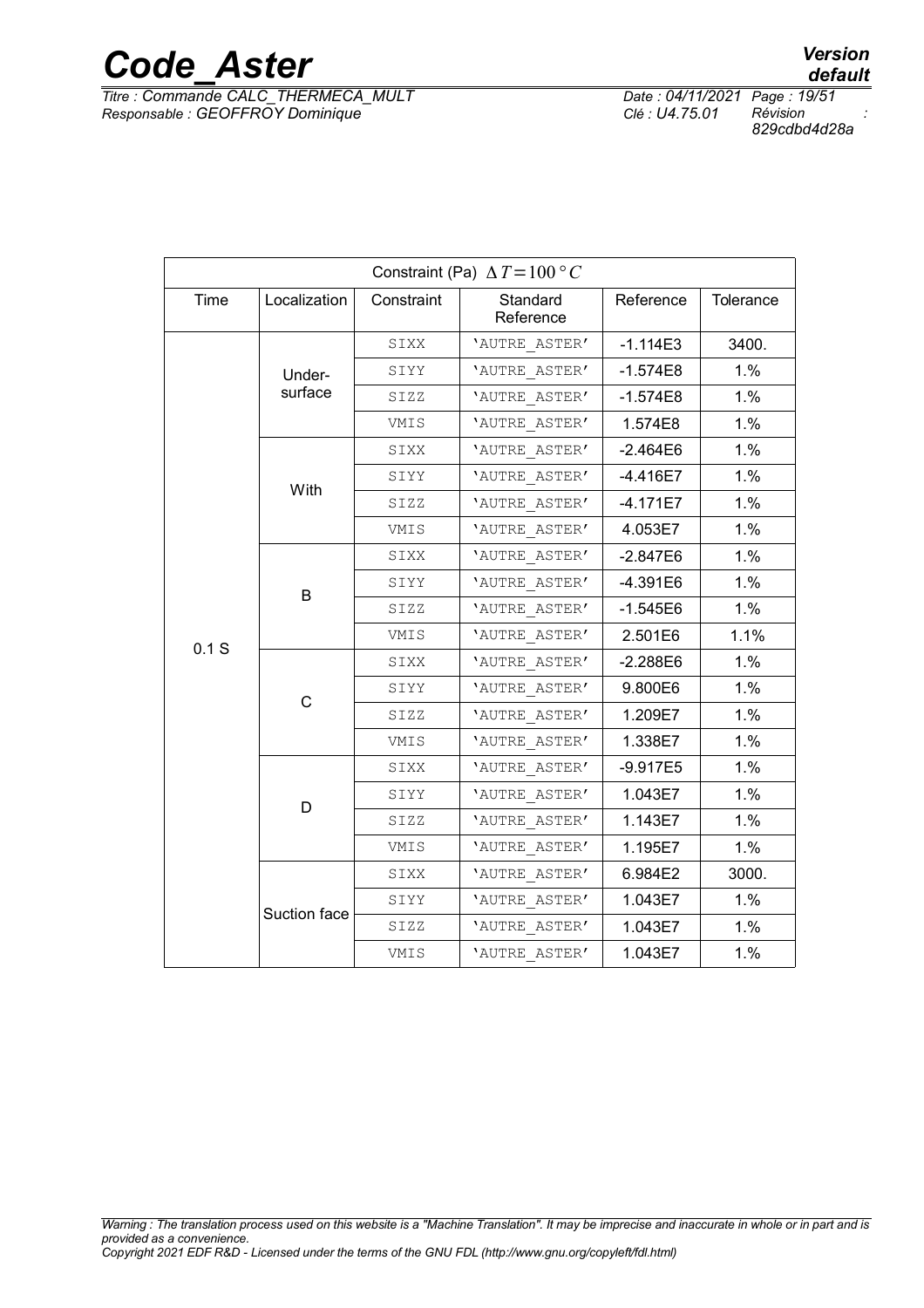*Titre : Commande CALC\_THERMECA\_MULT Date : 04/11/2021 Page : 19/51 Responsable : GEOFFROY Dominique Clé : U4.75.01 Révision :*

| Constraint (Pa) $\Delta T = 100^{\circ} C$ |              |            |                       |            |                                                       |  |  |
|--------------------------------------------|--------------|------------|-----------------------|------------|-------------------------------------------------------|--|--|
| Time                                       | Localization | Constraint | Standard<br>Reference | Reference  | Tolerance                                             |  |  |
|                                            |              | SIXX       | 'AUTRE ASTER'         | $-1.114E3$ | 3400.                                                 |  |  |
|                                            | Under-       | SIYY       | 'AUTRE ASTER'         | $-1.574E8$ | 1.%                                                   |  |  |
|                                            | surface      | SIZZ       | 'AUTRE ASTER'         | $-1.574E8$ | 1.%                                                   |  |  |
|                                            |              | VMIS       | 'AUTRE ASTER'         | 1.574E8    | 1.%                                                   |  |  |
|                                            |              | SIXX       | 'AUTRE ASTER'         | $-2.464E6$ | 1.%                                                   |  |  |
|                                            | With         | SIYY       | 'AUTRE ASTER'         | $-4.416E7$ | 1.%                                                   |  |  |
|                                            |              | SIZZ       | 'AUTRE ASTER'         | $-4.171E7$ | 1.%<br>1.%<br>1.%<br>1.%<br>1.%<br>1.1%<br>1.%<br>1.% |  |  |
|                                            |              | VMIS       | 'AUTRE ASTER'         | 4.053E7    |                                                       |  |  |
|                                            |              | SIXX       | 'AUTRE ASTER'         | $-2.847E6$ |                                                       |  |  |
|                                            | B            | SIYY       | 'AUTRE ASTER'         | $-4.391E6$ |                                                       |  |  |
|                                            |              | SIZZ       | 'AUTRE ASTER'         | $-1.545E6$ |                                                       |  |  |
| 0.1S                                       |              | VMIS       | 'AUTRE ASTER'         | 2.501E6    |                                                       |  |  |
|                                            | C            | SIXX       | 'AUTRE ASTER'         | $-2.288E6$ |                                                       |  |  |
|                                            |              | SIYY       | 'AUTRE ASTER'         | 9.800E6    |                                                       |  |  |
|                                            |              | SIZZ       | 'AUTRE ASTER'         | 1.209E7    | 1.%                                                   |  |  |
|                                            |              | VMIS       | 'AUTRE ASTER'         | 1.338E7    | 1.%                                                   |  |  |
|                                            |              | SIXX       | 'AUTRE ASTER'         | $-9.917E5$ | 1.%                                                   |  |  |
|                                            | D            | SIYY       | 'AUTRE ASTER'         | 1.043E7    | 1.%                                                   |  |  |
|                                            |              | SIZZ       | 'AUTRE ASTER'         | 1.143E7    | 1.%                                                   |  |  |
|                                            |              | VMIS       | 'AUTRE ASTER'         | 1.195E7    | 1.%                                                   |  |  |
|                                            |              | SIXX       | 'AUTRE ASTER'         | 6.984E2    | 3000.                                                 |  |  |
|                                            | Suction face | SIYY       | 'AUTRE ASTER'         | 1.043E7    | 1.%                                                   |  |  |
|                                            |              | SIZZ       | 'AUTRE ASTER'         | 1.043E7    | 1.%                                                   |  |  |
|                                            |              | VMIS       | 'AUTRE ASTER'         | 1.043E7    | 1.%                                                   |  |  |

*829cdbd4d28a*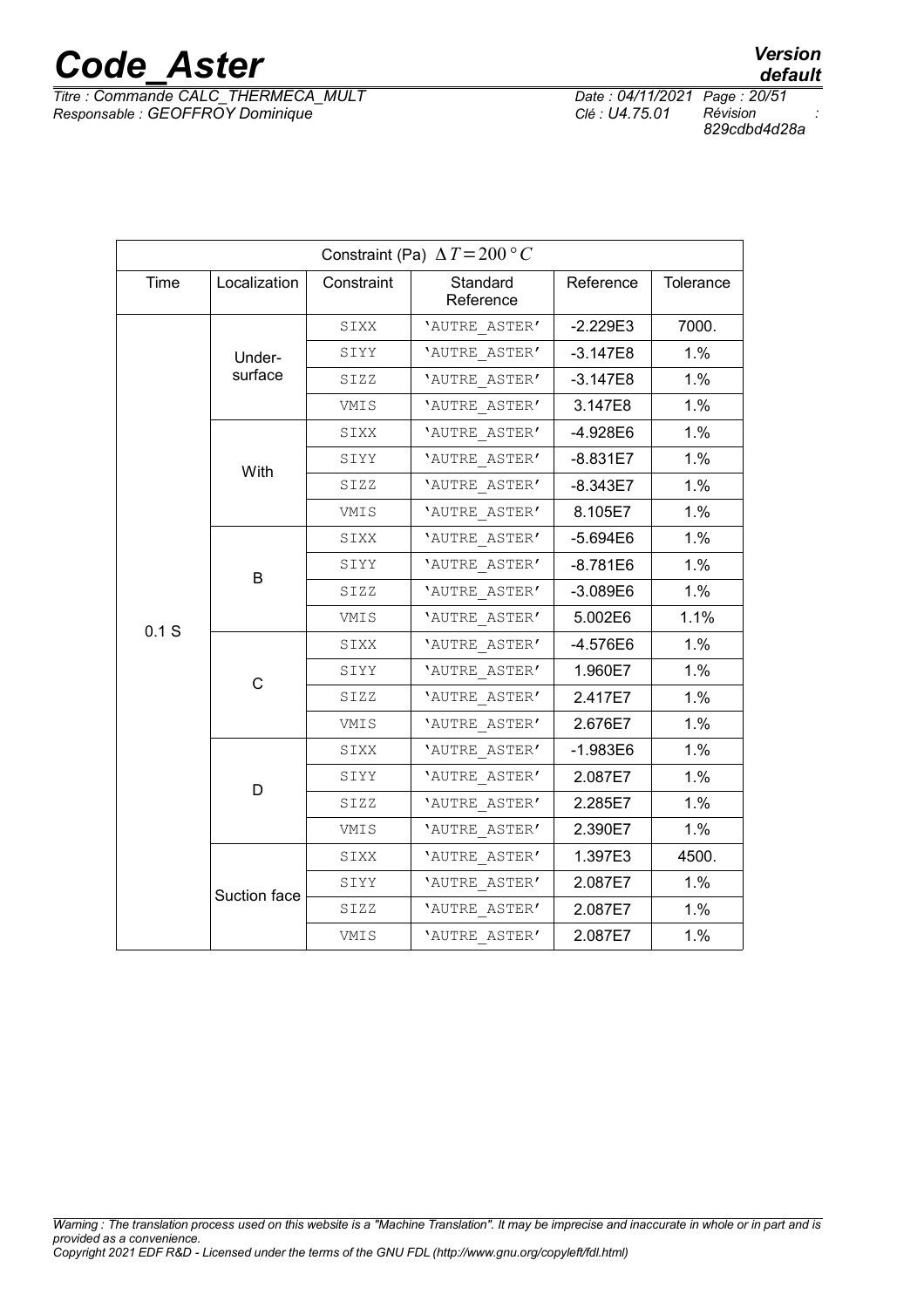*Titre : Commande CALC\_THERMECA\_MULT Date : 04/11/2021 Page : 20/51 Responsable : GEOFFROY Dominique Clé : U4.75.01 Révision :*

| Constraint (Pa) $\Delta T = 200$ ° C |              |            |                       |            |           |  |  |
|--------------------------------------|--------------|------------|-----------------------|------------|-----------|--|--|
| Time                                 | Localization | Constraint | Standard<br>Reference | Reference  | Tolerance |  |  |
|                                      |              | SIXX       | 'AUTRE ASTER'         | $-2.229E3$ | 7000.     |  |  |
|                                      | Under-       | SIYY       | 'AUTRE ASTER'         | $-3.147E8$ | 1.%       |  |  |
|                                      | surface      | SIZZ       | 'AUTRE ASTER'         | $-3.147E8$ | 1.%       |  |  |
|                                      |              | VMIS       | 'AUTRE ASTER'         | 3.147E8    | 1.%       |  |  |
|                                      |              | SIXX       | 'AUTRE ASTER'         | -4.928E6   | 1.%       |  |  |
|                                      | With         | SIYY       | 'AUTRE ASTER'         | $-8.831E7$ | 1.%       |  |  |
|                                      |              | SIZZ       | 'AUTRE ASTER'         | $-8.343E7$ | 1.%       |  |  |
|                                      |              | VMIS       | 'AUTRE ASTER'         | 8.105E7    | 1.%       |  |  |
|                                      |              | SIXX       | 'AUTRE ASTER'         | $-5.694E6$ | 1.%       |  |  |
|                                      | B            | SIYY       | 'AUTRE ASTER'         | $-8.781E6$ | 1.%       |  |  |
|                                      |              | SIZZ       | 'AUTRE ASTER'         | $-3.089E6$ | 1.%       |  |  |
|                                      |              | VMIS       | 'AUTRE ASTER'         | 5.002E6    | 1.1%      |  |  |
| 0.1 S                                |              | SIXX       | 'AUTRE ASTER'         | -4.576E6   | 1.%       |  |  |
|                                      | C            | SIYY       | 'AUTRE ASTER'         | 1.960E7    | 1.%       |  |  |
|                                      |              | SIZZ       | 'AUTRE ASTER'         | 2.417E7    | 1.%       |  |  |
|                                      |              | VMIS       | 'AUTRE ASTER'         | 2.676E7    | 1.%       |  |  |
|                                      |              | SIXX       | 'AUTRE ASTER'         | $-1.983E6$ | 1.%       |  |  |
|                                      | D            | SIYY       | 'AUTRE ASTER'         | 2.087E7    | 1.%       |  |  |
|                                      |              | SIZZ       | 'AUTRE ASTER'         | 2.285E7    | 1.%       |  |  |
|                                      |              | VMIS       | 'AUTRE ASTER'         | 2.390E7    | 1.%       |  |  |
|                                      |              | SIXX       | 'AUTRE ASTER'         | 1.397E3    | 4500.     |  |  |
|                                      |              | SIYY       | 'AUTRE ASTER'         | 2.087E7    | 1.%       |  |  |
|                                      | Suction face | SIZZ       | 'AUTRE ASTER'         | 2.087E7    | 1.%       |  |  |
|                                      |              | VMIS       | 'AUTRE ASTER'         | 2.087E7    | 1.%       |  |  |

*829cdbd4d28a*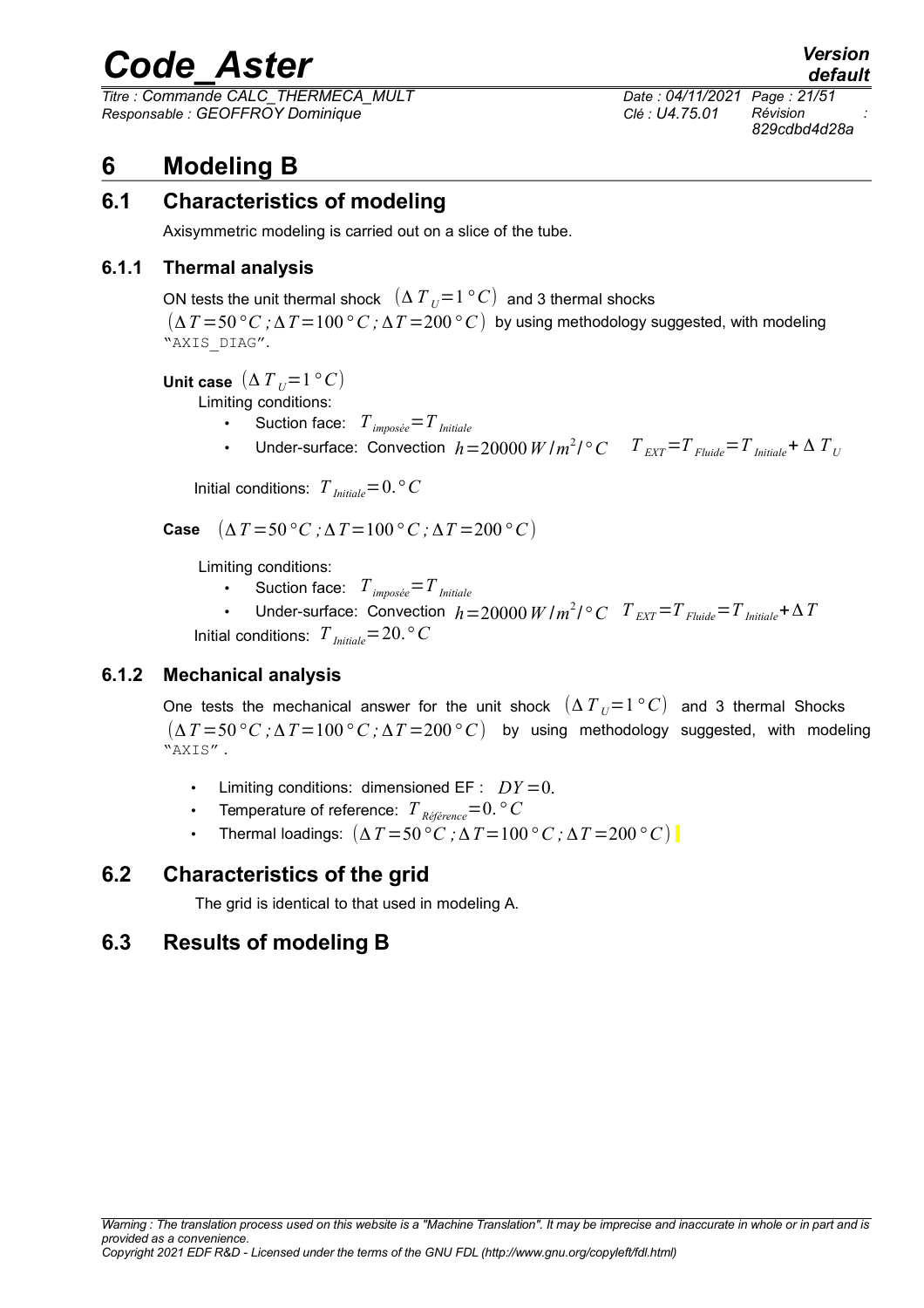*Titre : Commande CALC\_THERMECA\_MULT Date : 04/11/2021 Page : 21/51 Responsable : GEOFFROY Dominique Clé : U4.75.01 Révision :*

*829cdbd4d28a*

#### <span id="page-20-5"></span>**6 Modeling B**

#### **6.1 Characteristics of modeling**

<span id="page-20-4"></span>Axisymmetric modeling is carried out on a slice of the tube.

#### **6.1.1 Thermal analysis**

<span id="page-20-3"></span>ON tests the unit thermal shock  $(\Delta T_{\nu} = 1 \degree C)$  and 3 thermal shocks

 $(\Delta T = 50^{\circ}C \cdot \Delta T = 100^{\circ}C \cdot \Delta T = 200^{\circ}C)$  by using methodology suggested, with modeling "AXIS\_DIAG".

**Unit case**  $(\Delta T_U = 1 \degree C)$ 

Limiting conditions:

- Suction face: *Timposée*=*T Initiale*
- Under-surface: Convection  $h = 20000 \ W/m^2$ /°C  $T_{EXT} = T_{Fluide} = T_{Initiale} + \Delta T_{U}$

Initial conditions:  $T_{\text{Initial}} = 0.$  ° C

Case 
$$
(\Delta T = 50 \degree C; \Delta T = 100 \degree C; \Delta T = 200 \degree C)
$$

Limiting conditions:

- Suction face:  $T_{impose} = T_{Initiale}$
- Under-surface: Convection  $h = 20000 W/m^2$ /°C  $T_{EXT} = T_{Fluide} = T_{Initiale} + \Delta T$ Initial conditions:  $T_{initial} = 20.$  °  $C$

#### **6.1.2 Mechanical analysis**

<span id="page-20-2"></span>One tests the mechanical answer for the unit shock  $(\Delta T_{\nu}=1\degree C)$  and 3 thermal Shocks  $(\Delta T = 50 °C ; \Delta T = 100 °C ; \Delta T = 200 °C)$  by using methodology suggested, with modeling "AXIS" .

- Limiting conditions: dimensioned  $EF: DY = 0$ .
- Temperature of reference:  $T_{\text{Reference}} = 0.$  ° C
- Thermal loadings:  $(\Delta T = 50 °C ; \Delta T = 100 °C ; \Delta T = 200 °C)$

#### **6.2 Characteristics of the grid**

<span id="page-20-1"></span><span id="page-20-0"></span>The grid is identical to that used in modeling A.

#### **6.3 Results of modeling B**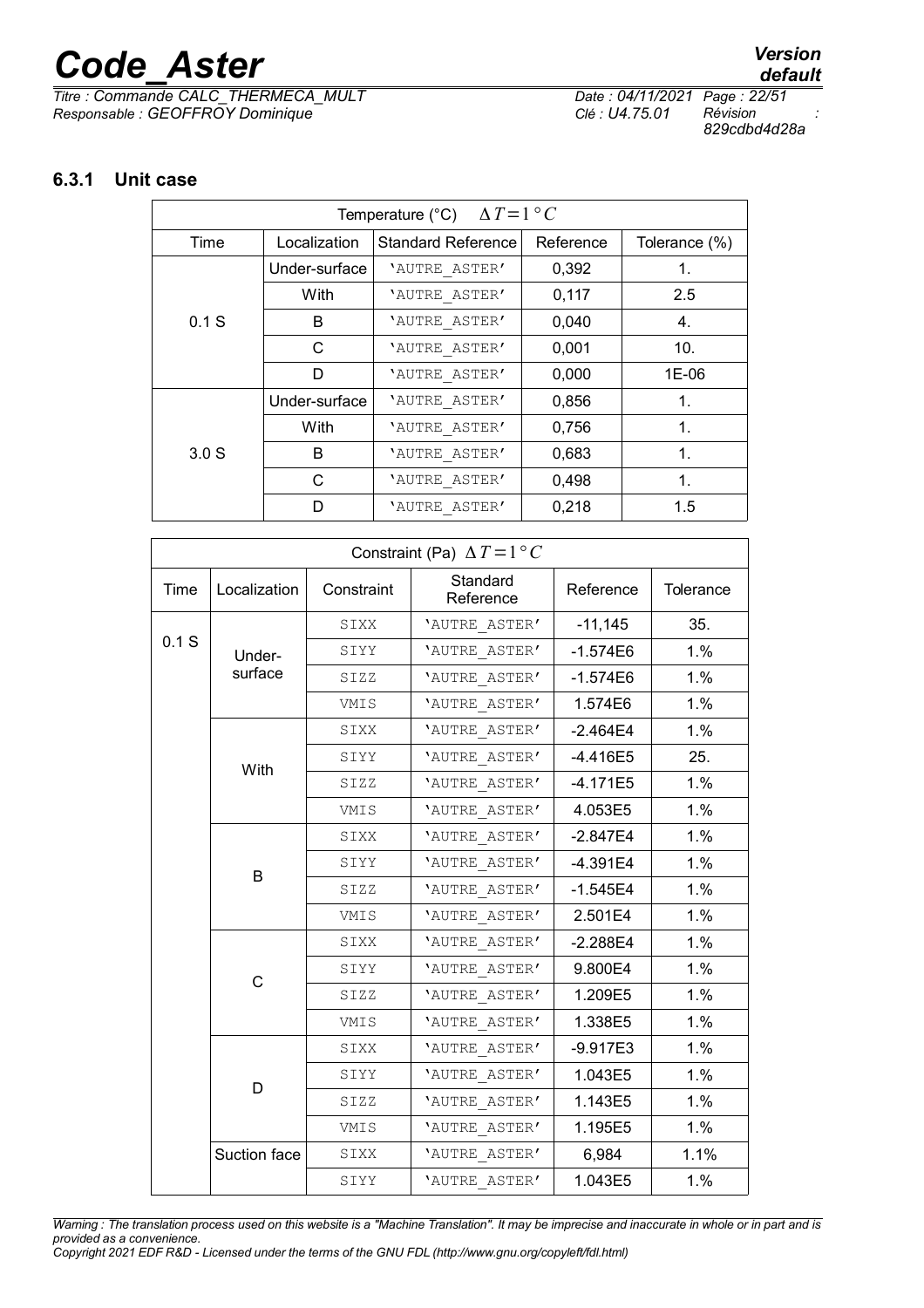*Titre : Commande CALC\_THERMECA\_MULT Date : 04/11/2021 Page : 22/51 Responsable : GEOFFROY Dominique Clé : U4.75.01 Révision :*

*829cdbd4d28a*

#### **6.3.1 Unit case**

<span id="page-21-0"></span>

| Temperature (°C) $\Delta T = 1 \degree C$ |               |                           |           |               |  |
|-------------------------------------------|---------------|---------------------------|-----------|---------------|--|
| Time                                      | Localization  | <b>Standard Reference</b> | Reference | Tolerance (%) |  |
| 0.1S                                      | Under-surface | 'AUTRE ASTER'             | 0,392     | 1.            |  |
|                                           | With          | 'AUTRE ASTER'             | 0,117     | 2.5           |  |
|                                           | B             | 'AUTRE ASTER'             | 0,040     | 4.            |  |
|                                           | C             | 'AUTRE ASTER'             | 0,001     | 10.           |  |
|                                           | D             | 'AUTRE ASTER'             | 0,000     | 1E-06         |  |
|                                           | Under-surface | 'AUTRE ASTER'             | 0,856     | 1.            |  |
|                                           | With          | 'AUTRE ASTER'             | 0,756     | 1.            |  |
| 3.0 <sub>S</sub>                          | B             | 'AUTRE ASTER'             | 0,683     | 1.            |  |
|                                           | C             | 'AUTRE ASTER'             | 0,498     | 1.            |  |
|                                           | D             | 'AUTRE ASTER'             | 0,218     | 1.5           |  |

| Constraint (Pa) $\Delta T = 1 \degree C$ |                   |            |                       |            |           |  |  |
|------------------------------------------|-------------------|------------|-----------------------|------------|-----------|--|--|
| Time                                     | Localization      | Constraint | Standard<br>Reference | Reference  | Tolerance |  |  |
|                                          |                   | SIXX       | 'AUTRE ASTER'         | $-11,145$  | 35.       |  |  |
| 0.1S                                     | Under-<br>surface | SIYY       | 'AUTRE ASTER'         | $-1.574E6$ | 1.%       |  |  |
|                                          |                   | SIZZ       | 'AUTRE ASTER'         | $-1.574E6$ | 1.%       |  |  |
|                                          |                   | VMIS       | 'AUTRE ASTER'         | 1.574E6    | 1.%       |  |  |
|                                          |                   | SIXX       | 'AUTRE ASTER'         | $-2.464E4$ | 1.%       |  |  |
|                                          |                   | SIYY       | 'AUTRE ASTER'         | $-4.416E5$ | 25.       |  |  |
|                                          | With              | SIZZ       | 'AUTRE ASTER'         | $-4.171E5$ | 1.%       |  |  |
|                                          |                   | VMIS       | 'AUTRE ASTER'         | 4.053E5    | 1.%       |  |  |
|                                          |                   | SIXX       | 'AUTRE ASTER'         | $-2.847E4$ | 1.%       |  |  |
|                                          | B                 | SIYY       | 'AUTRE ASTER'         | $-4.391E4$ | 1.%       |  |  |
|                                          |                   | SIZZ       | 'AUTRE ASTER'         | $-1.545E4$ | 1.%       |  |  |
|                                          |                   | VMIS       | 'AUTRE ASTER'         | 2.501E4    | 1.%       |  |  |
|                                          |                   | SIXX       | 'AUTRE ASTER'         | $-2.288E4$ | 1.%       |  |  |
|                                          | C                 | SIYY       | 'AUTRE ASTER'         | 9.800E4    | 1.%       |  |  |
|                                          |                   | SIZZ       | 'AUTRE ASTER'         | 1.209E5    | 1.%       |  |  |
|                                          |                   | VMIS       | 'AUTRE ASTER'         | 1.338E5    | 1.%       |  |  |
|                                          |                   | SIXX       | 'AUTRE ASTER'         | $-9.917E3$ | 1.%       |  |  |
|                                          | D                 | SIYY       | 'AUTRE ASTER'         | 1.043E5    | 1.%       |  |  |
|                                          |                   | SIZZ       | 'AUTRE ASTER'         | 1.143E5    | 1.%       |  |  |
|                                          |                   | VMIS       | 'AUTRE ASTER'         | 1.195E5    | 1.%       |  |  |
|                                          | Suction face      | SIXX       | 'AUTRE ASTER'         | 6,984      | 1.1%      |  |  |
|                                          |                   | SIYY       | 'AUTRE ASTER'         | 1.043E5    | 1.%       |  |  |

*Warning : The translation process used on this website is a "Machine Translation". It may be imprecise and inaccurate in whole or in part and is provided as a convenience.*

*Copyright 2021 EDF R&D - Licensed under the terms of the GNU FDL (http://www.gnu.org/copyleft/fdl.html)*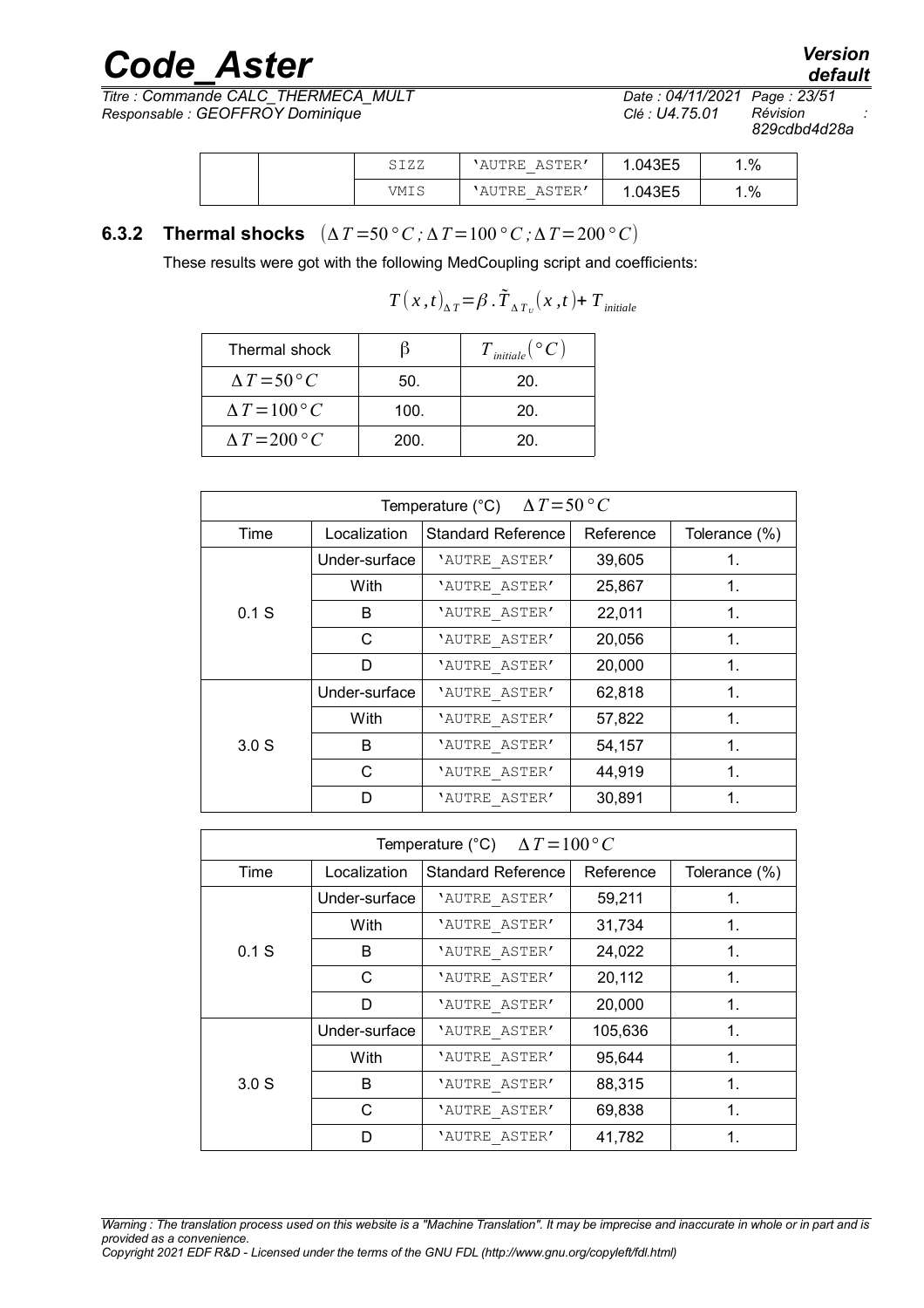*Titre : Commande CALC\_THERMECA\_MULT Date : 04/11/2021 Page : 23/51 Responsable : GEOFFROY Dominique* 

*829cdbd4d28a*

| セエクク | 'AUTRE ASTER' | 1.043E5 | $. \%$ |
|------|---------------|---------|--------|
| VMIS | 'AUTRE ASTER' | 1.043E5 | $. \%$ |

#### **6.3.2 Thermal shocks**  $(\Delta T = 50 °C; \Delta T = 100 °C; \Delta T = 200 °C)$

<span id="page-22-0"></span>These results were got with the following MedCoupling script and coefficients:

$$
T(x,t)_{\Delta T} = \beta \cdot \tilde{T}_{\Delta T_v}(x,t) + T_{\text{initiale}}
$$

| Thermal shock             |      | $T_{\text{initiale}}({}^{\circ}C)$ |
|---------------------------|------|------------------------------------|
| $\Delta T = 50^{\circ}C$  | 50.  | 20.                                |
| $\Delta T = 100^{\circ}C$ | 100. | 20.                                |
| $\Delta T = 200 °C$       | 200. | 20.                                |

| Temperature (°C) $\Delta T = 50$ °C |               |                           |           |               |  |
|-------------------------------------|---------------|---------------------------|-----------|---------------|--|
| Time                                | Localization  | <b>Standard Reference</b> | Reference | Tolerance (%) |  |
|                                     | Under-surface | 'AUTRE ASTER'             | 39,605    | 1.            |  |
|                                     | With          | 'AUTRE ASTER'             | 25,867    | 1.            |  |
| $0.1$ S                             | B             | 'AUTRE ASTER'             | 22,011    | 1.            |  |
|                                     | C             | 'AUTRE ASTER'             | 20,056    | 1.            |  |
|                                     | D             | 'AUTRE ASTER'             | 20,000    | 1.            |  |
|                                     | Under-surface | 'AUTRE ASTER'             | 62,818    | 1.            |  |
|                                     | With          | 'AUTRE ASTER'             | 57,822    | 1.            |  |
| 3.0 S                               | B             | 'AUTRE ASTER'             | 54,157    | 1.            |  |
|                                     | C             | 'AUTRE ASTER'             | 44,919    | 1.            |  |
|                                     | D             | 'AUTRE ASTER'             | 30,891    |               |  |

| Temperature (°C) $\Delta T = 100^{\circ} C$ |               |                           |           |               |  |  |
|---------------------------------------------|---------------|---------------------------|-----------|---------------|--|--|
| Time                                        | Localization  | <b>Standard Reference</b> | Reference | Tolerance (%) |  |  |
|                                             | Under-surface | 'AUTRE ASTER'             | 59,211    | 1.            |  |  |
|                                             | With          | 'AUTRE ASTER'             | 31,734    | 1.            |  |  |
| $0.1$ S                                     | B             | 'AUTRE ASTER'             | 24,022    | 1.            |  |  |
|                                             | С             | 'AUTRE ASTER'             | 20,112    | 1.            |  |  |
|                                             | D             | 'AUTRE ASTER'             | 20,000    | 1.            |  |  |
|                                             | Under-surface | 'AUTRE ASTER'             | 105,636   | 1.            |  |  |
| 3.0 <sub>S</sub>                            | With          | 'AUTRE ASTER'             | 95,644    | 1.            |  |  |
|                                             | B             | 'AUTRE ASTER'             | 88,315    | 1.            |  |  |
|                                             | C             | 'AUTRE ASTER'             | 69,838    | 1.            |  |  |
|                                             | D             | 'AUTRE ASTER'             | 41,782    |               |  |  |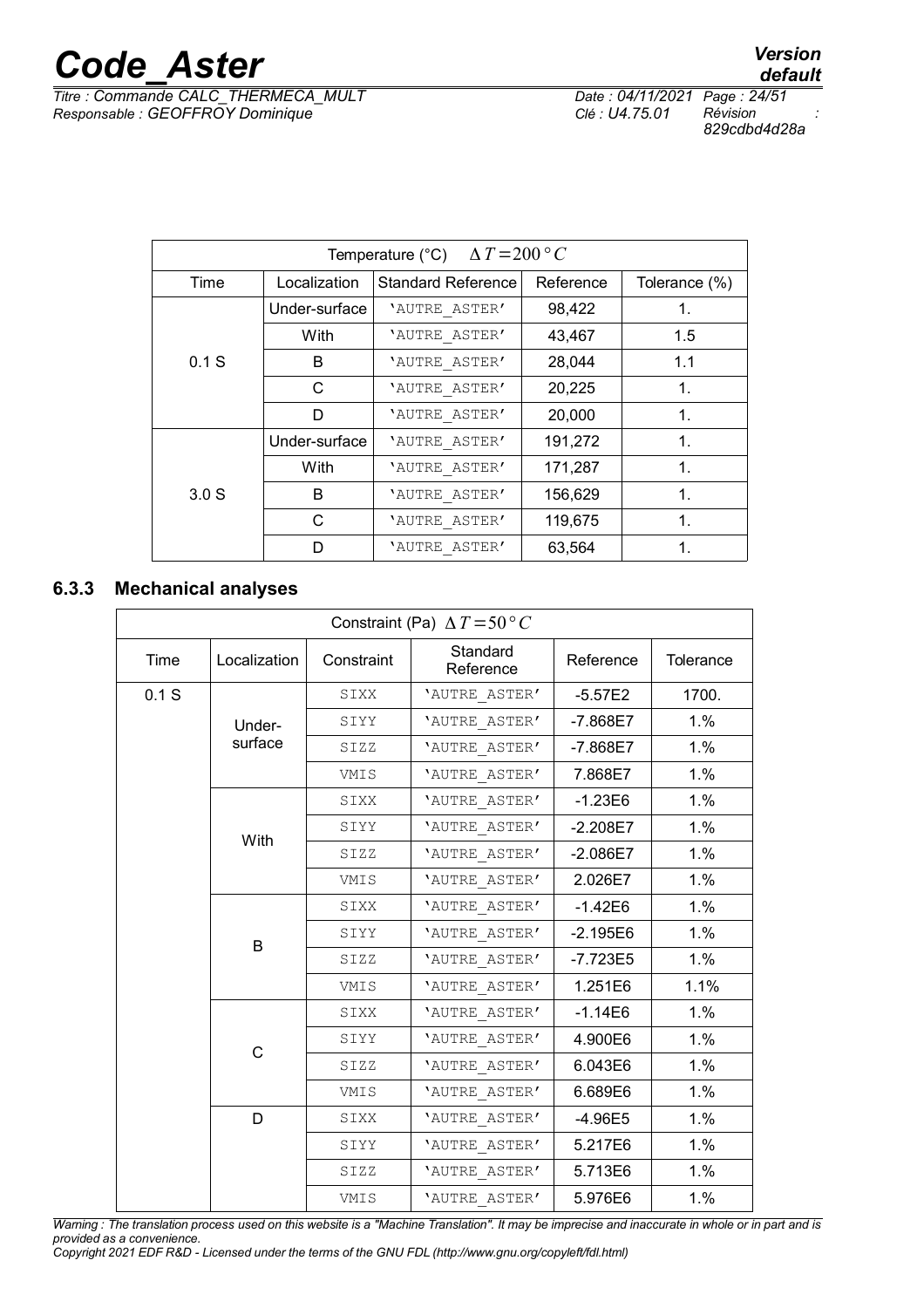*Titre : Commande CALC\_THERMECA\_MULT Date : 04/11/2021 Page : 24/51 Responsable : GEOFFROY Dominique Clé : U4.75.01 Révision :*

| Version |
|---------|
| default |

*829cdbd4d28a*

| Temperature (°C) $\Delta T = 200$ °C |               |                           |           |                |  |  |
|--------------------------------------|---------------|---------------------------|-----------|----------------|--|--|
| Time                                 | Localization  | <b>Standard Reference</b> | Reference | Tolerance (%)  |  |  |
|                                      | Under-surface | 'AUTRE ASTER'             | 98,422    | 1.             |  |  |
|                                      | With          | 'AUTRE ASTER'             | 43,467    | 1.5            |  |  |
| $0.1$ S                              | B             | 'AUTRE ASTER'             | 28,044    | 1.1            |  |  |
|                                      | C             | 'AUTRE ASTER'             | 20,225    | 1.             |  |  |
|                                      | D             | 'AUTRE ASTER'             | 20,000    | 1.             |  |  |
| 3.0 <sub>S</sub>                     | Under-surface | 'AUTRE ASTER'             | 191,272   | 1.             |  |  |
|                                      | With          | 'AUTRE ASTER'             | 171,287   | $\mathbf{1}$ . |  |  |
|                                      | B             | 'AUTRE ASTER'             | 156,629   | 1.             |  |  |
|                                      | C             | 'AUTRE ASTER'             | 119,675   | 1.             |  |  |
|                                      | D             | 'AUTRE ASTER'             | 63,564    |                |  |  |

#### **6.3.3 Mechanical analyses**

<span id="page-23-0"></span>

| Constraint (Pa) $\Delta T = 50^{\circ} C$ |                   |            |                       |            |           |  |
|-------------------------------------------|-------------------|------------|-----------------------|------------|-----------|--|
| Time                                      | Localization      | Constraint | Standard<br>Reference | Reference  | Tolerance |  |
| 0.1 S                                     |                   | SIXX       | 'AUTRE ASTER'         | $-5.57E2$  | 1700.     |  |
|                                           | Under-<br>surface | SIYY       | 'AUTRE ASTER'         | -7.868E7   | 1.%       |  |
|                                           |                   | SIZZ       | 'AUTRE ASTER'         | $-7.868E7$ | 1.%       |  |
|                                           |                   | VMIS       | 'AUTRE ASTER'         | 7.868E7    | 1.%       |  |
|                                           |                   | SIXX       | 'AUTRE ASTER'         | $-1.23E6$  | 1.%       |  |
|                                           |                   | SIYY       | 'AUTRE ASTER'         | -2.208E7   | 1.%       |  |
|                                           | With              | SIZZ       | 'AUTRE ASTER'         | $-2.086E7$ | 1.%       |  |
|                                           |                   | VMIS       | 'AUTRE ASTER'         | 2.026E7    | 1.%       |  |
|                                           |                   | SIXX       | 'AUTRE ASTER'         | $-1.42E6$  | 1.%       |  |
|                                           | B                 | SIYY       | 'AUTRE ASTER'         | $-2.195E6$ | 1.%       |  |
|                                           |                   | SIZZ       | 'AUTRE ASTER'         | $-7.723E5$ | 1.%       |  |
|                                           |                   | VMIS       | 'AUTRE ASTER'         | 1.251E6    | 1.1%      |  |
|                                           |                   | SIXX       | 'AUTRE ASTER'         | $-1.14E6$  | 1.%       |  |
|                                           |                   | SIYY       | 'AUTRE ASTER'         | 4.900E6    | 1.%       |  |
|                                           | C                 | SIZZ       | 'AUTRE ASTER'         | 6.043E6    | 1.%       |  |
|                                           |                   | VMIS       | 'AUTRE ASTER'         | 6.689E6    | 1.%       |  |
|                                           | D                 | SIXX       | 'AUTRE ASTER'         | $-4.96E5$  | 1.%       |  |
|                                           |                   | SIYY       | 'AUTRE ASTER'         | 5.217E6    | 1.%       |  |
|                                           |                   | SIZZ       | 'AUTRE ASTER'         | 5.713E6    | 1.%       |  |
|                                           |                   | VMIS       | 'AUTRE ASTER'         | 5.976E6    | 1.%       |  |

*Warning : The translation process used on this website is a "Machine Translation". It may be imprecise and inaccurate in whole or in part and is provided as a convenience.*

*Copyright 2021 EDF R&D - Licensed under the terms of the GNU FDL (http://www.gnu.org/copyleft/fdl.html)*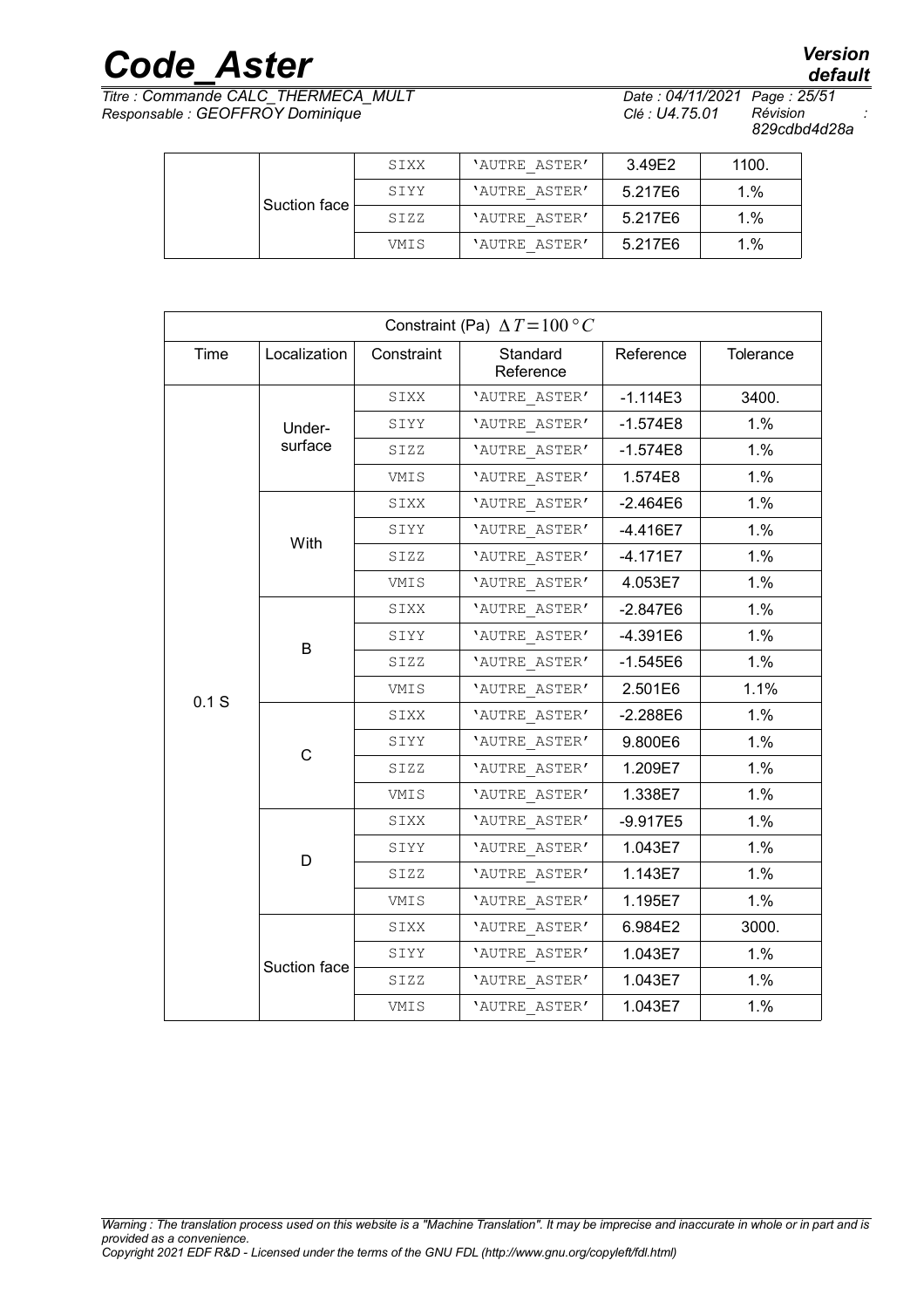*Titre : Commande CALC\_THERMECA\_MULT Date : 04/11/2021 Page : 25/51 Responsable : GEOFFROY Dominique Clé : U4.75.01 Révision :*

|              | SIXX | 'AUTRE ASTER' | 3.49E2  | 1100. |
|--------------|------|---------------|---------|-------|
|              | SIYY | 'AUTRE ASTER' | 5.217E6 | 1.%   |
| Suction face | SIZZ | 'AUTRE ASTER' | 5.217E6 | 1.%   |
|              | VMIS | 'AUTRE ASTER' | 5.217E6 | 1.%   |

| Constraint (Pa) $\Delta T = 100^{\circ} C$ |              |                 |                       |            |           |  |  |
|--------------------------------------------|--------------|-----------------|-----------------------|------------|-----------|--|--|
| <b>Time</b>                                | Localization | Constraint      | Standard<br>Reference | Reference  | Tolerance |  |  |
|                                            |              | SIXX            | 'AUTRE ASTER'         | $-1.114E3$ | 3400.     |  |  |
|                                            | Under-       | SIYY            | 'AUTRE ASTER'         | $-1.574E8$ | 1.%       |  |  |
|                                            | surface      | SIZZ            | 'AUTRE ASTER'         | $-1.574E8$ | 1.%       |  |  |
|                                            |              | VMIS            | 'AUTRE ASTER'         | 1.574E8    | 1.%       |  |  |
|                                            |              | SIXX            | 'AUTRE ASTER'         | $-2.464E6$ | 1.%       |  |  |
|                                            | With         | SIYY            | 'AUTRE ASTER'         | $-4.416E7$ | 1.%       |  |  |
|                                            |              | SIZZ            | 'AUTRE ASTER'         | $-4.171E7$ | 1.%       |  |  |
|                                            |              | VMIS            | 'AUTRE ASTER'         | 4.053E7    | 1.%       |  |  |
|                                            |              | SIXX            | 'AUTRE ASTER'         | $-2.847E6$ | 1.%       |  |  |
|                                            | B            | SIYY            | 'AUTRE ASTER'         | $-4.391E6$ | 1.%       |  |  |
|                                            |              | SIZZ            | 'AUTRE ASTER'         | $-1.545E6$ | 1.%       |  |  |
| 0.1 <sub>S</sub>                           |              | VMIS            | 'AUTRE ASTER'         | 2.501E6    | 1.1%      |  |  |
|                                            |              | SIXX            | 'AUTRE ASTER'         | $-2.288E6$ | 1.%       |  |  |
|                                            | C            | $\texttt{SITY}$ | 'AUTRE ASTER'         | 9.800E6    | 1.%       |  |  |
|                                            |              | SIZZ            | 'AUTRE ASTER'         | 1.209E7    | 1.%       |  |  |
|                                            |              | VMIS            | 'AUTRE ASTER'         | 1.338E7    | 1.%       |  |  |
|                                            |              | SIXX            | 'AUTRE ASTER'         | $-9.917E5$ | 1.%       |  |  |
|                                            | D            | SIYY            | 'AUTRE_ASTER'         | 1.043E7    | 1.%       |  |  |
|                                            |              | SIZZ            | 'AUTRE ASTER'         | 1.143E7    | 1.%       |  |  |
|                                            |              | VMIS            | 'AUTRE ASTER'         | 1.195E7    | 1.%       |  |  |
|                                            |              | SIXX            | 'AUTRE ASTER'         | 6.984E2    | 3000.     |  |  |
|                                            | Suction face | SIYY            | 'AUTRE ASTER'         | 1.043E7    | 1.%       |  |  |
|                                            |              | SIZZ            | 'AUTRE ASTER'         | 1.043E7    | 1.%       |  |  |
|                                            |              | VMIS            | 'AUTRE ASTER'         | 1.043E7    | 1.%       |  |  |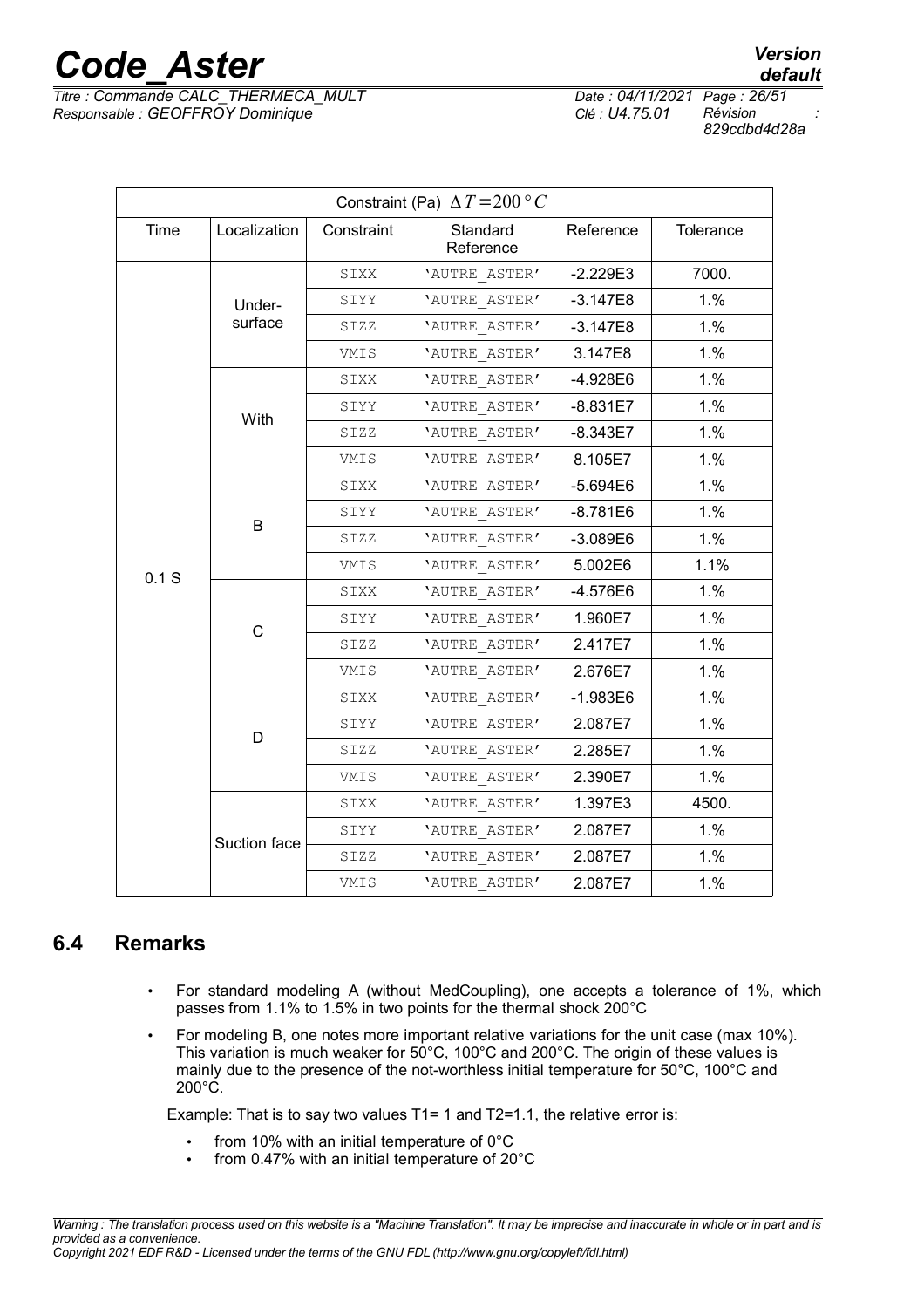*Titre : Commande CALC\_THERMECA\_MULT Date : 04/11/2021 Page : 26/51*  $Responsible : GEOFFOY$   $Dominique$   $\overline{I}$   $\longrightarrow$   $\overline{I}$   $\longrightarrow$   $\overline{I}$   $\longrightarrow$   $\overline{I}$   $\longrightarrow$   $\overline{I}$   $\longrightarrow$   $\overline{I}$   $\longrightarrow$   $\overline{I}$   $\longrightarrow$   $\overline{I}$   $\longrightarrow$   $\overline{I}$   $\longrightarrow$   $\overline{I}$   $\longrightarrow$   $\overline{I}$   $\longrightarrow$   $\overline{I}$   $\longrightarrow$   $\overline{I}$   $\longrightarrow$   $\overline{I}$   $\longrightarrow$   $\overline{I}$ 

| 04/11/2021 Page: 26/51 Page |              |
|-----------------------------|--------------|
| Clé : U4.75.01              | Révision     |
|                             | 829cdbd4d28a |

| Constraint (Pa) $\Delta T = 200$ ° C |                   |            |                       |            |           |  |
|--------------------------------------|-------------------|------------|-----------------------|------------|-----------|--|
| Time                                 | Localization      | Constraint | Standard<br>Reference | Reference  | Tolerance |  |
|                                      |                   | SIXX       | 'AUTRE ASTER'         | $-2.229E3$ | 7000.     |  |
|                                      | Under-<br>surface | SIYY       | 'AUTRE ASTER'         | $-3.147E8$ | 1.%       |  |
|                                      |                   | SIZZ       | 'AUTRE ASTER'         | $-3.147E8$ | 1.%       |  |
|                                      |                   | VMIS       | 'AUTRE ASTER'         | 3.147E8    | 1.%       |  |
|                                      |                   | SIXX       | 'AUTRE ASTER'         | -4.928E6   | 1.%       |  |
|                                      | With              | SIYY       | 'AUTRE ASTER'         | $-8.831E7$ | 1.%       |  |
|                                      |                   | SIZZ       | 'AUTRE ASTER'         | $-8.343E7$ | 1.%       |  |
|                                      |                   | VMIS       | 'AUTRE ASTER'         | 8.105E7    | 1.%       |  |
|                                      |                   | SIXX       | 'AUTRE ASTER'         | -5.694E6   | 1.%       |  |
|                                      | B                 | SIYY       | 'AUTRE ASTER'         | $-8.781E6$ | 1.%       |  |
|                                      |                   | SIZZ       | 'AUTRE ASTER'         | $-3.089E6$ | 1.%       |  |
| 0.1 S                                |                   | VMIS       | 'AUTRE ASTER'         | 5.002E6    | 1.1%      |  |
|                                      |                   | SIXX       | 'AUTRE ASTER'         | $-4.576E6$ | 1.%       |  |
|                                      | $\mathsf{C}$      | SIYY       | 'AUTRE ASTER'         | 1.960E7    | 1.%       |  |
|                                      |                   | SIZZ       | 'AUTRE ASTER'         | 2.417E7    | 1.%       |  |
|                                      |                   | VMIS       | 'AUTRE ASTER'         | 2.676E7    | 1.%       |  |
|                                      |                   | SIXX       | 'AUTRE ASTER'         | $-1.983E6$ | 1.%       |  |
|                                      | D                 | SIYY       | 'AUTRE ASTER'         | 2.087E7    | 1.%       |  |
|                                      |                   | SIZZ       | 'AUTRE ASTER'         | 2.285E7    | 1.%       |  |
|                                      |                   | VMIS       | 'AUTRE ASTER'         | 2.390E7    | 1.%       |  |
|                                      |                   | SIXX       | 'AUTRE ASTER'         | 1.397E3    | 4500.     |  |
|                                      | Suction face      | SIYY       | 'AUTRE ASTER'         | 2.087E7    | 1.%       |  |
|                                      |                   | SIZZ       | 'AUTRE ASTER'         | 2.087E7    | 1.%       |  |
|                                      |                   | VMIS       | 'AUTRE ASTER'         | 2.087E7    | 1.%       |  |

#### **6.4 Remarks**

- <span id="page-25-0"></span>• For standard modeling A (without MedCoupling), one accepts a tolerance of 1%, which passes from 1.1% to 1.5% in two points for the thermal shock 200°C
- For modeling B, one notes more important relative variations for the unit case (max 10%). This variation is much weaker for 50°C, 100°C and 200°C. The origin of these values is mainly due to the presence of the not-worthless initial temperature for 50°C, 100°C and 200°C.

Example: That is to say two values T1= 1 and T2=1.1, the relative error is:

- from 10% with an initial temperature of 0°C
- from 0.47% with an initial temperature of 20°C

*Warning : The translation process used on this website is a "Machine Translation". It may be imprecise and inaccurate in whole or in part and is provided as a convenience.*

*Copyright 2021 EDF R&D - Licensed under the terms of the GNU FDL (http://www.gnu.org/copyleft/fdl.html)*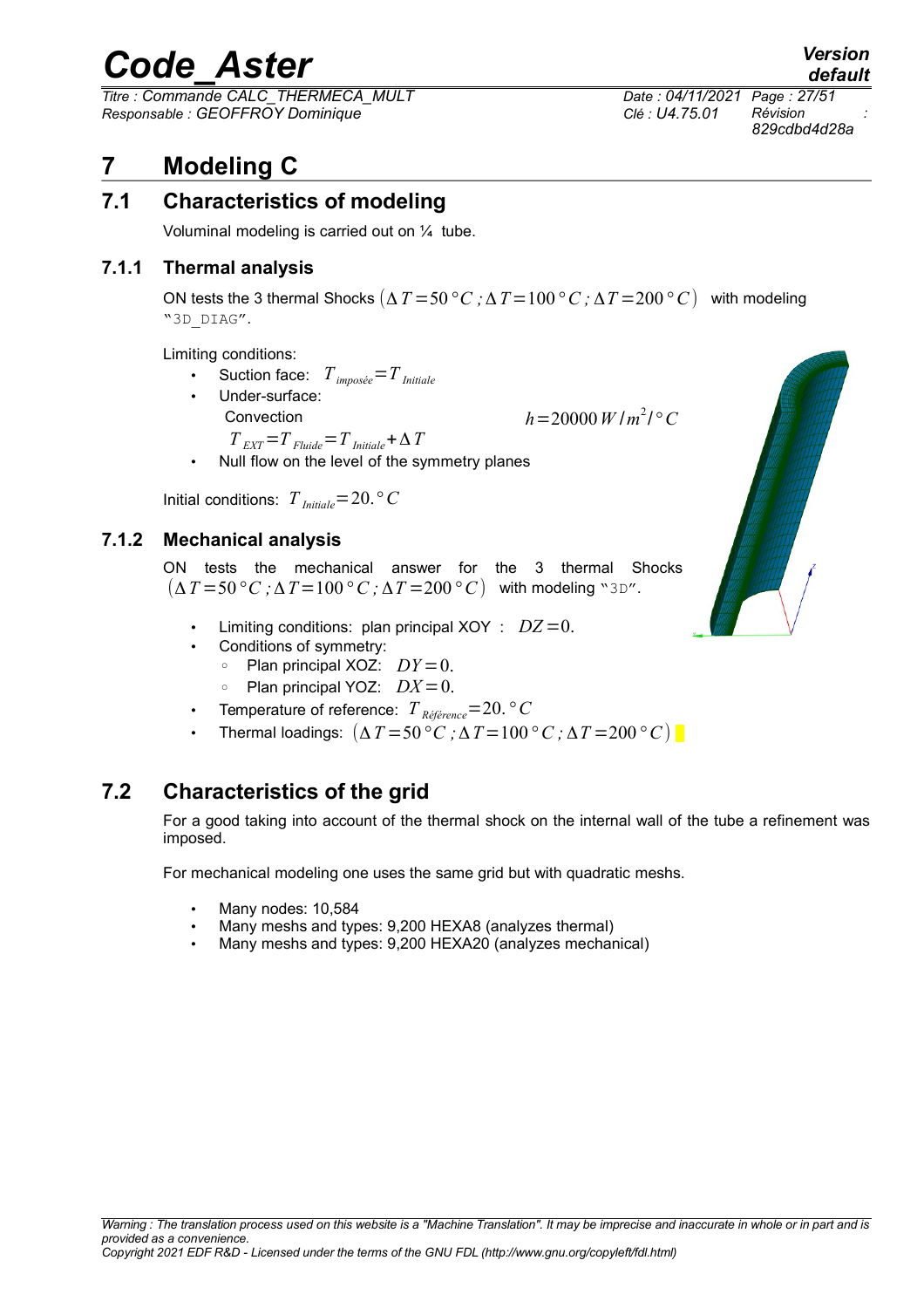*Titre : Commande CALC\_THERMECA\_MULT Date : 04/11/2021 Page : 27/51 Responsable : GEOFFROY Dominique Clé : U4.75.01 Révision :*

### *829cdbd4d28a*

### <span id="page-26-4"></span>**7 Modeling C**

#### **7.1 Characteristics of modeling**

<span id="page-26-3"></span>Voluminal modeling is carried out on ¼ tube.

#### **7.1.1 Thermal analysis**

<span id="page-26-2"></span>ON tests the 3 thermal Shocks  $(\Delta T = 50 °C : \Delta T = 100 °C : \Delta T = 200 °C)$  with modeling "3D\_DIAG".

Limiting conditions:

- Suction face: *Timposée*=*T Initiale* Under-surface: Convection  $h = 20000 W/m^2 l^{\circ}C$  $T_{EXT}=T_{Fluide}=T_{Initiale}+\Delta T$
- Null flow on the level of the symmetry planes

Initial conditions:  $T_{\text{Initial}} = 20.$  ° C

#### **7.1.2 Mechanical analysis**

<span id="page-26-1"></span>ON tests the mechanical answer for the 3 thermal Shocks  $(\Delta T = 50 \degree C; \Delta T = 100 \degree C; \Delta T = 200 \degree C)$  with modeling "3D".

- Limiting conditions: plan principal XOY :  $DZ=0$ .
- Conditions of symmetry:
	- $\circ$  Plan principal XOZ:  $DY=0$ .
	- $\circ$  Plan principal YOZ:  $DX = 0$ .
- Temperature of reference:  $T_{\text{Reference}} = 20.$  °C
- Thermal loadings:  $(\Delta T = 50 °C ; \Delta T = 100 °C ; \Delta T = 200 °C)$

#### **7.2 Characteristics of the grid**

<span id="page-26-0"></span>For a good taking into account of the thermal shock on the internal wall of the tube a refinement was imposed.

For mechanical modeling one uses the same grid but with quadratic meshs.

- Many nodes: 10,584
- Many meshs and types: 9,200 HEXA8 (analyzes thermal)
- Many meshs and types: 9,200 HEXA20 (analyzes mechanical)

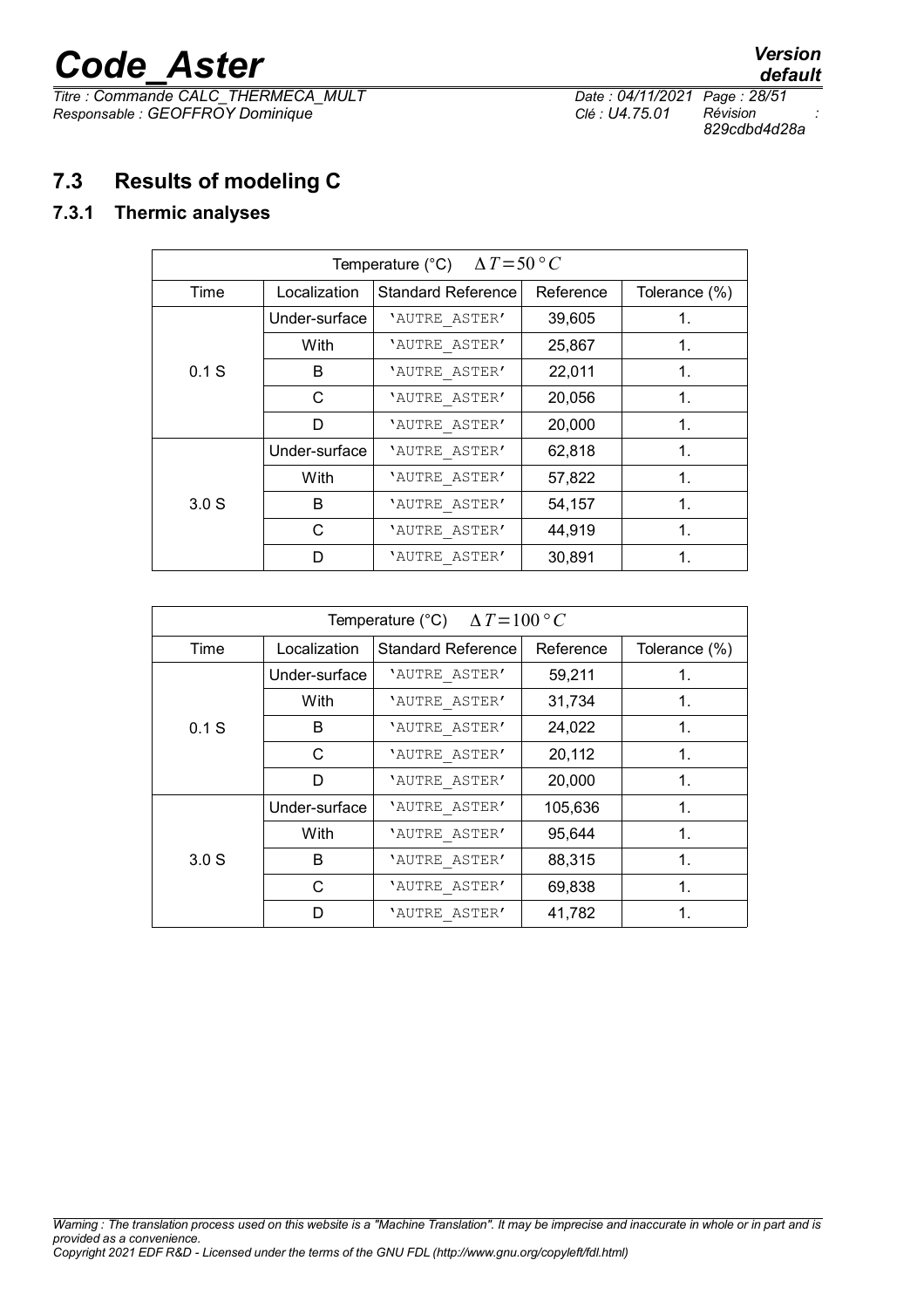*Titre : Commande CALC\_THERMECA\_MULT Date : 04/11/2021 Page : 28/51 Responsable : GEOFFROY Dominique Clé : U4.75.01 Révision :*

*829cdbd4d28a*

*default*

#### <span id="page-27-1"></span>**7.3 Results of modeling C**

#### <span id="page-27-0"></span>**7.3.1 Thermic analyses**

| Temperature (°C) $\Delta T = 50$ °C |               |                           |           |               |  |
|-------------------------------------|---------------|---------------------------|-----------|---------------|--|
| Time                                | Localization  | <b>Standard Reference</b> | Reference | Tolerance (%) |  |
|                                     | Under-surface | 'AUTRE ASTER'             | 39,605    | 1.            |  |
|                                     | With          | 'AUTRE ASTER'             | 25,867    | 1.            |  |
| 0.1S                                | B             | 'AUTRE ASTER'             | 22,011    |               |  |
|                                     | C             | 'AUTRE ASTER'             | 20,056    |               |  |
|                                     | D             | 'AUTRE ASTER'             | 20,000    |               |  |
|                                     | Under-surface | 'AUTRE ASTER'             | 62,818    | 1.            |  |
|                                     | With          | 'AUTRE ASTER'             | 57,822    | 1.            |  |
| 3.0 <sub>S</sub>                    | B             | 'AUTRE ASTER'             | 54,157    | 1.            |  |
|                                     | C             | 'AUTRE ASTER'             | 44,919    | 1.            |  |
|                                     | D             | 'AUTRE ASTER'             | 30,891    |               |  |

| Temperature (°C) $\Delta T = 100 \degree C$ |               |                           |           |               |  |
|---------------------------------------------|---------------|---------------------------|-----------|---------------|--|
| Time                                        | Localization  | <b>Standard Reference</b> | Reference | Tolerance (%) |  |
|                                             | Under-surface | 'AUTRE ASTER'             | 59,211    | 1.            |  |
|                                             | With          | 'AUTRE ASTER'             | 31,734    | 1.            |  |
| $0.1$ S                                     | B             | 'AUTRE ASTER'             | 24,022    | 1.            |  |
|                                             | C             | 'AUTRE ASTER'             | 20,112    | 1.            |  |
|                                             | D             | 'AUTRE ASTER'             | 20,000    | 1.            |  |
|                                             | Under-surface | 'AUTRE ASTER'             | 105,636   | 1.            |  |
|                                             | With          | 'AUTRE ASTER'             | 95,644    | 1.            |  |
| 3.0 <sub>S</sub>                            | B             | 'AUTRE ASTER'             | 88,315    | 1.            |  |
|                                             | C             | 'AUTRE ASTER'             | 69,838    | 1.            |  |
|                                             | D             | 'AUTRE ASTER'             | 41,782    |               |  |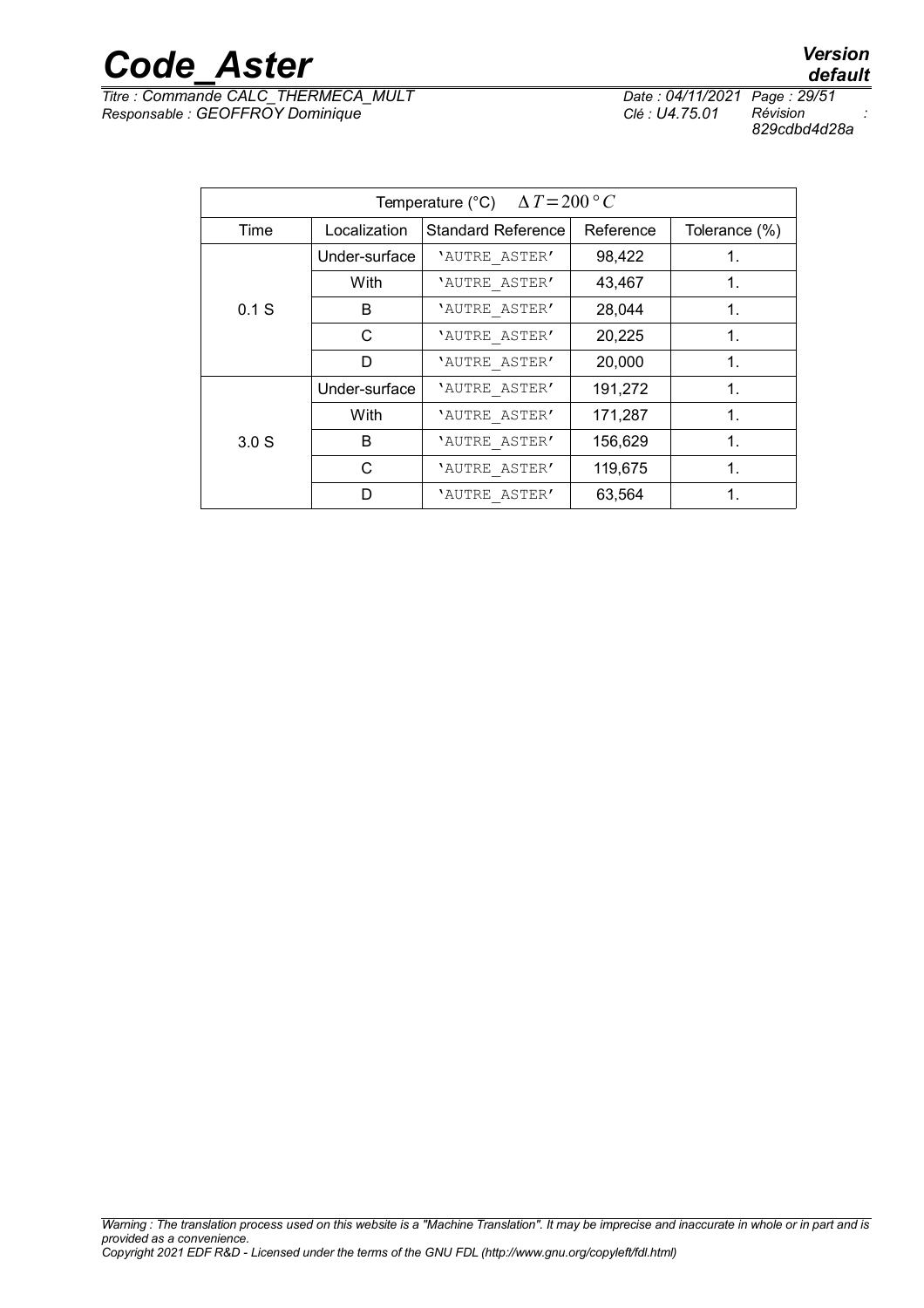*Titre : Commande CALC\_THERMECA\_MULT Date : 04/11/2021 Page : 29/51 Responsable : GEOFFROY Dominique Clé : U4.75.01 Révision :*

| Temperature (°C) $\Delta T = 200$ °C |               |                           |           |               |  |
|--------------------------------------|---------------|---------------------------|-----------|---------------|--|
| Time                                 | Localization  | <b>Standard Reference</b> | Reference | Tolerance (%) |  |
|                                      | Under-surface | 'AUTRE ASTER'             | 98,422    | 1.            |  |
|                                      | With          | 'AUTRE ASTER'             | 43,467    | 1.            |  |
| 0.1 S                                | B             | 'AUTRE ASTER'             | 28,044    | 1.            |  |
|                                      | C             | 'AUTRE ASTER'             | 20,225    | 1.            |  |
|                                      | D             | 'AUTRE ASTER'             | 20,000    | 1.            |  |
|                                      | Under-surface | 'AUTRE ASTER'             | 191,272   | 1.            |  |
|                                      | With          | 'AUTRE ASTER'             | 171,287   | 1.            |  |
| 3.0 <sub>S</sub>                     | В             | 'AUTRE ASTER'             | 156,629   |               |  |

C | 'AUTRE ASTER' | 119,675 | 1. D | 'AUTRE ASTER' | 63,564 | 1.

### *829cdbd4d28a*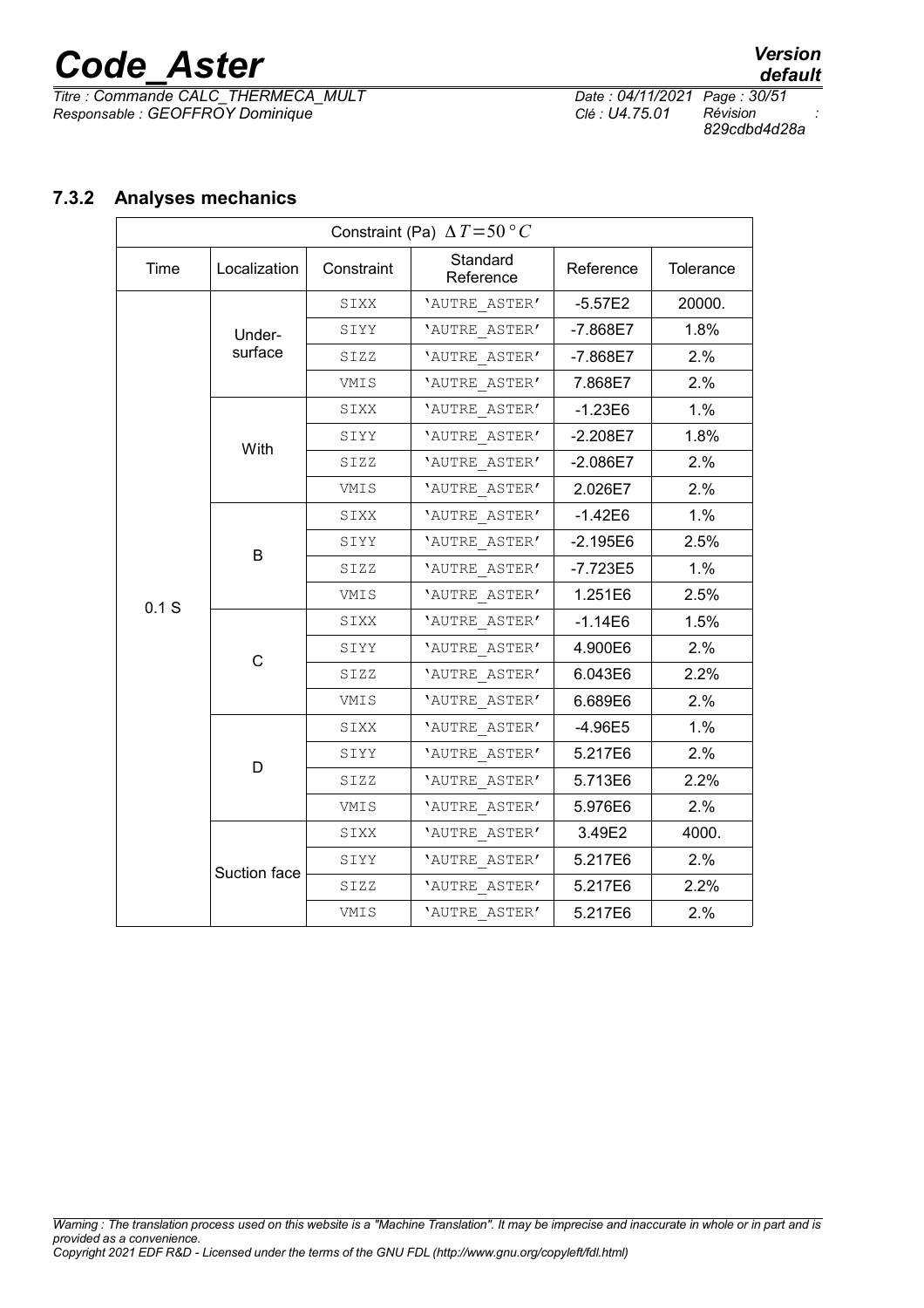*Titre : Commande CALC\_THERMECA\_MULT Date : 04/11/2021 Page : 30/51 Responsable : GEOFFROY Dominique Clé : U4.75.01 Révision :*

*829cdbd4d28a*

#### **7.3.2 Analyses mechanics**

<span id="page-29-0"></span>

| Constraint (Pa) $\Delta T = 50 °C$ |              |            |                       |            |           |
|------------------------------------|--------------|------------|-----------------------|------------|-----------|
| Time                               | Localization | Constraint | Standard<br>Reference | Reference  | Tolerance |
|                                    |              | SIXX       | 'AUTRE ASTER'         | $-5.57E2$  | 20000.    |
|                                    | Under-       | SIYY       | 'AUTRE ASTER'         | $-7.868E7$ | 1.8%      |
|                                    | surface      | SIZZ       | 'AUTRE ASTER'         | $-7.868E7$ | 2.%       |
|                                    |              | VMIS       | 'AUTRE ASTER'         | 7.868E7    | 2.%       |
|                                    |              | SIXX       | 'AUTRE ASTER'         | $-1.23E6$  | 1.%       |
|                                    | With         | SIYY       | 'AUTRE ASTER'         | $-2.208E7$ | 1.8%      |
|                                    |              | SIZZ       | 'AUTRE ASTER'         | $-2.086E7$ | 2.%       |
|                                    |              | VMIS       | 'AUTRE ASTER'         | 2.026E7    | 2.%       |
|                                    |              | SIXX       | 'AUTRE ASTER'         | $-1.42E6$  | 1.%       |
|                                    | B            | SIYY       | 'AUTRE ASTER'         | $-2.195E6$ | 2.5%      |
|                                    |              | SIZZ       | 'AUTRE ASTER'         | $-7.723E5$ | 1.%       |
| 0.1 S                              |              | VMIS       | 'AUTRE ASTER'         | 1.251E6    | 2.5%      |
|                                    |              | SIXX       | 'AUTRE ASTER'         | $-1.14E6$  | 1.5%      |
|                                    | C            | SIYY       | 'AUTRE ASTER'         | 4.900E6    | 2.%       |
|                                    |              | SIZZ       | 'AUTRE ASTER'         | 6.043E6    | 2.2%      |
|                                    |              | VMIS       | 'AUTRE ASTER'         | 6.689E6    | 2.%       |
|                                    |              | SIXX       | 'AUTRE ASTER'         | $-4.96E5$  | 1.%       |
|                                    | D            | SIYY       | 'AUTRE ASTER'         | 5.217E6    | 2.%       |
|                                    |              | SIZZ       | 'AUTRE ASTER'         | 5.713E6    | 2.2%      |
|                                    |              | VMIS       | 'AUTRE ASTER'         | 5.976E6    | 2.%       |
|                                    |              | SIXX       | 'AUTRE ASTER'         | 3.49E2     | 4000.     |
|                                    | Suction face | SIYY       | 'AUTRE ASTER'         | 5.217E6    | 2.%       |
|                                    |              | SIZZ       | 'AUTRE ASTER'         | 5.217E6    | 2.2%      |
|                                    |              | VMIS       | 'AUTRE ASTER'         | 5.217E6    | 2.%       |

*Warning : The translation process used on this website is a "Machine Translation". It may be imprecise and inaccurate in whole or in part and is provided as a convenience. Copyright 2021 EDF R&D - Licensed under the terms of the GNU FDL (http://www.gnu.org/copyleft/fdl.html)*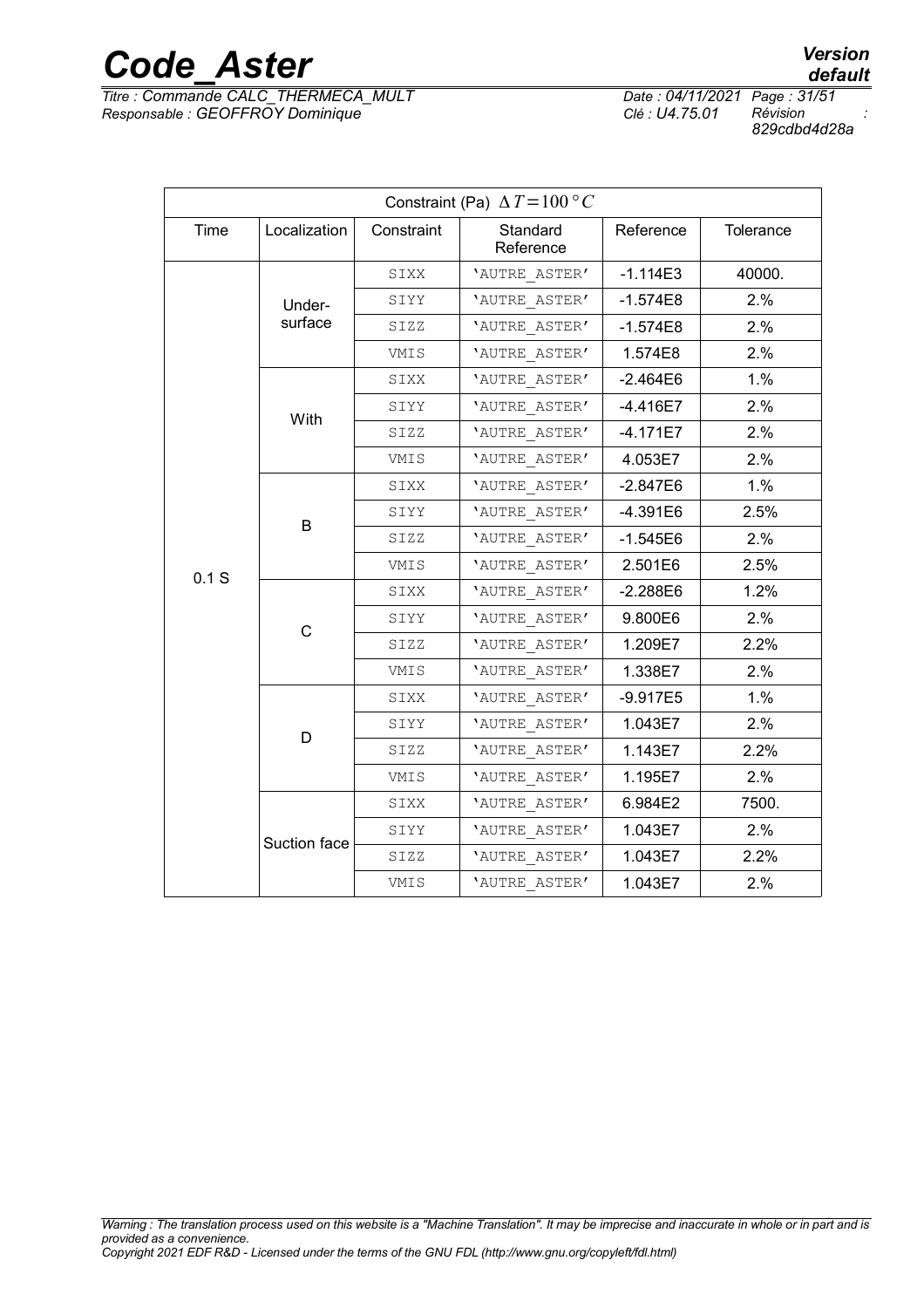*Titre : Commande CALC\_THERMECA\_MULT Date : 04/11/2021 Page : 31/51 Responsable : GEOFFROY Dominique Clé : U4.75.01 Révision :*

| Constraint (Pa) $\Delta T = 100^{\circ} C$ |              |            |                       |            |           |  |
|--------------------------------------------|--------------|------------|-----------------------|------------|-----------|--|
| Time                                       | Localization | Constraint | Standard<br>Reference | Reference  | Tolerance |  |
|                                            |              | SIXX       | 'AUTRE ASTER'         | $-1.114E3$ | 40000.    |  |
|                                            | Under-       | SIYY       | 'AUTRE ASTER'         | $-1.574E8$ | 2.%       |  |
|                                            | surface      | SIZZ       | 'AUTRE ASTER'         | $-1.574E8$ | $2. \%$   |  |
|                                            |              | VMIS       | 'AUTRE ASTER'         | 1.574E8    | 2.%       |  |
|                                            |              | SIXX       | 'AUTRE ASTER'         | $-2.464E6$ | 1.%       |  |
|                                            | With         | SIYY       | 'AUTRE ASTER'         | -4.416E7   | $2. \%$   |  |
|                                            |              | SIZZ       | 'AUTRE ASTER'         | -4.171E7   | 2.%       |  |
|                                            |              | VMIS       | 'AUTRE ASTER'         | 4.053E7    | 2.%       |  |
|                                            |              | SIXX       | 'AUTRE ASTER'         | -2.847E6   | 1.%       |  |
|                                            | B            | SIYY       | 'AUTRE ASTER'         | $-4.391E6$ | 2.5%      |  |
| 0.1 S                                      |              | SIZZ       | 'AUTRE ASTER'         | -1.545E6   | 2.%       |  |
|                                            |              | VMIS       | 'AUTRE ASTER'         | 2.501E6    | 2.5%      |  |
|                                            |              | SIXX       | 'AUTRE ASTER'         | $-2.288E6$ | 1.2%      |  |
|                                            | $\mathsf{C}$ | SIYY       | 'AUTRE ASTER'         | 9.800E6    | 2.%       |  |
|                                            |              | SIZZ       | 'AUTRE ASTER'         | 1.209E7    | 2.2%      |  |
|                                            |              | VMIS       | 'AUTRE ASTER'         | 1.338E7    | 2.%       |  |
|                                            |              | SIXX       | 'AUTRE ASTER'         | $-9.917E5$ | 1.%       |  |
|                                            | D            | SIYY       | 'AUTRE ASTER'         | 1.043E7    | 2.%       |  |
|                                            |              | SIZZ       | 'AUTRE ASTER'         | 1.143E7    | 2.2%      |  |
|                                            |              | VMIS       | 'AUTRE ASTER'         | 1.195E7    | 2.%       |  |
|                                            |              | SIXX       | 'AUTRE ASTER'         | 6.984E2    | 7500.     |  |
|                                            |              | SIYY       | 'AUTRE ASTER'         | 1.043E7    | $2. \%$   |  |
|                                            | Suction face | SIZZ       | 'AUTRE ASTER'         | 1.043E7    | 2.2%      |  |
|                                            |              | VMIS       | 'AUTRE ASTER'         | 1.043E7    | 2.%       |  |

*829cdbd4d28a*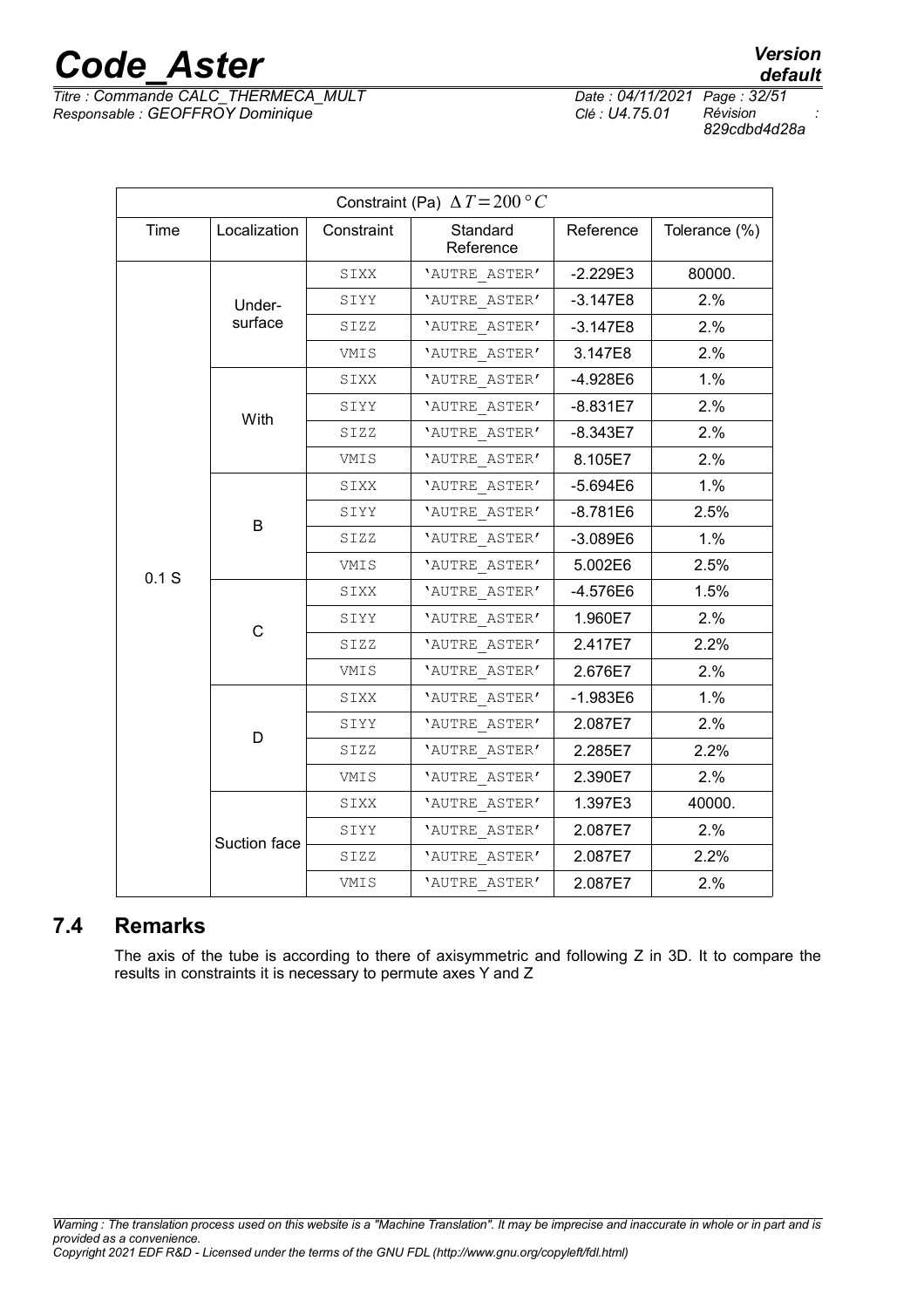*Titre : Commande CALC\_THERMECA\_MULT Date : 04/11/2021 Page : 32/51 Responsable : GEOFFROY Dominique Clé : U4.75.01 Révision :*

*829cdbd4d28a*

| Constraint (Pa) $\Delta T = 200 °C$ |              |            |                       |            |               |  |
|-------------------------------------|--------------|------------|-----------------------|------------|---------------|--|
| Time                                | Localization | Constraint | Standard<br>Reference | Reference  | Tolerance (%) |  |
|                                     |              | SIXX       | 'AUTRE ASTER'         | $-2.229E3$ | 80000.        |  |
|                                     | Under-       | SIYY       | 'AUTRE ASTER'         | $-3.147E8$ | 2.%           |  |
|                                     | surface      | SIZZ       | 'AUTRE ASTER'         | $-3.147E8$ | 2.%           |  |
|                                     |              | VMIS       | 'AUTRE ASTER'         | 3.147E8    | 2.%           |  |
|                                     |              | SIXX       | 'AUTRE ASTER'         | -4.928E6   | 1.%           |  |
|                                     | With         | SIYY       | 'AUTRE ASTER'         | $-8.831E7$ | 2.%           |  |
|                                     |              | SIZZ       | 'AUTRE ASTER'         | $-8.343E7$ | 2.%           |  |
|                                     |              | VMIS       | 'AUTRE ASTER'         | 8.105E7    | 2.%           |  |
|                                     |              | SIXX       | 'AUTRE ASTER'         | -5.694E6   | 1.%           |  |
|                                     | B            | SIYY       | 'AUTRE ASTER'         | $-8.781E6$ | 2.5%          |  |
|                                     | C            | SIZZ       | 'AUTRE ASTER'         | $-3.089E6$ | 1.%           |  |
| 0.1 S                               |              | VMIS       | 'AUTRE ASTER'         | 5.002E6    | 2.5%          |  |
|                                     |              | SIXX       | 'AUTRE ASTER'         | -4.576E6   | 1.5%          |  |
|                                     |              | SIYY       | 'AUTRE ASTER'         | 1.960E7    | 2.%           |  |
|                                     |              | SIZZ       | 'AUTRE ASTER'         | 2.417E7    | 2.2%          |  |
|                                     |              | VMIS       | 'AUTRE ASTER'         | 2.676E7    | 2.%           |  |
|                                     |              | SIXX       | 'AUTRE ASTER'         | $-1.983E6$ | 1.%           |  |
|                                     | D            | SIYY       | 'AUTRE ASTER'         | 2.087E7    | 2.%           |  |
|                                     |              | SIZZ       | 'AUTRE ASTER'         | 2.285E7    | 2.2%          |  |
|                                     |              | VMIS       | 'AUTRE ASTER'         | 2.390E7    | 2.%           |  |
|                                     |              | SIXX       | 'AUTRE ASTER'         | 1.397E3    | 40000.        |  |
|                                     | Suction face | SIYY       | 'AUTRE ASTER'         | 2.087E7    | 2.%           |  |
|                                     |              | SIZZ       | 'AUTRE ASTER'         | 2.087E7    | 2.2%          |  |
|                                     |              | VMIS       | 'AUTRE ASTER'         | 2.087E7    | 2.%           |  |

#### **7.4 Remarks**

<span id="page-31-0"></span>The axis of the tube is according to there of axisymmetric and following Z in 3D. It to compare the results in constraints it is necessary to permute axes Y and Z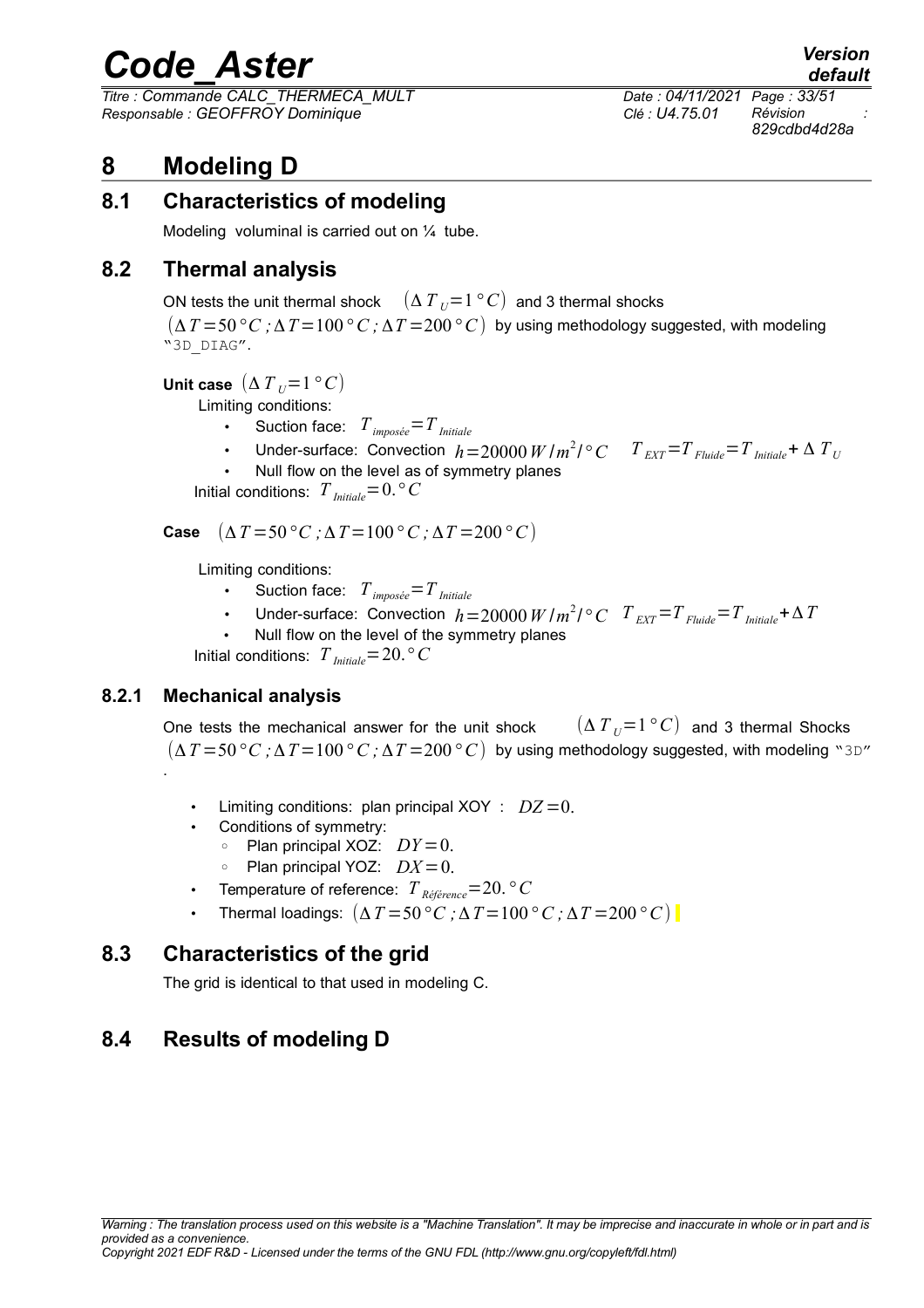*Titre : Commande CALC\_THERMECA\_MULT Date : 04/11/2021 Page : 33/51 Responsable : GEOFFROY Dominique Clé : U4.75.01 Révision :*

*default 829cdbd4d28a*

#### <span id="page-32-1"></span>**8 Modeling D**

#### **8.1 Characteristics of modeling**

<span id="page-32-0"></span>Modeling voluminal is carried out on ¼ tube.

#### **8.2 Thermal analysis**

<span id="page-32-5"></span>ON tests the unit thermal shock  $(\Delta T_{\nu}=1\degree C)$  and 3 thermal shocks

 $(\Delta T = 50 °C ; \Delta T = 100 °C ; \Delta T = 200 °C)$  by using methodology suggested, with modeling "3D\_DIAG".

**Unit case**  $(\Delta T_U = 1 \degree C)$ 

Limiting conditions:

- Suction face: *Timposée*=*T Initiale*
- Under-surface: Convection  $h = 20000 \ W/m^2$ /°C  $T_{EXT} = T_{Fluide} = T_{Initiale} + \Delta T_{U}$
- Null flow on the level as of symmetry planes

Initial conditions:  $T_{\text{Initial}} = 0.$  ° C

Case 
$$
(\Delta T = 50 \degree C; \Delta T = 100 \degree C; \Delta T = 200 \degree C)
$$

Limiting conditions:

- Suction face: *Timposée*=*T Initiale*
- Under-surface: Convection  $h = 20000 W/m^2$ /°C  $T_{EXT} = T_{Fluide} = T_{Initiale} + \Delta T$
- Null flow on the level of the symmetry planes

Initial conditions:  $T_{\text{Initial}} = 20.$  °  $C$ 

#### **8.2.1 Mechanical analysis**

.

<span id="page-32-4"></span>One tests the mechanical answer for the unit shock  $(\Delta T_U=1\degree C)$  and 3 thermal Shocks  $(\Delta T = 50 °C ; \Delta T = 100 °C ; \Delta T = 200 °C)$  by using methodology suggested, with modeling "3D"

- Limiting conditions: plan principal XOY :  $DZ = 0$ .
- Conditions of symmetry:
	- $\circ$  Plan principal XOZ:  $DY=0$ .
	- $\circ$  Plan principal YOZ:  $DX = 0$ .
- Temperature of reference:  $T_{\text{Reference}} = 20.$  °C
- Thermal loadings:  $(\Delta T = 50 °C : \Delta T = 100 °C : \Delta T = 200 °C)$

#### **8.3 Characteristics of the grid**

<span id="page-32-3"></span><span id="page-32-2"></span>The grid is identical to that used in modeling C.

#### **8.4 Results of modeling D**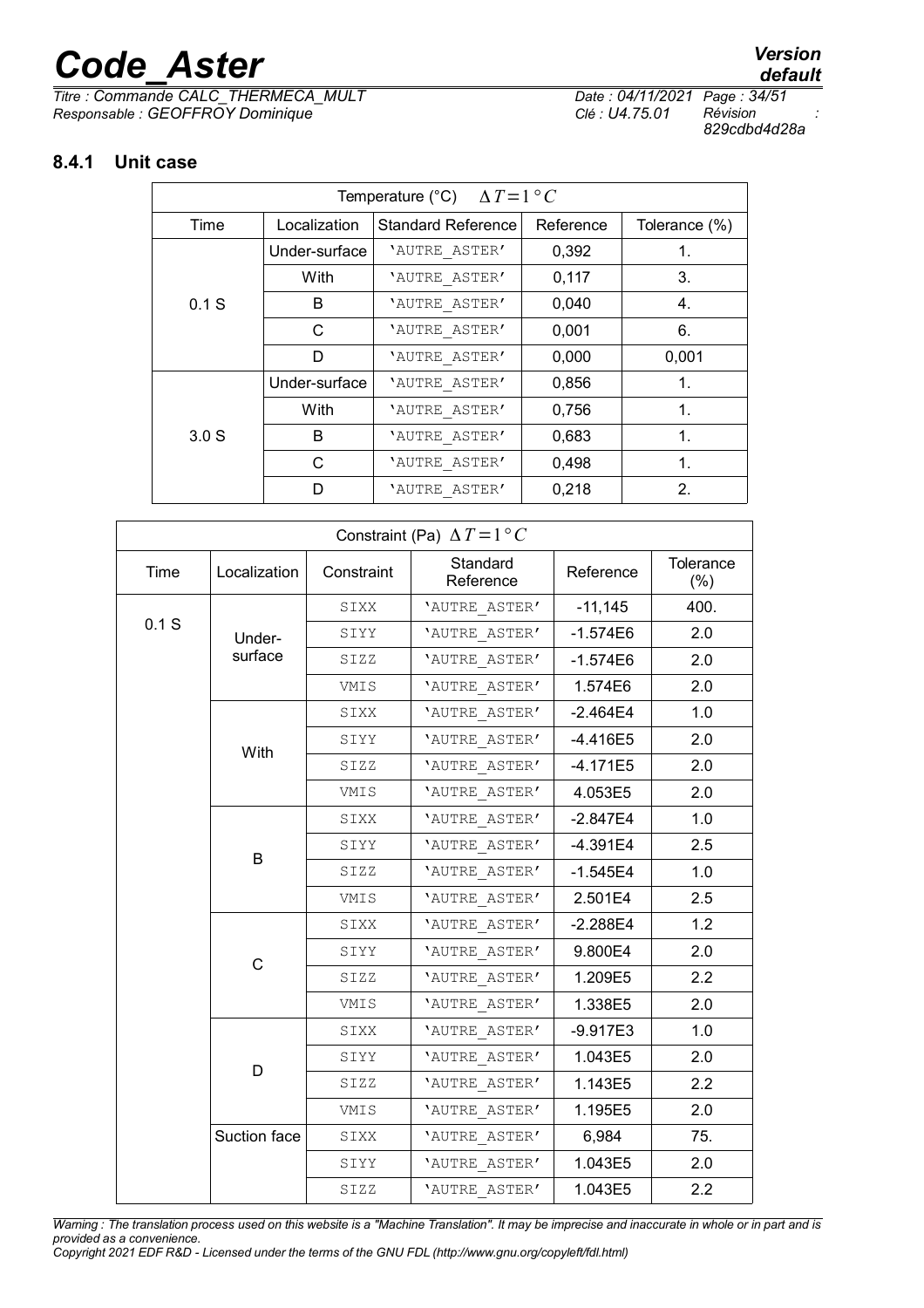*Titre : Commande CALC\_THERMECA\_MULT Date : 04/11/2021 Page : 34/51 Responsable : GEOFFROY Dominique Clé : U4.75.01 Révision :*

*829cdbd4d28a*

**8.4.1 Unit case**

<span id="page-33-0"></span>

| Temperature (°C) $\Delta T = 1 \degree C$ |               |                           |           |               |
|-------------------------------------------|---------------|---------------------------|-----------|---------------|
| Time                                      | Localization  | <b>Standard Reference</b> | Reference | Tolerance (%) |
|                                           | Under-surface | 'AUTRE ASTER'             | 0,392     | 1.            |
|                                           | With          | 'AUTRE ASTER'             | 0,117     | 3.            |
| 0.1 S                                     | B             | 'AUTRE ASTER'             | 0,040     | 4.            |
|                                           | C             | 'AUTRE ASTER'             | 0,001     | 6.            |
|                                           | D             | 'AUTRE ASTER'             | 0,000     | 0,001         |
|                                           | Under-surface | 'AUTRE ASTER'             | 0,856     | 1.            |
|                                           | With          | 'AUTRE ASTER'             | 0,756     | 1.            |
| 3.0 <sub>S</sub>                          | B             | 'AUTRE ASTER'             | 0,683     | 1.            |
|                                           | C             | 'AUTRE ASTER'             | 0,498     | 1.            |
|                                           | D             | 'AUTRE ASTER'             | 0,218     | 2.            |

| Constraint (Pa) $\Delta T = 1 \degree C$ |              |            |                       |            |                   |
|------------------------------------------|--------------|------------|-----------------------|------------|-------------------|
| Time                                     | Localization | Constraint | Standard<br>Reference | Reference  | Tolerance<br>(% ) |
|                                          |              | SIXX       | 'AUTRE ASTER'         | $-11,145$  | 400.              |
| 0.1 S                                    | Under-       | SIYY       | 'AUTRE ASTER'         | $-1.574E6$ | 2.0               |
|                                          | surface      | SIZZ       | 'AUTRE ASTER'         | $-1.574E6$ | 2.0               |
|                                          |              | VMIS       | 'AUTRE ASTER'         | 1.574E6    | 2.0               |
|                                          |              | SIXX       | 'AUTRE ASTER'         | $-2.464E4$ | 1.0               |
|                                          | With         | SIYY       | 'AUTRE ASTER'         | -4.416E5   | 2.0               |
|                                          |              | SIZZ       | 'AUTRE ASTER'         | $-4.171E5$ | 2.0               |
|                                          |              | VMIS       | 'AUTRE ASTER'         | 4.053E5    | 2.0               |
|                                          |              | SIXX       | 'AUTRE ASTER'         | $-2.847E4$ | 1.0               |
|                                          | B            | SIYY       | 'AUTRE ASTER'         | $-4.391E4$ | 2.5               |
|                                          |              | SIZZ       | 'AUTRE ASTER'         | $-1.545E4$ | 1.0               |
|                                          |              | VMIS       | 'AUTRE ASTER'         | 2.501E4    | 2.5               |
|                                          |              | SIXX       | 'AUTRE ASTER'         | $-2.288E4$ | 1.2               |
|                                          | C            | SIYY       | 'AUTRE ASTER'         | 9.800E4    | 2.0               |
|                                          |              | SIZZ       | 'AUTRE ASTER'         | 1.209E5    | 2.2               |
|                                          |              | VMIS       | 'AUTRE ASTER'         | 1.338E5    | 2.0               |
|                                          |              | SIXX       | 'AUTRE ASTER'         | -9.917E3   | 1.0               |
|                                          | D            | SIYY       | 'AUTRE ASTER'         | 1.043E5    | 2.0               |
|                                          |              | SIZZ       | 'AUTRE ASTER'         | 1.143E5    | 2.2               |
|                                          |              | VMIS       | 'AUTRE ASTER'         | 1.195E5    | 2.0               |
|                                          | Suction face | SIXX       | 'AUTRE ASTER'         | 6,984      | 75.               |
|                                          |              | SIYY       | 'AUTRE ASTER'         | 1.043E5    | 2.0               |
|                                          |              | SIZZ       | 'AUTRE ASTER'         | 1.043E5    | 2.2               |

*Warning : The translation process used on this website is a "Machine Translation". It may be imprecise and inaccurate in whole or in part and is provided as a convenience.*

*Copyright 2021 EDF R&D - Licensed under the terms of the GNU FDL (http://www.gnu.org/copyleft/fdl.html)*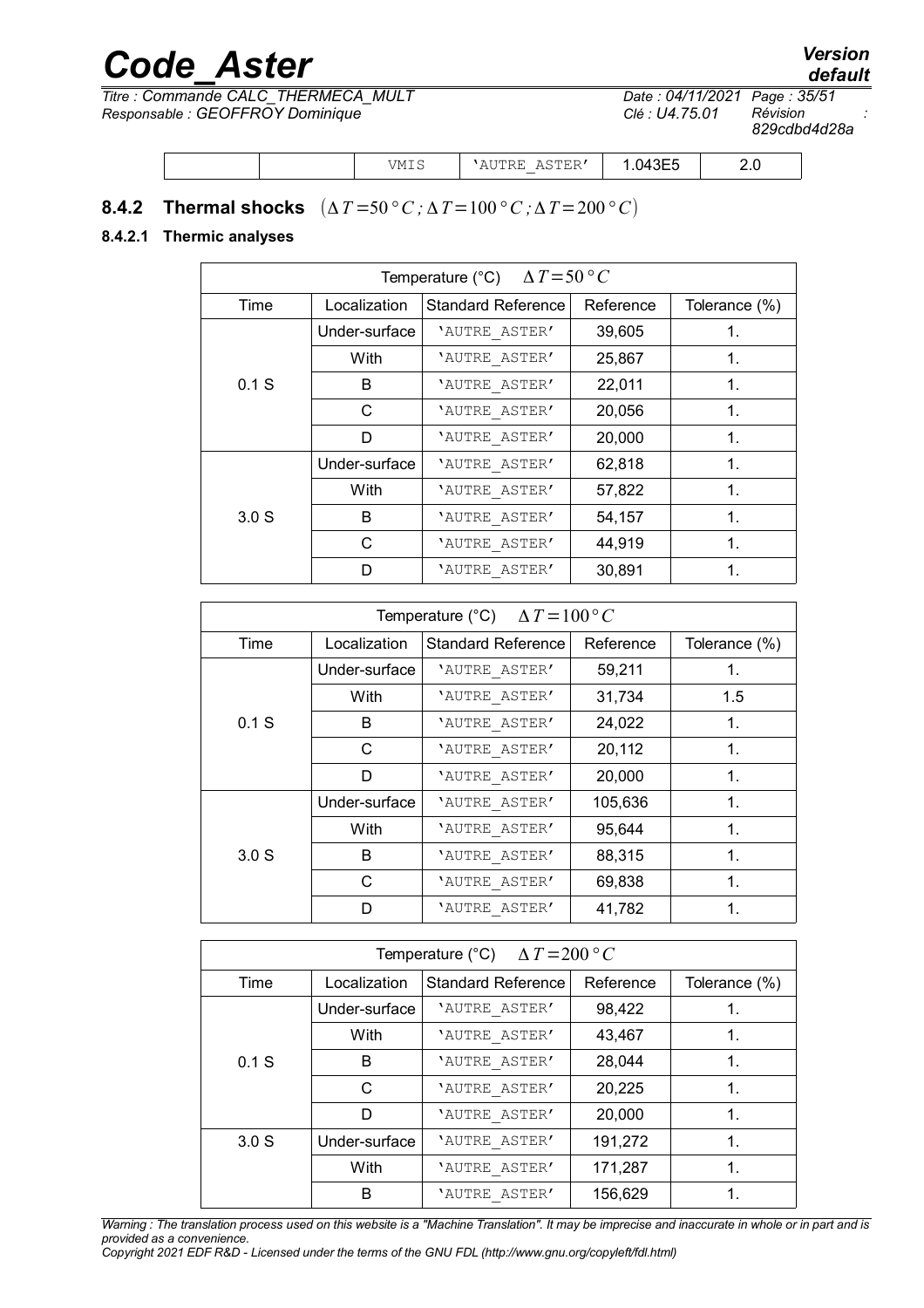| <b>Code Aster</b> | <b>Version</b> |
|-------------------|----------------|
|                   | default        |

*Titre : Commande CALC\_THERMECA\_MULT Date : 04/11/2021 Page : 35/51 Responsable : GEOFFROY Dominique* 

*default*

*829cdbd4d28a*

<span id="page-34-1"></span>

|  | ™⊺<br>$\sim$ $\sim$ $\sim$ | $\overline{\phantom{a}}$<br>--<br>---<br>--- | $- -$ | $\sim$ |
|--|----------------------------|----------------------------------------------|-------|--------|
|--|----------------------------|----------------------------------------------|-------|--------|

#### **8.4.2 Thermal shocks**  $(\Delta T = 50 °C, \Delta T = 100 °C, \Delta T = 200 °C)$

#### **8.4.2.1 Thermic analyses**

<span id="page-34-0"></span>

| Temperature (°C) $\Delta T = 50$ °C |               |                           |           |               |  |
|-------------------------------------|---------------|---------------------------|-----------|---------------|--|
| Time                                | Localization  | <b>Standard Reference</b> | Reference | Tolerance (%) |  |
|                                     | Under-surface | 'AUTRE ASTER'             | 39,605    | 1.            |  |
|                                     | With          | 'AUTRE ASTER'             | 25,867    | 1.            |  |
| $0.1$ S                             | в             | 'AUTRE ASTER'             | 22,011    | 1.            |  |
|                                     | C             | 'AUTRE ASTER'             | 20,056    | 1.            |  |
|                                     | D             | 'AUTRE ASTER'             | 20,000    | 1.            |  |
| 3.0 <sub>S</sub>                    | Under-surface | 'AUTRE ASTER'             | 62,818    | 1.            |  |
|                                     | With          | 'AUTRE ASTER'             | 57,822    | 1.            |  |
|                                     | B             | 'AUTRE ASTER'             | 54,157    | 1.            |  |
|                                     | C             | 'AUTRE ASTER'             | 44,919    | 1.            |  |
|                                     | n             | 'AUTRE ASTER'             | 30,891    |               |  |

| Temperature (°C) $\Delta T = 100^{\circ} C$ |               |                           |           |               |  |
|---------------------------------------------|---------------|---------------------------|-----------|---------------|--|
| Time                                        | Localization  | <b>Standard Reference</b> | Reference | Tolerance (%) |  |
|                                             | Under-surface | 'AUTRE ASTER'             | 59,211    | 1.            |  |
|                                             | With          | 'AUTRE ASTER'             | 31,734    | 1.5           |  |
| $0.1$ S                                     | B             | 'AUTRE ASTER'             | 24,022    | 1.            |  |
|                                             | С             | 'AUTRE ASTER'             | 20,112    | 1.            |  |
|                                             | D             | 'AUTRE ASTER'             | 20,000    | 1.            |  |
|                                             | Under-surface | 'AUTRE ASTER'             | 105,636   | 1.            |  |
| 3.0 <sub>S</sub>                            | With          | 'AUTRE ASTER'             | 95,644    | 1.            |  |
|                                             | B             | 'AUTRE ASTER'             | 88,315    | 1.            |  |
|                                             | C             | 'AUTRE ASTER'             | 69,838    | 1.            |  |
|                                             | D             | 'AUTRE ASTER'             | 41,782    |               |  |

| Temperature (°C) $\Delta T = 200$ °C |               |                           |               |    |  |
|--------------------------------------|---------------|---------------------------|---------------|----|--|
| Time                                 | Localization  | <b>Standard Reference</b> | Tolerance (%) |    |  |
|                                      | Under-surface | 'AUTRE ASTER'             | 98,422        | 1. |  |
|                                      | With          | 'AUTRE ASTER'             | 43,467        |    |  |
| 0.1 S                                | B             | 'AUTRE ASTER'             | 28,044        | 1. |  |
|                                      | С             | 'AUTRE ASTER'             | 20,225        | 1. |  |
|                                      | D             | 'AUTRE ASTER'             | 20,000        | 1. |  |
| 3.0 <sub>S</sub>                     | Under-surface | 'AUTRE ASTER'             | 191,272       | 1. |  |
|                                      | With          | 'AUTRE ASTER'             | 171,287       | 1. |  |
|                                      | в             | 'AUTRE ASTER'             | 156,629       |    |  |

*Warning : The translation process used on this website is a "Machine Translation". It may be imprecise and inaccurate in whole or in part and is provided as a convenience.*

*Copyright 2021 EDF R&D - Licensed under the terms of the GNU FDL (http://www.gnu.org/copyleft/fdl.html)*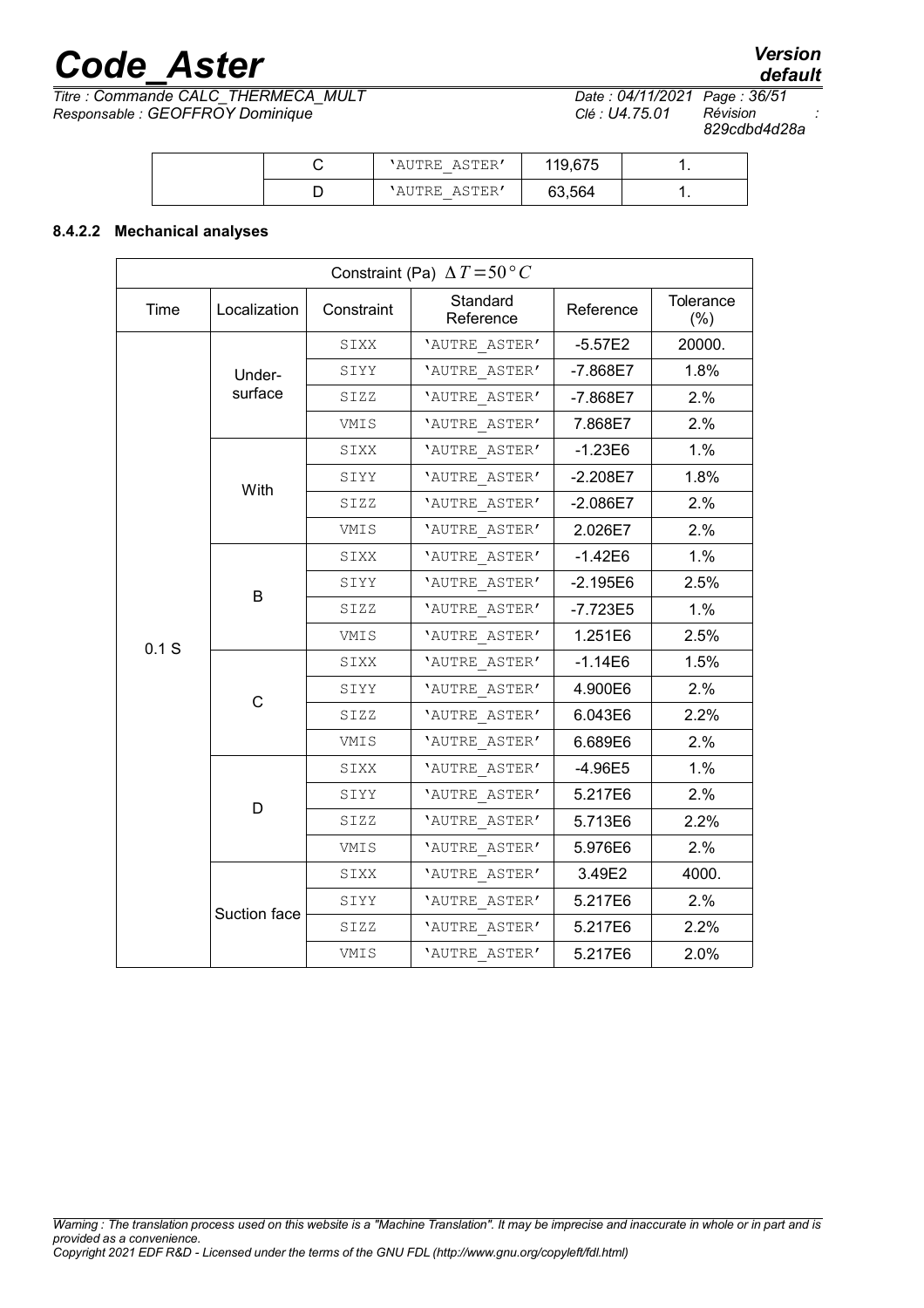*Titre : Commande CALC\_THERMECA\_MULT Date : 04/11/2021 Page : 36/51 Responsable : GEOFFROY Dominique Clé : U4.75.01 Révision :*

*829cdbd4d28a*

|  | 'AUTRE ASTER' | 119,675 |  |
|--|---------------|---------|--|
|  | 'AUTRE ASTER' | 63,564  |  |

#### **8.4.2.2 Mechanical analyses**

<span id="page-35-0"></span>

| Constraint (Pa) $\Delta T = 50^{\circ} C$ |              |            |                       |            |                      |
|-------------------------------------------|--------------|------------|-----------------------|------------|----------------------|
| <b>Time</b>                               | Localization | Constraint | Standard<br>Reference | Reference  | Tolerance<br>$(\% )$ |
|                                           |              | SIXX       | 'AUTRE ASTER'         | $-5.57E2$  | 20000.               |
|                                           | Under-       | SIYY       | 'AUTRE ASTER'         | $-7.868E7$ | 1.8%                 |
|                                           | surface      | SIZZ       | 'AUTRE ASTER'         | $-7.868E7$ | 2.%                  |
|                                           |              | VMIS       | 'AUTRE ASTER'         | 7.868E7    | 2.%                  |
|                                           |              | SIXX       | 'AUTRE ASTER'         | $-1.23E6$  | 1.%                  |
|                                           | With         | SIYY       | 'AUTRE ASTER'         | $-2.208E7$ | 1.8%                 |
|                                           |              | SIZZ       | 'AUTRE ASTER'         | $-2.086E7$ | 2.%                  |
| 0.1S                                      |              | VMIS       | 'AUTRE ASTER'         | 2.026E7    | 2.%                  |
|                                           | B            | SIXX       | 'AUTRE ASTER'         | $-1.42E6$  | 1.%                  |
|                                           |              | SIYY       | 'AUTRE ASTER'         | $-2.195E6$ | 2.5%                 |
|                                           |              | SIZZ       | 'AUTRE ASTER'         | $-7.723E5$ | 1.%                  |
|                                           |              | VMIS       | 'AUTRE ASTER'         | 1.251E6    | 2.5%                 |
|                                           | $\mathsf{C}$ | SIXX       | 'AUTRE ASTER'         | $-1.14E6$  | 1.5%                 |
|                                           |              | SIYY       | 'AUTRE ASTER'         | 4.900E6    | 2.%                  |
|                                           |              | SIZZ       | 'AUTRE ASTER'         | 6.043E6    | 2.2%                 |
|                                           |              | VMIS       | 'AUTRE ASTER'         | 6.689E6    | 2.%                  |
|                                           |              | SIXX       | 'AUTRE ASTER'         | $-4.96E5$  | 1.%                  |
|                                           | D            | SIYY       | 'AUTRE ASTER'         | 5.217E6    | 2.%                  |
|                                           |              | SIZZ       | 'AUTRE ASTER'         | 5.713E6    | 2.2%                 |
|                                           |              | VMIS       | 'AUTRE ASTER'         | 5.976E6    | 2.%                  |
|                                           |              | SIXX       | 'AUTRE ASTER'         | 3.49E2     | 4000.                |
|                                           | Suction face | SIYY       | 'AUTRE ASTER'         | 5.217E6    | 2.%                  |
|                                           |              | SIZZ       | 'AUTRE ASTER'         | 5.217E6    | 2.2%                 |
|                                           |              | VMIS       | 'AUTRE ASTER'         | 5.217E6    | 2.0%                 |

*Warning : The translation process used on this website is a "Machine Translation". It may be imprecise and inaccurate in whole or in part and is provided as a convenience. Copyright 2021 EDF R&D - Licensed under the terms of the GNU FDL (http://www.gnu.org/copyleft/fdl.html)*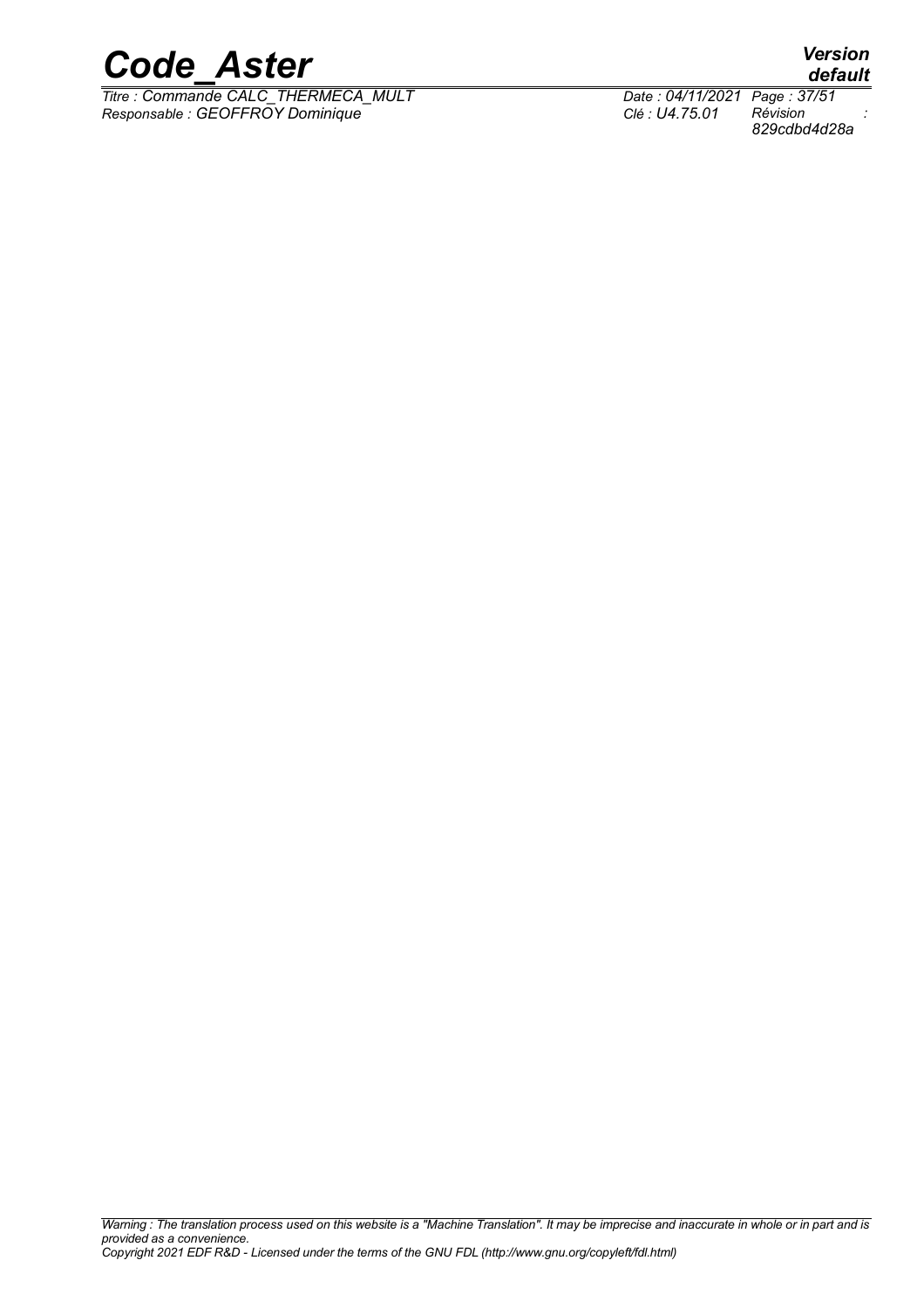

*Titre : Commande CALC\_THERMECA\_MULT Date : 04/11/2021 Page : 37/51 Responsable : GEOFFROY Dominique Clé : U4.75.01 Révision :*

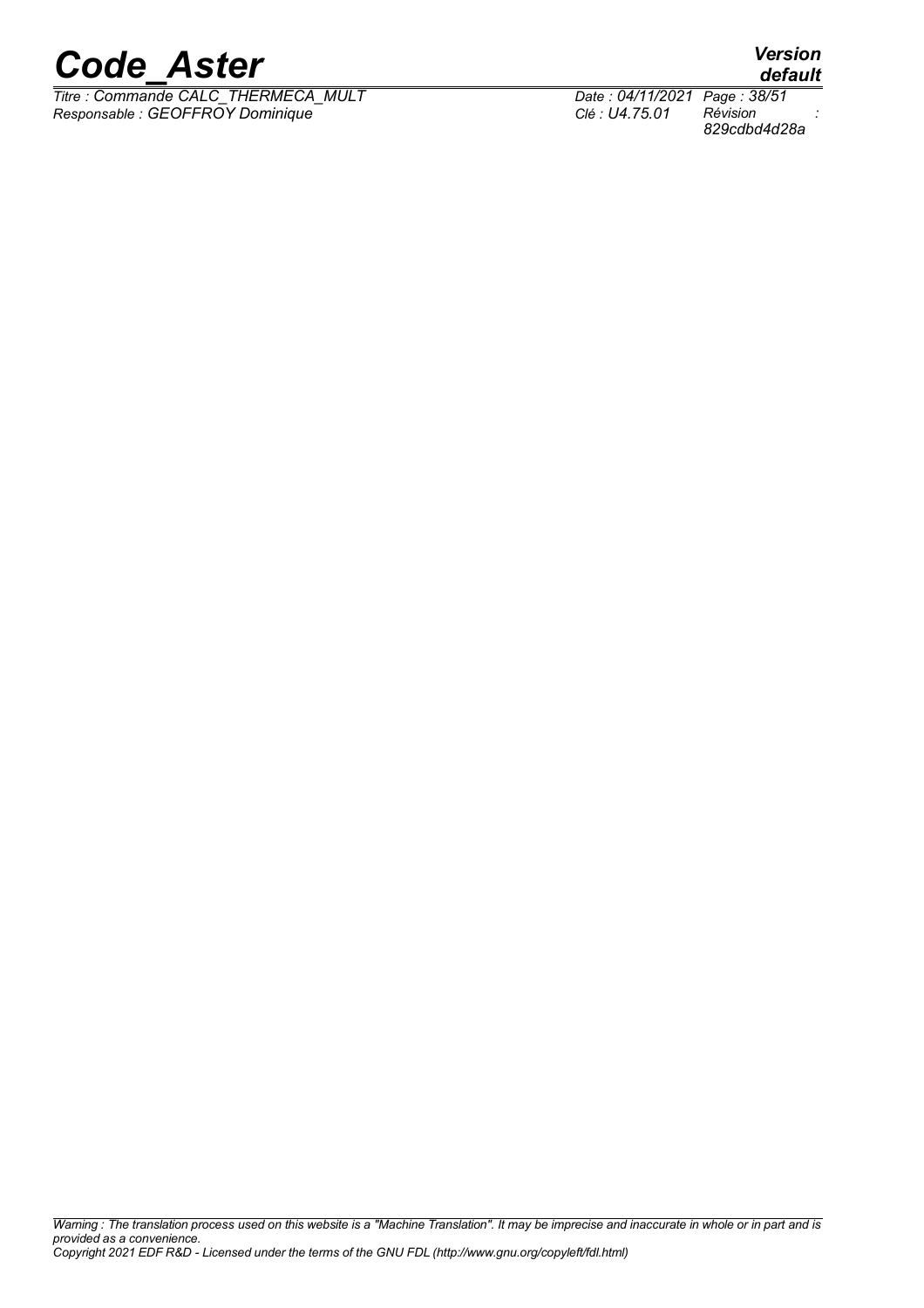*Titre : Commande CALC\_THERMECA\_MULT Date : 04/11/2021 Page : 38/51 Responsable : GEOFFROY Dominique Clé : U4.75.01 Révision :*

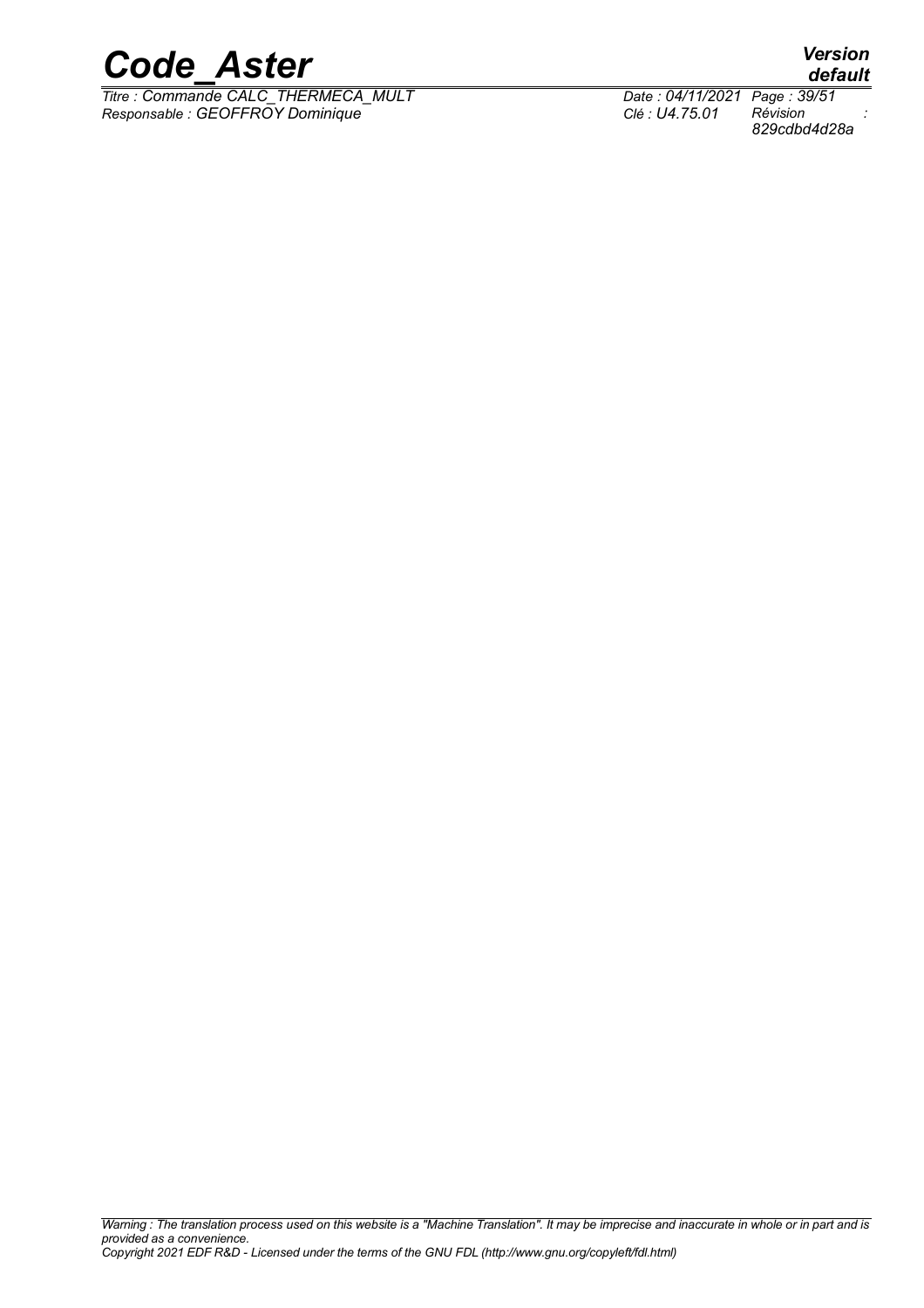

*Titre : Commande CALC\_THERMECA\_MULT Date : 04/11/2021 Page : 39/51 Responsable : GEOFFROY Dominique Clé : U4.75.01 Révision :*

*default 829cdbd4d28a*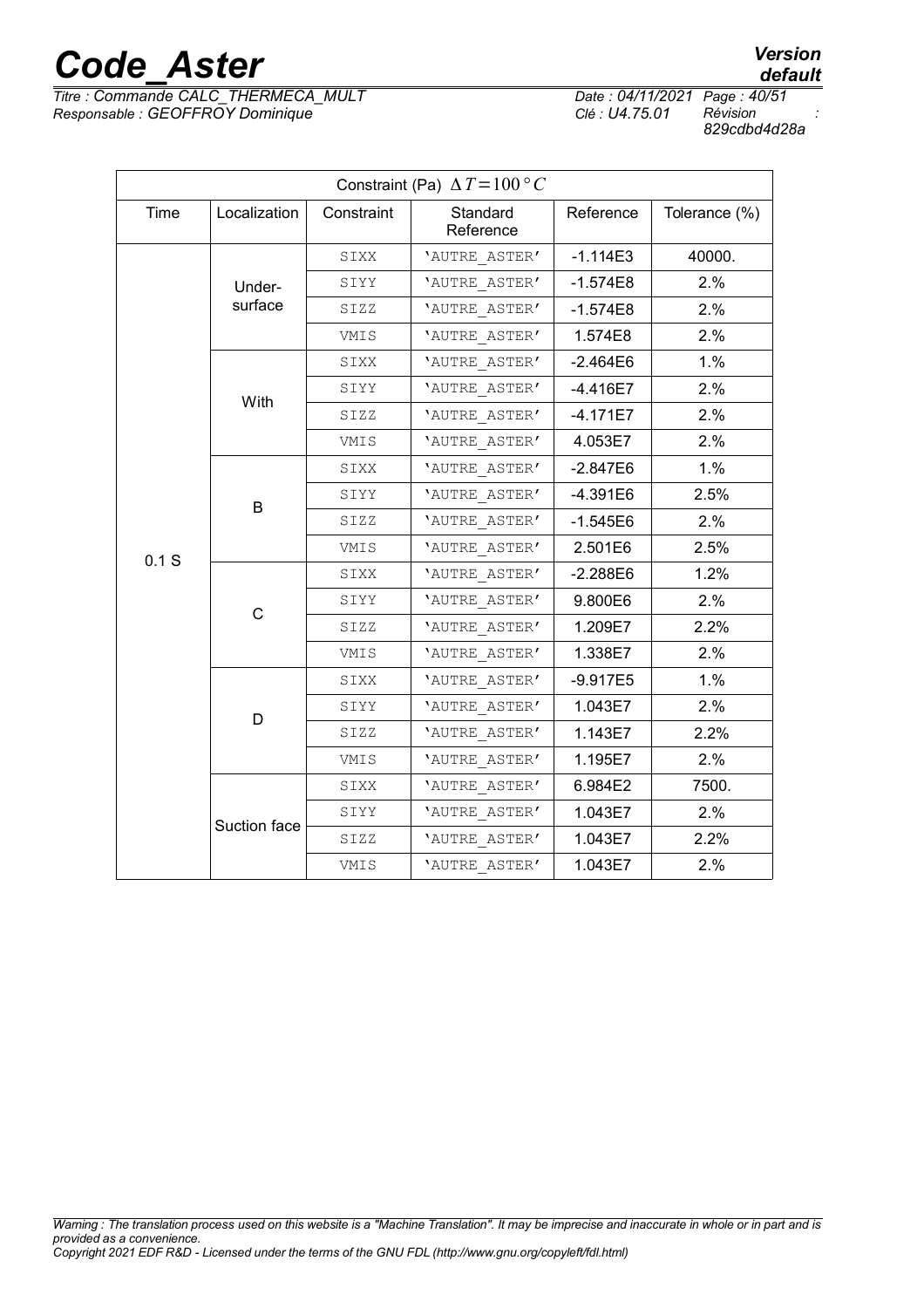*Titre : Commande CALC\_THERMECA\_MULT Date : 04/11/2021 Page : 40/51 Responsable : GEOFFROY Dominique Clé : U4.75.01 Révision :*

|       | Constraint (Pa) $\Delta T = 100^{\circ} C$ |            |                       |            |               |  |
|-------|--------------------------------------------|------------|-----------------------|------------|---------------|--|
| Time  | Localization                               | Constraint | Standard<br>Reference | Reference  | Tolerance (%) |  |
|       |                                            | SIXX       | 'AUTRE ASTER'         | $-1.114E3$ | 40000.        |  |
|       | Under-                                     | SIYY       | 'AUTRE ASTER'         | $-1.574E8$ | 2.%           |  |
|       | surface                                    | SIZZ       | 'AUTRE ASTER'         | $-1.574E8$ | 2.%           |  |
|       |                                            | VMIS       | 'AUTRE ASTER'         | 1.574E8    | 2.%           |  |
|       |                                            | SIXX       | 'AUTRE ASTER'         | $-2.464E6$ | 1.%           |  |
|       | With                                       | SIYY       | 'AUTRE ASTER'         | $-4.416E7$ | 2.%           |  |
|       |                                            | SIZZ       | 'AUTRE ASTER'         | $-4.171E7$ | 2.%           |  |
|       |                                            | VMIS       | 'AUTRE ASTER'         | 4.053E7    | 2.%           |  |
|       |                                            | SIXX       | 'AUTRE ASTER'         | $-2.847E6$ | 1.%           |  |
|       | B                                          | SIYY       | 'AUTRE ASTER'         | $-4.391E6$ | 2.5%          |  |
|       |                                            | SIZZ       | 'AUTRE ASTER'         | $-1.545E6$ | 2.%           |  |
| 0.1 S |                                            | VMIS       | 'AUTRE ASTER'         | 2.501E6    | 2.5%          |  |
|       |                                            | SIXX       | 'AUTRE ASTER'         | $-2.288E6$ | 1.2%          |  |
|       | C                                          | SIYY       | 'AUTRE ASTER'         | 9.800E6    | 2.%           |  |
|       |                                            | SIZZ       | 'AUTRE ASTER'         | 1.209E7    | 2.2%          |  |
|       |                                            | VMIS       | 'AUTRE ASTER'         | 1.338E7    | 2.%           |  |
|       |                                            | SIXX       | 'AUTRE ASTER'         | $-9.917E5$ | 1.%           |  |
|       | D                                          | SIYY       | 'AUTRE ASTER'         | 1.043E7    | 2.%           |  |
|       |                                            | SIZZ       | 'AUTRE ASTER'         | 1.143E7    | 2.2%          |  |
|       |                                            | VMIS       | 'AUTRE ASTER'         | 1.195E7    | 2.%           |  |
|       |                                            | SIXX       | 'AUTRE ASTER'         | 6.984E2    | 7500.         |  |
|       | Suction face                               | SIYY       | 'AUTRE ASTER'         | 1.043E7    | 2.%           |  |
|       |                                            | SIZZ       | 'AUTRE ASTER'         | 1.043E7    | 2.2%          |  |
|       |                                            | VMIS       | 'AUTRE ASTER'         | 1.043E7    | 2.%           |  |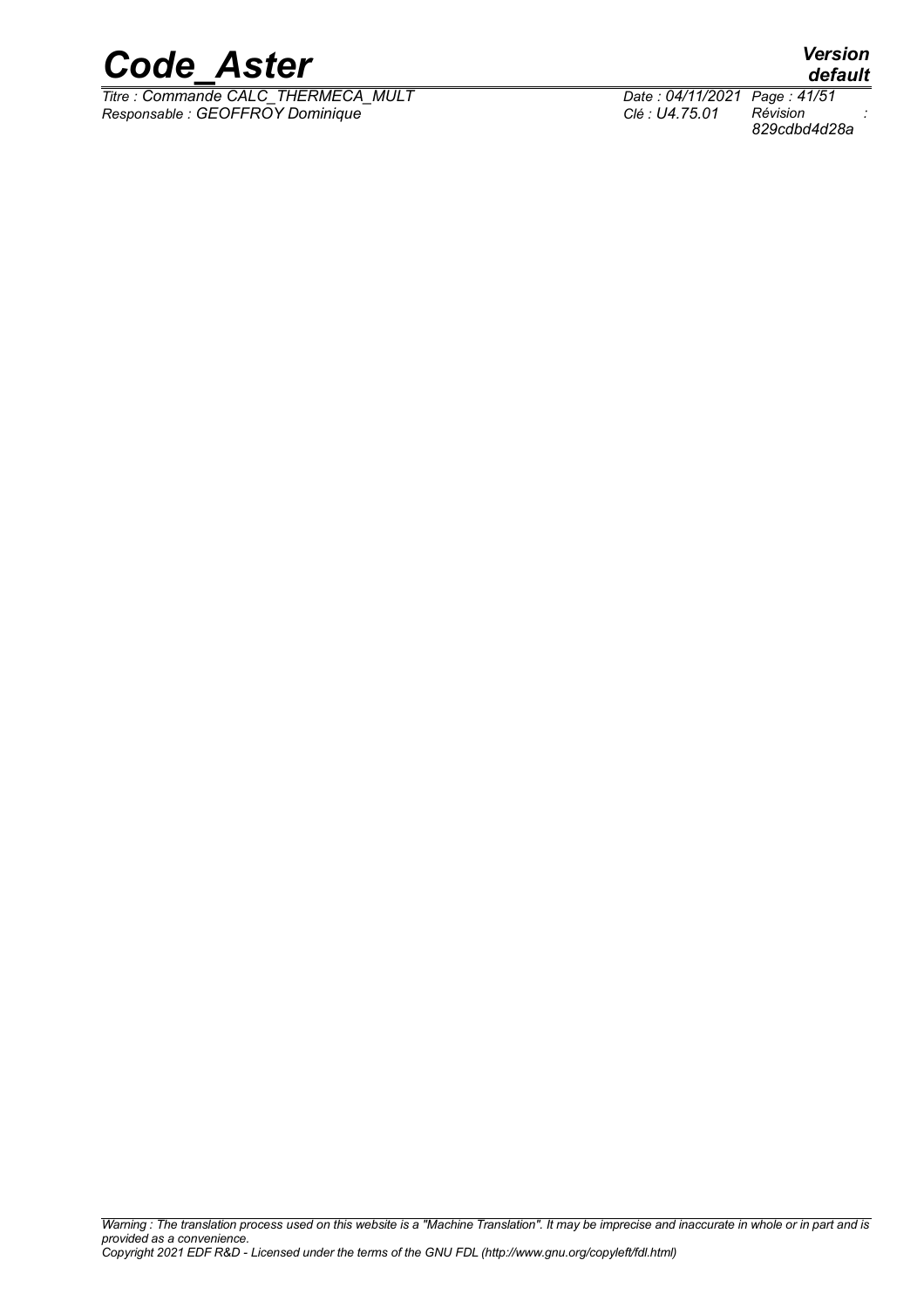

*Titre : Commande CALC\_THERMECA\_MULT Date : 04/11/2021 Page : 41/51 Responsable : GEOFFROY Dominique Clé : U4.75.01 Révision :*

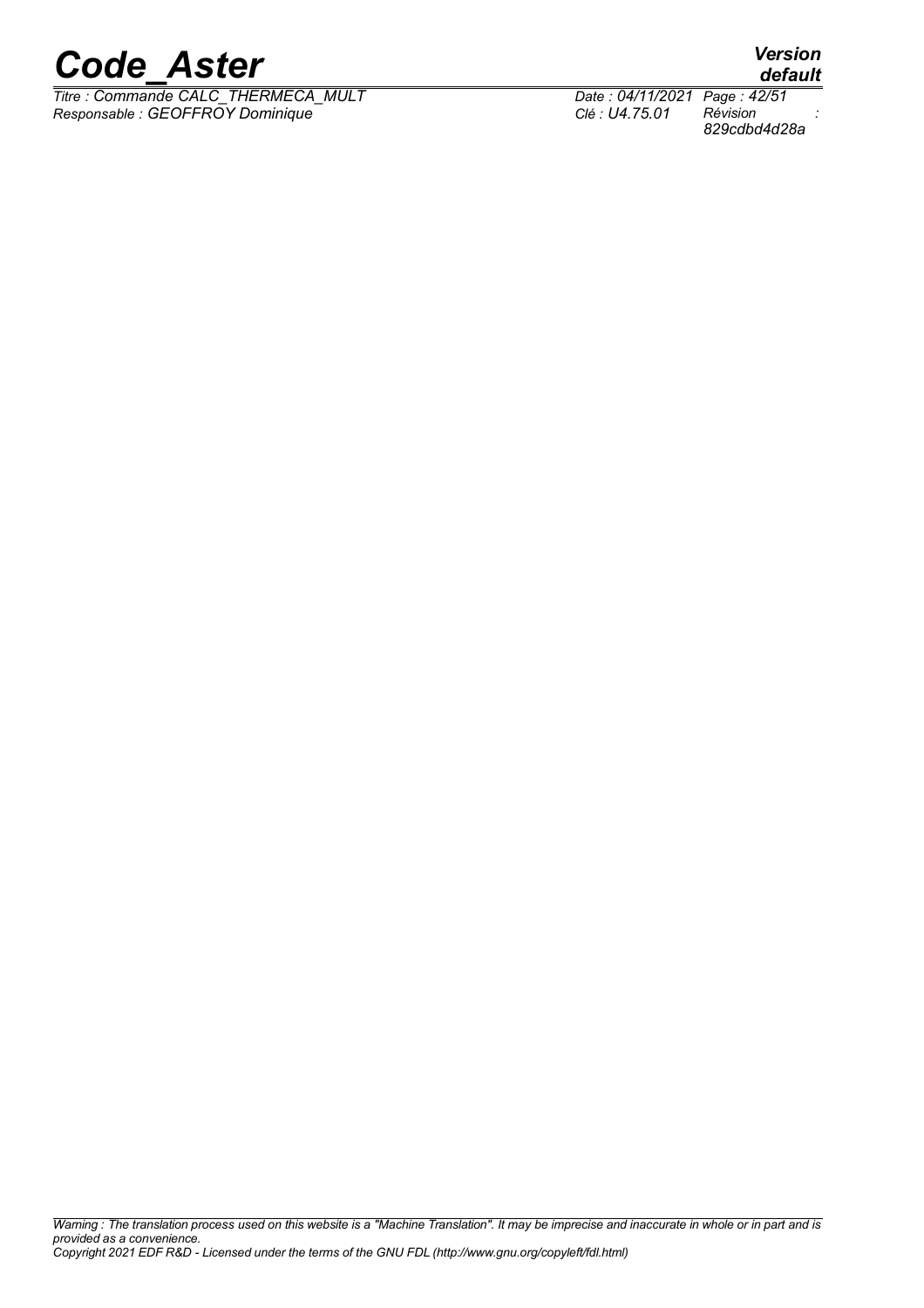*Titre : Commande CALC\_THERMECA\_MULT Date : 04/11/2021 Page : 42/51 Responsable : GEOFFROY Dominique Clé : U4.75.01 Révision :*

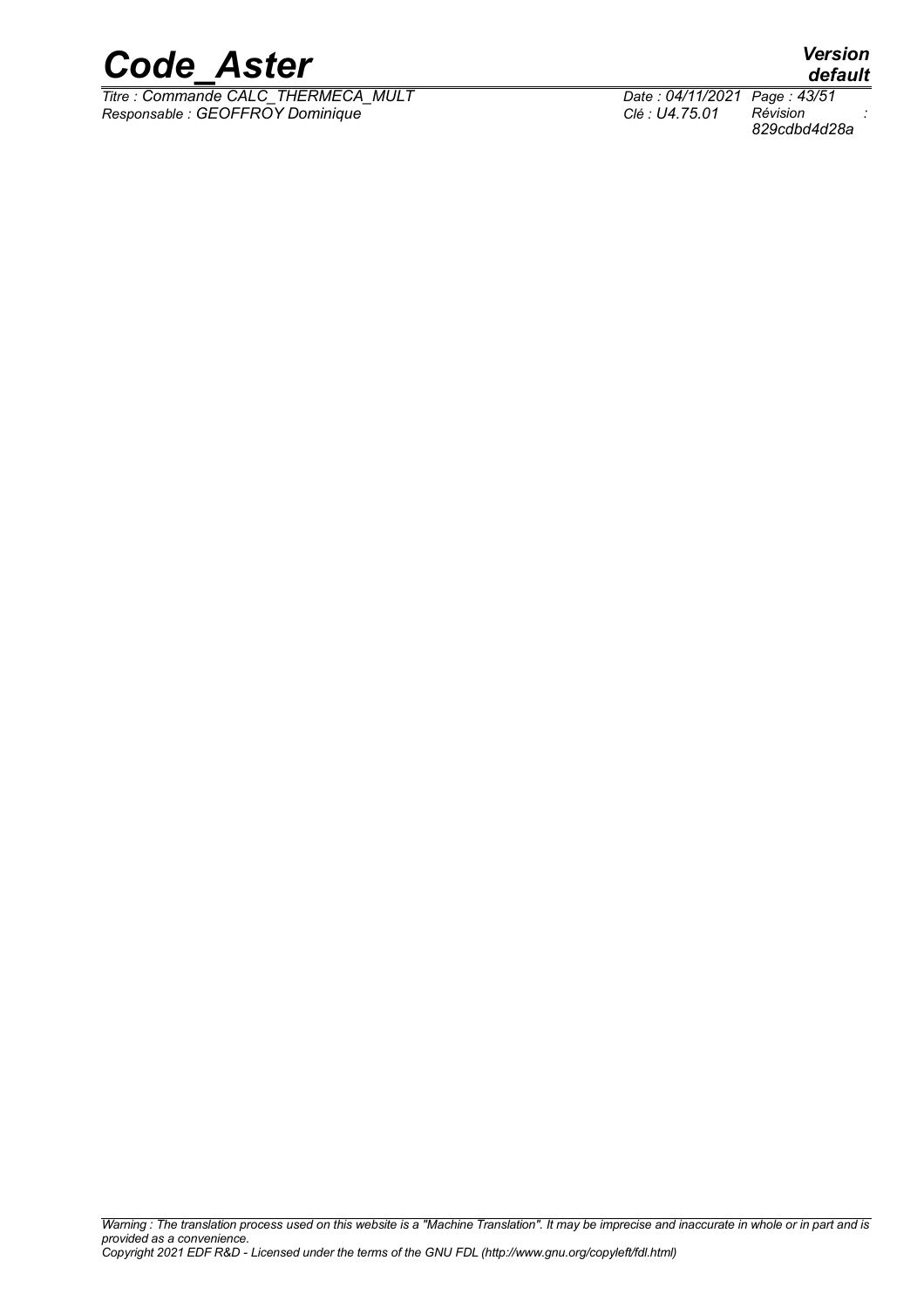

*Titre : Commande CALC\_THERMECA\_MULT Date : 04/11/2021 Page : 43/51 Responsable : GEOFFROY Dominique Clé : U4.75.01 Révision :*

*default*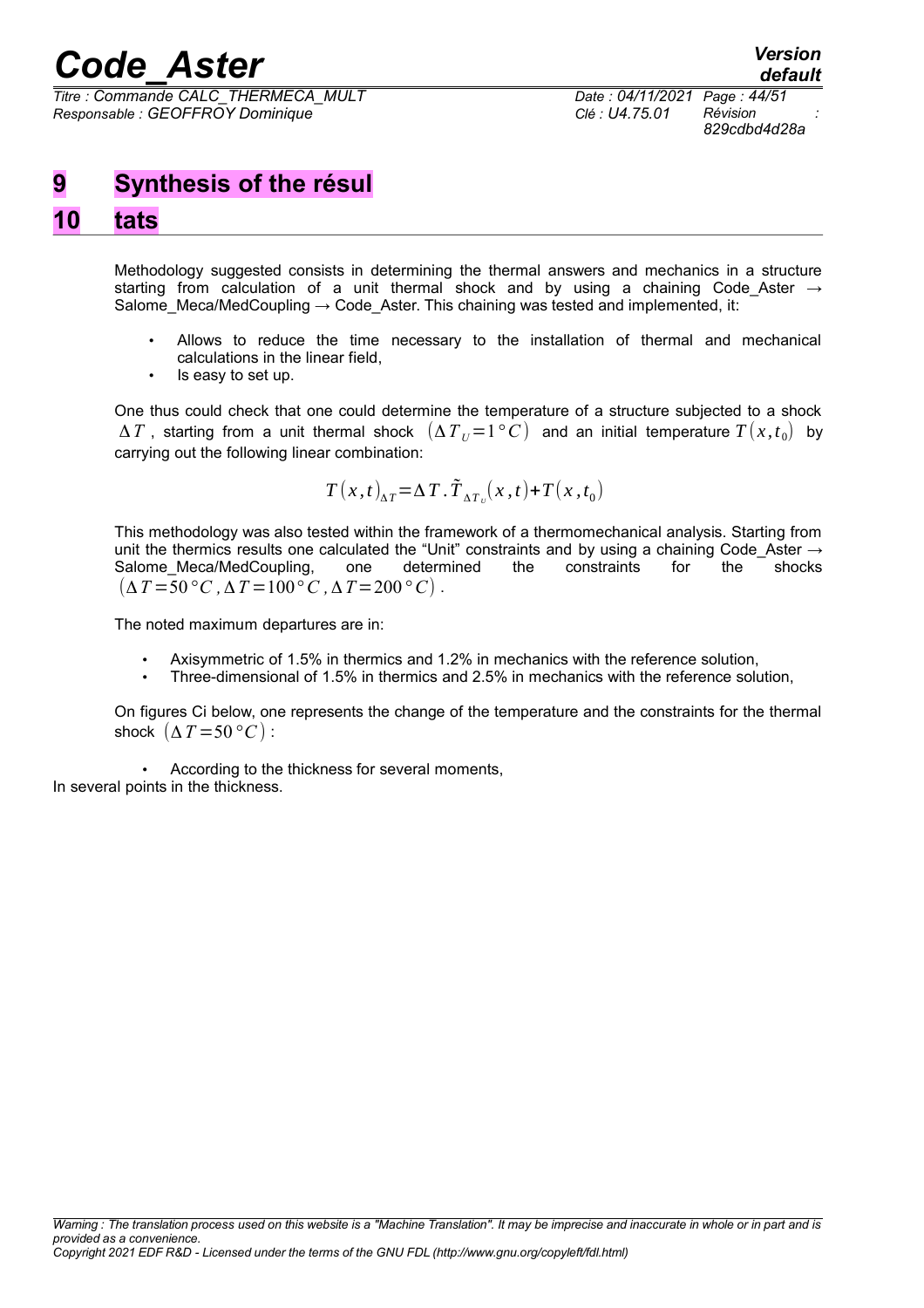*Titre : Commande CALC\_THERMECA\_MULT Date : 04/11/2021 Page : 44/51 Responsable : GEOFFROY Dominique Clé : U4.75.01 Révision :*

*829cdbd4d28a*

### <span id="page-43-1"></span>**9 Synthesis of the résul 10 tats**

<span id="page-43-0"></span>Methodology suggested consists in determining the thermal answers and mechanics in a structure starting from calculation of a unit thermal shock and by using a chaining Code Aster  $\rightarrow$ Salome Meca/MedCoupling  $\rightarrow$  Code Aster. This chaining was tested and implemented, it:

- Allows to reduce the time necessary to the installation of thermal and mechanical calculations in the linear field,
- Is easy to set up.

One thus could check that one could determine the temperature of a structure subjected to a shock  $\Delta$   $T$  , starting from a unit thermal shock  $(\Delta T^{}_U{=}1\,{}^\circ C)$  and an initial temperature  $T\big(x,t^{}_0\big)$  by carrying out the following linear combination:

$$
T(x,t)_{\Delta T} = \Delta T \cdot \tilde{T}_{\Delta T_v}(x,t) + T(x,t_0)
$$

This methodology was also tested within the framework of a thermomechanical analysis. Starting from unit the thermics results one calculated the "Unit" constraints and by using a chaining Code Aster  $\rightarrow$ Salome Meca/MedCoupling, one determined the constraints for the shocks  $(\Delta T = 50^\circ C, \Delta T = 100^\circ C, \Delta T = 200^\circ C)$ .

The noted maximum departures are in:

- Axisymmetric of 1.5% in thermics and 1.2% in mechanics with the reference solution,
- Three-dimensional of 1.5% in thermics and 2.5% in mechanics with the reference solution,

On figures Ci below, one represents the change of the temperature and the constraints for the thermal shock  $(\Delta T = 50 °C)$ :

• According to the thickness for several moments, In several points in the thickness.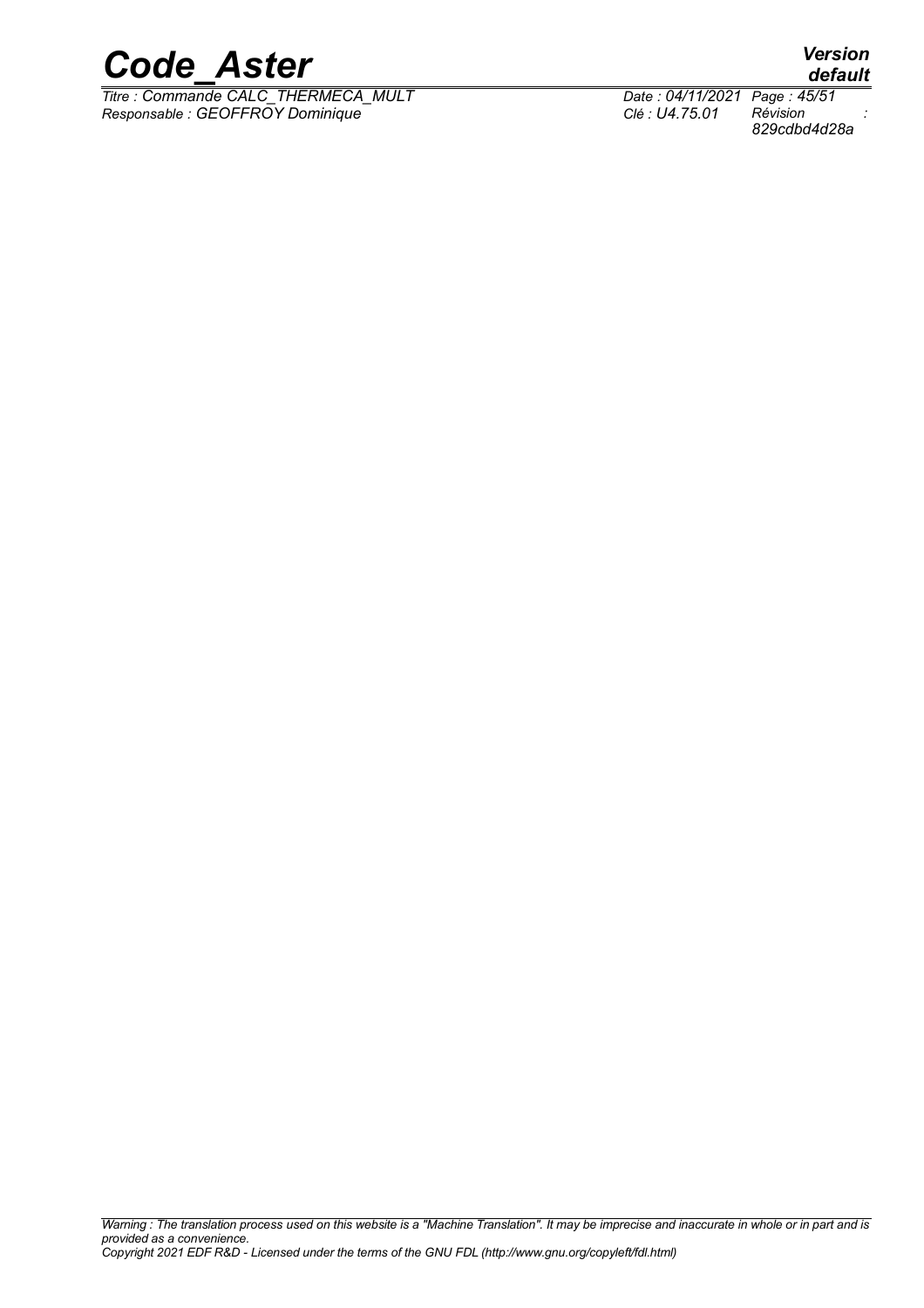

*Titre : Commande CALC\_THERMECA\_MULT Date : 04/11/2021 Page : 45/51 Responsable : GEOFFROY Dominique Clé : U4.75.01 Révision :*

*Warning : The translation process used on this website is a "Machine Translation". It may be imprecise and inaccurate in whole or in part and is provided as a convenience. Copyright 2021 EDF R&D - Licensed under the terms of the GNU FDL (http://www.gnu.org/copyleft/fdl.html)*

### *default*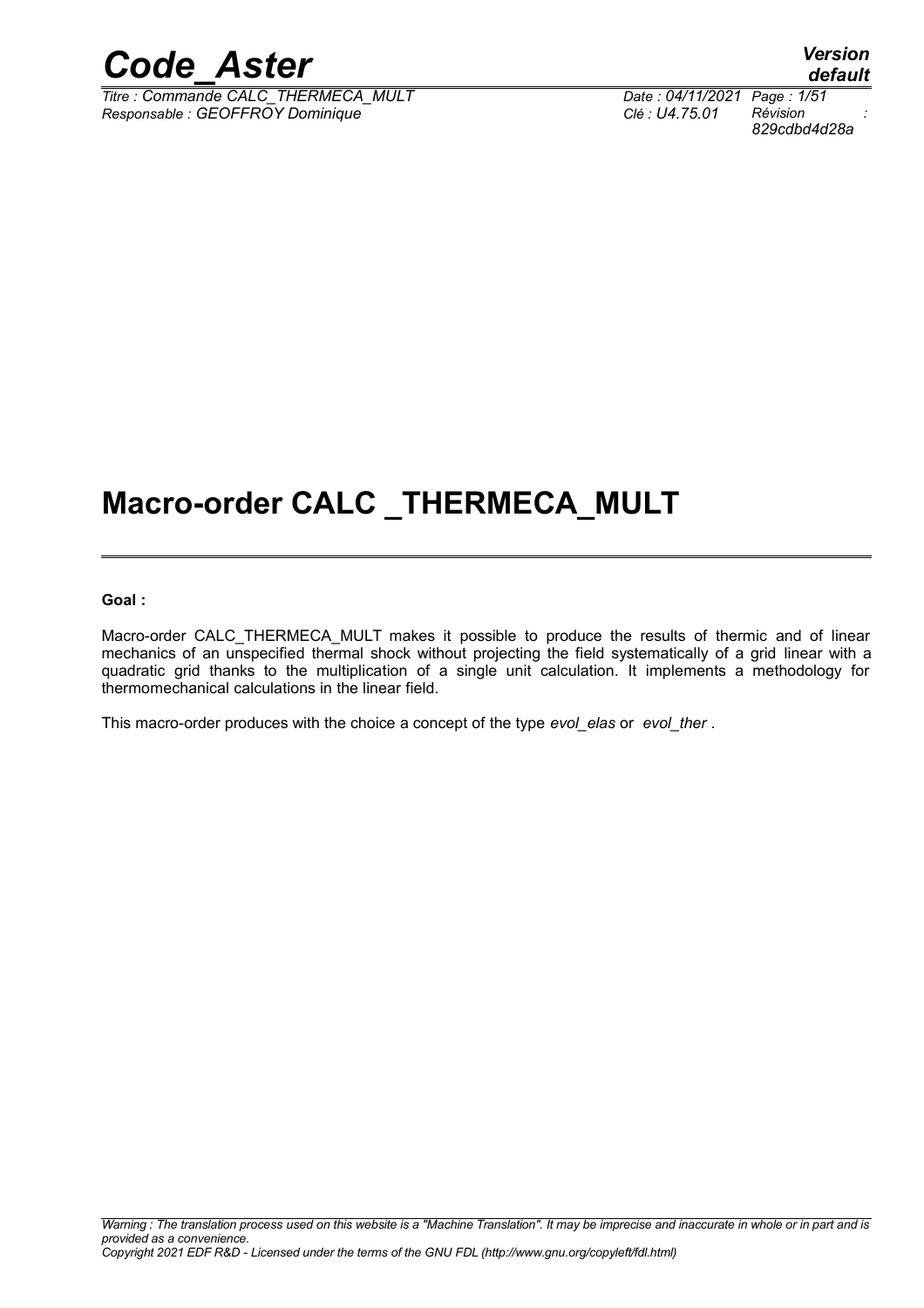

*Titre : Commande CALC\_THERMECA\_MULT Date : 04/11/2021 Page : 1/51 Responsable : GEOFFROY Dominique Clé : U4.75.01 Révision :*

*default 829cdbd4d28a*

### **Macro-order CALC \_THERMECA\_MULT**

#### **Goal :**

Macro-order CALC THERMECA MULT makes it possible to produce the results of thermic and of linear mechanics of an unspecified thermal shock without projecting the field systematically of a grid linear with a quadratic grid thanks to the multiplication of a single unit calculation. It implements a methodology for thermomechanical calculations in the linear field.

This macro-order produces with the choice a concept of the type *evol\_elas* or *evol\_ther* .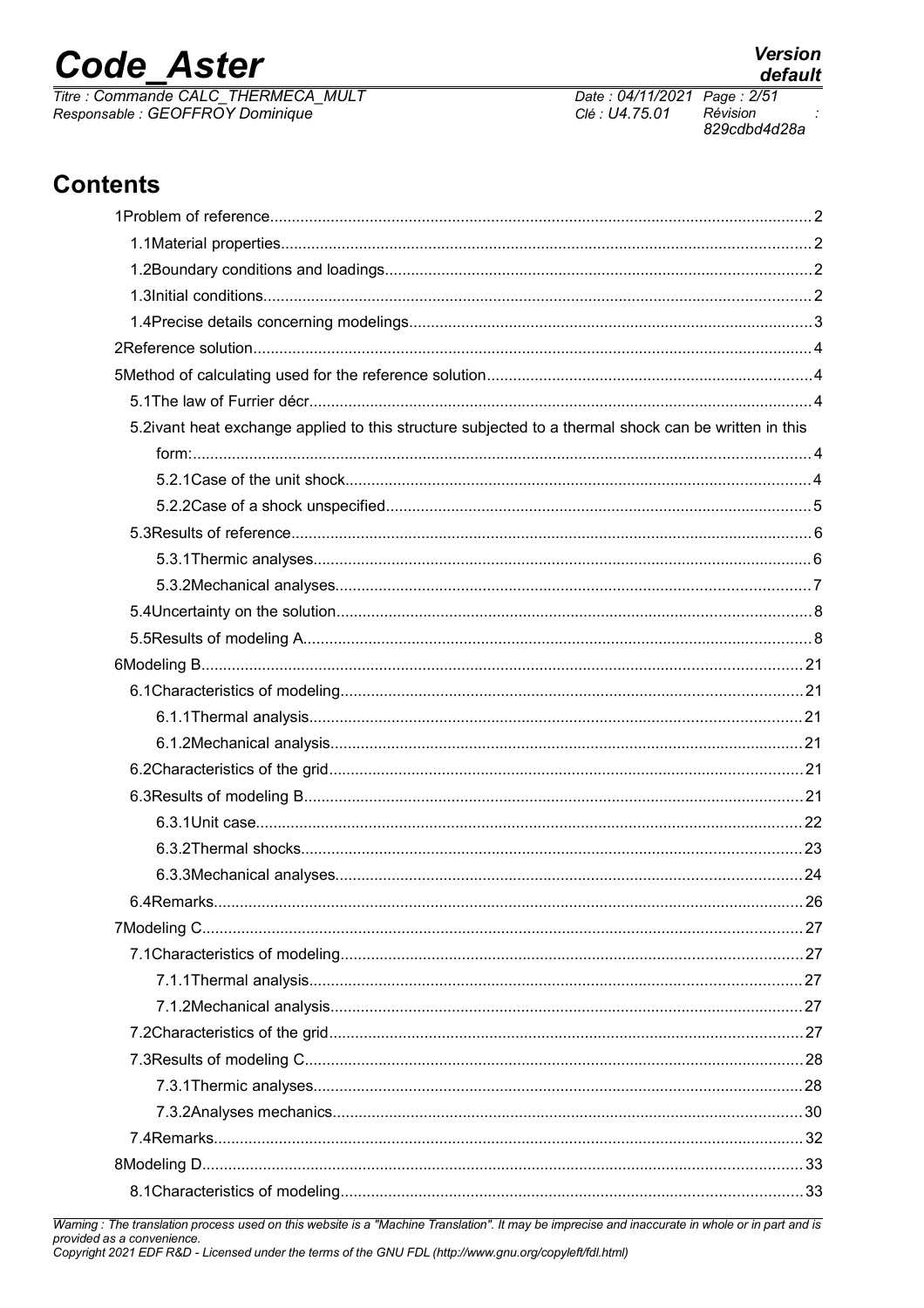### **Code Aster**

Titre : Commande CALC\_THERMECA\_MULT<br>Responsable : GEOFFROY Dominique

Date: 04/11/2021 Page: 2/51 Clé : U4.75.01 Révision 829cdbd4d28a

| 5.2ivant heat exchange applied to this structure subjected to a thermal shock can be written in this |  |
|------------------------------------------------------------------------------------------------------|--|
|                                                                                                      |  |
|                                                                                                      |  |
|                                                                                                      |  |
|                                                                                                      |  |
|                                                                                                      |  |
|                                                                                                      |  |
|                                                                                                      |  |
|                                                                                                      |  |
|                                                                                                      |  |
|                                                                                                      |  |
|                                                                                                      |  |
|                                                                                                      |  |
|                                                                                                      |  |
|                                                                                                      |  |
|                                                                                                      |  |
|                                                                                                      |  |
|                                                                                                      |  |
|                                                                                                      |  |
|                                                                                                      |  |
|                                                                                                      |  |
|                                                                                                      |  |
|                                                                                                      |  |
|                                                                                                      |  |
|                                                                                                      |  |
|                                                                                                      |  |
|                                                                                                      |  |
|                                                                                                      |  |
|                                                                                                      |  |
|                                                                                                      |  |
|                                                                                                      |  |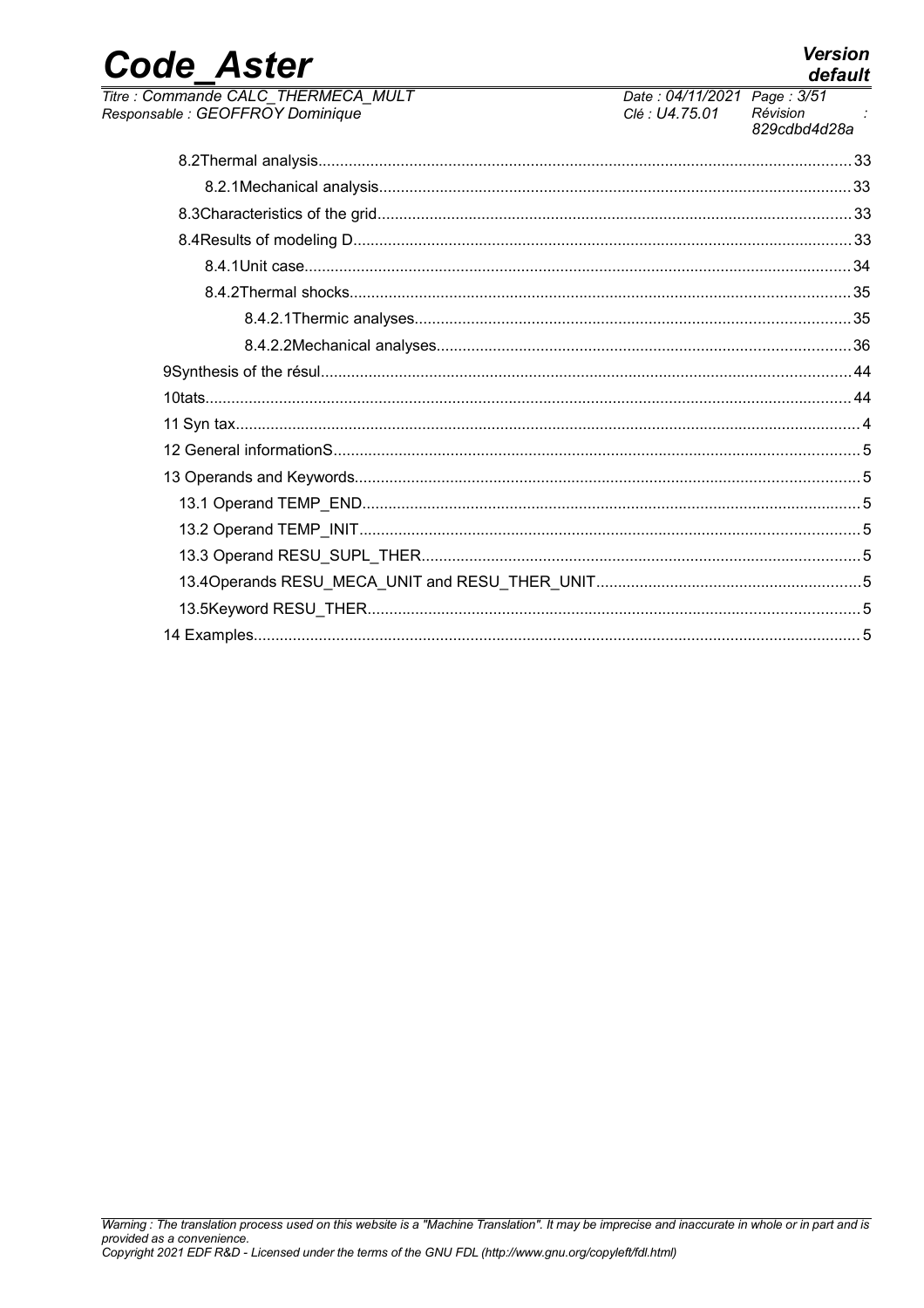| <b>Code Aster</b>                                                       |                                               | <b>Version</b><br>default |
|-------------------------------------------------------------------------|-----------------------------------------------|---------------------------|
| Titre : Commande CALC THERMECA MULT<br>Responsable : GEOFFROY Dominique | Date: 04/11/2021 Page: 3/51<br>Clé : U4.75.01 | Révision<br>829cdbd4d28a  |
|                                                                         |                                               |                           |
|                                                                         |                                               |                           |
|                                                                         |                                               |                           |
|                                                                         |                                               |                           |
|                                                                         |                                               |                           |
|                                                                         |                                               |                           |
|                                                                         |                                               |                           |
|                                                                         |                                               |                           |
|                                                                         |                                               |                           |
|                                                                         |                                               |                           |
|                                                                         |                                               |                           |
|                                                                         |                                               |                           |
|                                                                         |                                               |                           |
|                                                                         |                                               |                           |
|                                                                         |                                               |                           |
|                                                                         |                                               |                           |
|                                                                         |                                               |                           |
|                                                                         |                                               |                           |
|                                                                         |                                               |                           |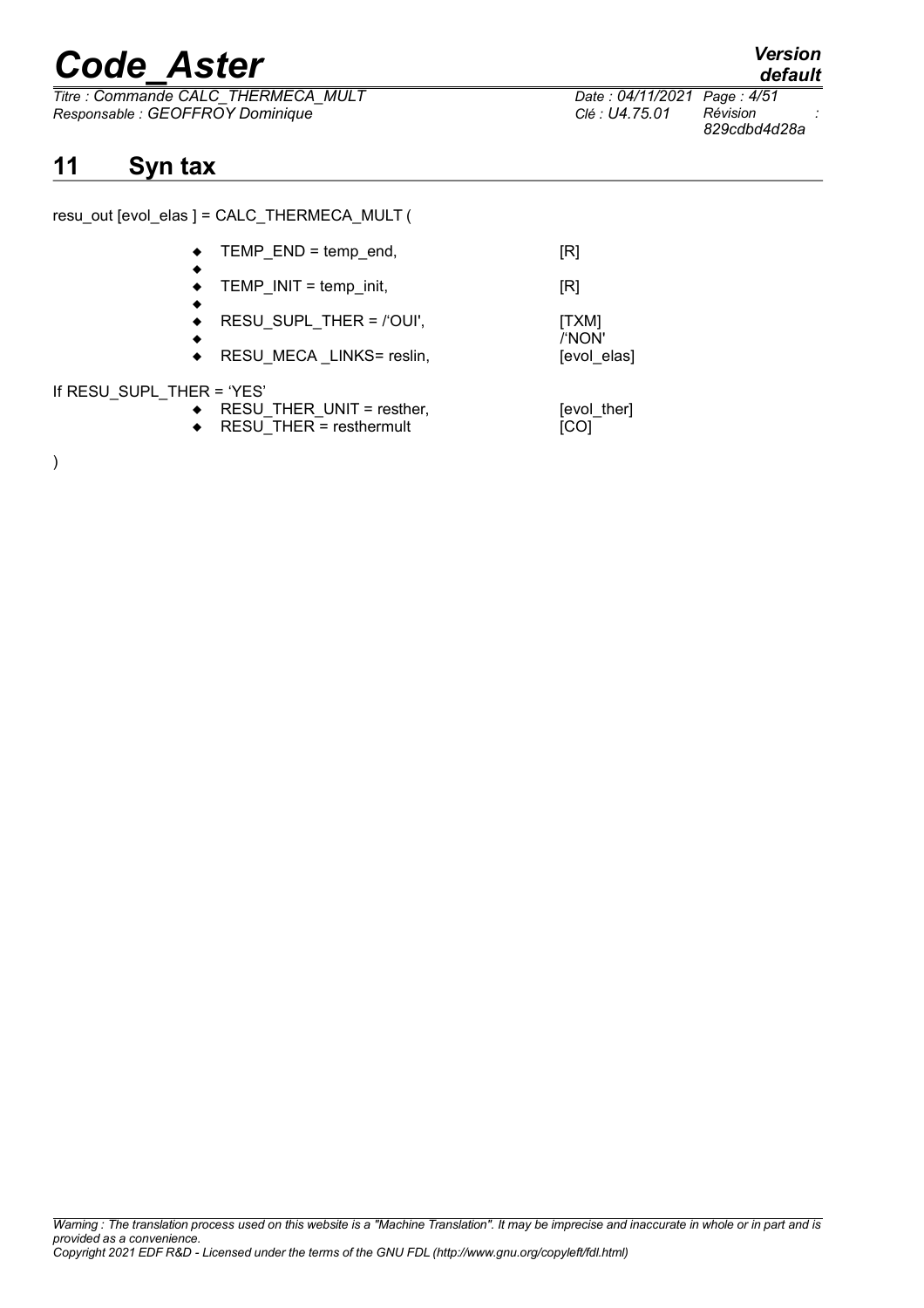*Titre : Commande CALC\_THERMECA\_MULT Date : 04/11/2021 Page : 4/51 Responsable : GEOFFROY Dominique Clé : U4.75.01 Révision :*

#### <span id="page-48-0"></span>**11 Syn tax**

*default*

/'NON'

*829cdbd4d28a*

|  | TEMP_END = temp_end, |  |
|--|----------------------|--|
|--|----------------------|--|

- $\bullet$  $\bullet$  TEMP INIT = temp\_init, [R]
- $\bullet$ RESU SUPL THER =  $/'$ OUI',  $[TXM]$
- 
- RESU\_MECA \_LINKS= reslin, [evol\_elas]

If RESU\_SUPL\_THER = 'YES'

- RESU\_THER\_UNIT = resther, [evol\_ther]
- $\bullet$  RESU\_THER = resthermult  $[CO]$

)